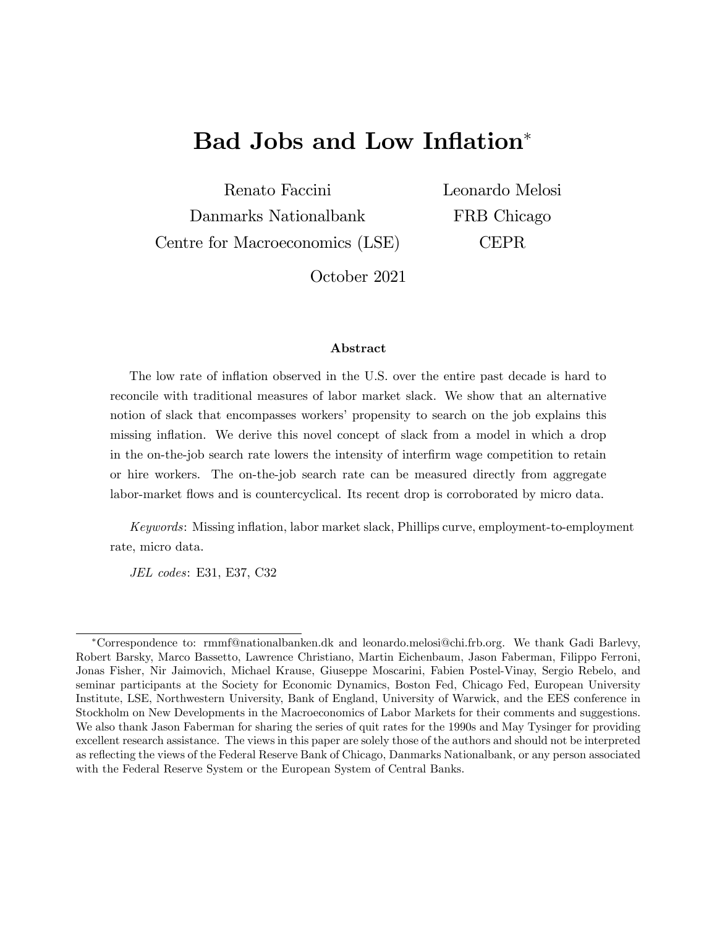## Bad Jobs and Low Inflation<sup>\*</sup>

Renato Faccini Danmarks Nationalbank Centre for Macroeconomics (LSE) Leonardo Melosi FRB Chicago CEPR

October 2021

#### Abstract

The low rate of inflation observed in the U.S. over the entire past decade is hard to reconcile with traditional measures of labor market slack. We show that an alternative notion of slack that encompasses workers' propensity to search on the job explains this missing inflation. We derive this novel concept of slack from a model in which a drop in the on-the-job search rate lowers the intensity of interfirm wage competition to retain or hire workers. The on-the-job search rate can be measured directly from aggregate labor-market flows and is countercyclical. Its recent drop is corroborated by micro data.

Keywords: Missing ináation, labor market slack, Phillips curve, employment-to-employment rate, micro data.

JEL codes: E31, E37, C32

Correspondence to: rmmf@nationalbanken.dk and leonardo.melosi@chi.frb.org. We thank Gadi Barlevy, Robert Barsky, Marco Bassetto, Lawrence Christiano, Martin Eichenbaum, Jason Faberman, Filippo Ferroni, Jonas Fisher, Nir Jaimovich, Michael Krause, Giuseppe Moscarini, Fabien Postel-Vinay, Sergio Rebelo, and seminar participants at the Society for Economic Dynamics, Boston Fed, Chicago Fed, European University Institute, LSE, Northwestern University, Bank of England, University of Warwick, and the EES conference in Stockholm on New Developments in the Macroeconomics of Labor Markets for their comments and suggestions. We also thank Jason Faberman for sharing the series of quit rates for the 1990s and May Tysinger for providing excellent research assistance. The views in this paper are solely those of the authors and should not be interpreted as reflecting the views of the Federal Reserve Bank of Chicago, Danmarks Nationalbank, or any person associated with the Federal Reserve System or the European System of Central Banks.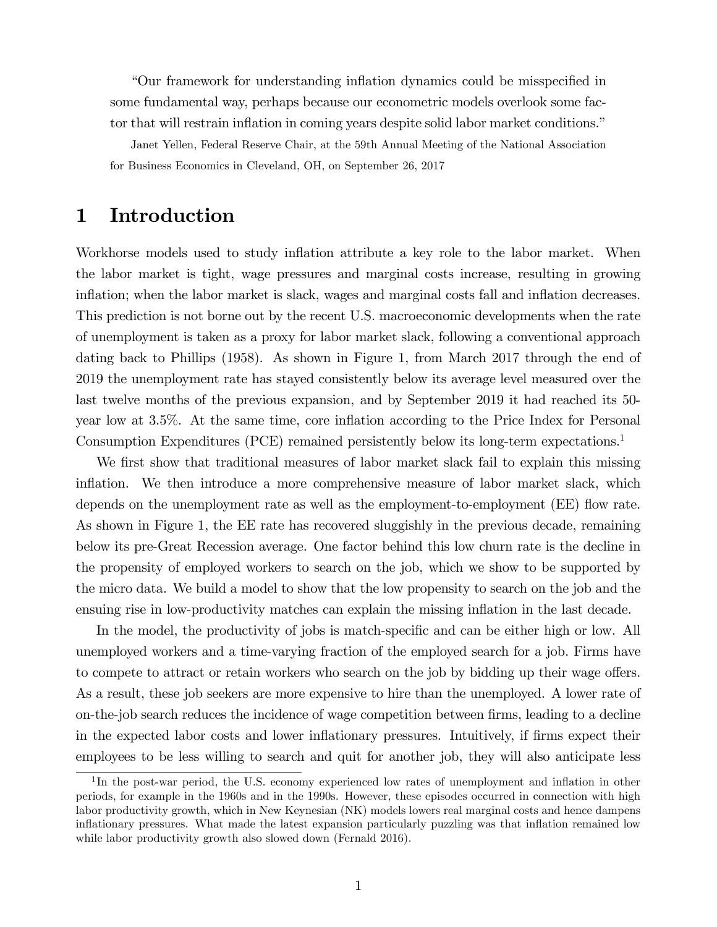ìOur framework for understanding ináation dynamics could be misspeciÖed in some fundamental way, perhaps because our econometric models overlook some factor that will restrain inflation in coming years despite solid labor market conditions."

Janet Yellen, Federal Reserve Chair, at the 59th Annual Meeting of the National Association for Business Economics in Cleveland, OH, on September 26, 2017

## 1 Introduction

Workhorse models used to study inflation attribute a key role to the labor market. When the labor market is tight, wage pressures and marginal costs increase, resulting in growing inflation; when the labor market is slack, wages and marginal costs fall and inflation decreases. This prediction is not borne out by the recent U.S. macroeconomic developments when the rate of unemployment is taken as a proxy for labor market slack, following a conventional approach dating back to Phillips (1958). As shown in Figure 1, from March 2017 through the end of 2019 the unemployment rate has stayed consistently below its average level measured over the last twelve months of the previous expansion, and by September 2019 it had reached its 50 year low at 3.5%. At the same time, core inflation according to the Price Index for Personal Consumption Expenditures (PCE) remained persistently below its long-term expectations.<sup>1</sup>

We first show that traditional measures of labor market slack fail to explain this missing inflation. We then introduce a more comprehensive measure of labor market slack, which depends on the unemployment rate as well as the employment-to-employment (EE) áow rate. As shown in Figure 1, the EE rate has recovered sluggishly in the previous decade, remaining below its pre-Great Recession average. One factor behind this low churn rate is the decline in the propensity of employed workers to search on the job, which we show to be supported by the micro data. We build a model to show that the low propensity to search on the job and the ensuing rise in low-productivity matches can explain the missing inflation in the last decade.

In the model, the productivity of jobs is match-specific and can be either high or low. All unemployed workers and a time-varying fraction of the employed search for a job. Firms have to compete to attract or retain workers who search on the job by bidding up their wage offers. As a result, these job seekers are more expensive to hire than the unemployed. A lower rate of on-the-job search reduces the incidence of wage competition between firms, leading to a decline in the expected labor costs and lower inflationary pressures. Intuitively, if firms expect their employees to be less willing to search and quit for another job, they will also anticipate less

<sup>&</sup>lt;sup>1</sup>In the post-war period, the U.S. economy experienced low rates of unemployment and inflation in other periods, for example in the 1960s and in the 1990s. However, these episodes occurred in connection with high labor productivity growth, which in New Keynesian (NK) models lowers real marginal costs and hence dampens inflationary pressures. What made the latest expansion particularly puzzling was that inflation remained low while labor productivity growth also slowed down (Fernald 2016).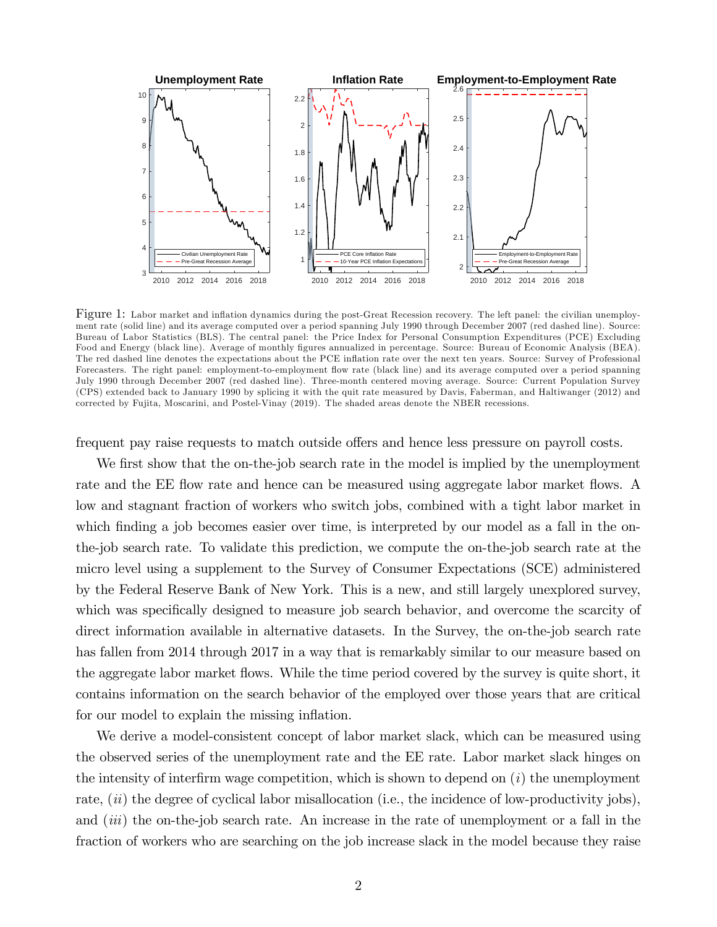

Figure 1: Labor market and ináation dynamics during the post-Great Recession recovery. The left panel: the civilian unemployment rate (solid line) and its average computed over a period spanning July 1990 through December 2007 (red dashed line). Source: Bureau of Labor Statistics (BLS). The central panel: the Price Index for Personal Consumption Expenditures (PCE) Excluding Food and Energy (black line). Average of monthly figures annualized in percentage. Source: Bureau of Economic Analysis (BEA). The red dashed line denotes the expectations about the PCE inflation rate over the next ten years. Source: Survey of Professional Forecasters. The right panel: employment-to-employment flow rate (black line) and its average computed over a period spanning July 1990 through December 2007 (red dashed line). Three-month centered moving average. Source: Current Population Survey (CPS) extended back to January 1990 by splicing it with the quit rate measured by Davis, Faberman, and Haltiwanger (2012) and corrected by Fujita, Moscarini, and Postel-Vinay (2019). The shaded areas denote the NBER recessions.

frequent pay raise requests to match outside offers and hence less pressure on payroll costs.

We first show that the on-the-job search rate in the model is implied by the unemployment rate and the EE flow rate and hence can be measured using aggregate labor market flows. A low and stagnant fraction of workers who switch jobs, combined with a tight labor market in which finding a job becomes easier over time, is interpreted by our model as a fall in the onthe-job search rate. To validate this prediction, we compute the on-the-job search rate at the micro level using a supplement to the Survey of Consumer Expectations (SCE) administered by the Federal Reserve Bank of New York. This is a new, and still largely unexplored survey, which was specifically designed to measure job search behavior, and overcome the scarcity of direct information available in alternative datasets. In the Survey, the on-the-job search rate has fallen from 2014 through 2017 in a way that is remarkably similar to our measure based on the aggregate labor market flows. While the time period covered by the survey is quite short, it contains information on the search behavior of the employed over those years that are critical for our model to explain the missing inflation.

We derive a model-consistent concept of labor market slack, which can be measured using the observed series of the unemployment rate and the EE rate. Labor market slack hinges on the intensity of interfirm wage competition, which is shown to depend on  $(i)$  the unemployment rate,  $(ii)$  the degree of cyclical labor misallocation (i.e., the incidence of low-productivity jobs), and *(iii)* the on-the-job search rate. An increase in the rate of unemployment or a fall in the fraction of workers who are searching on the job increase slack in the model because they raise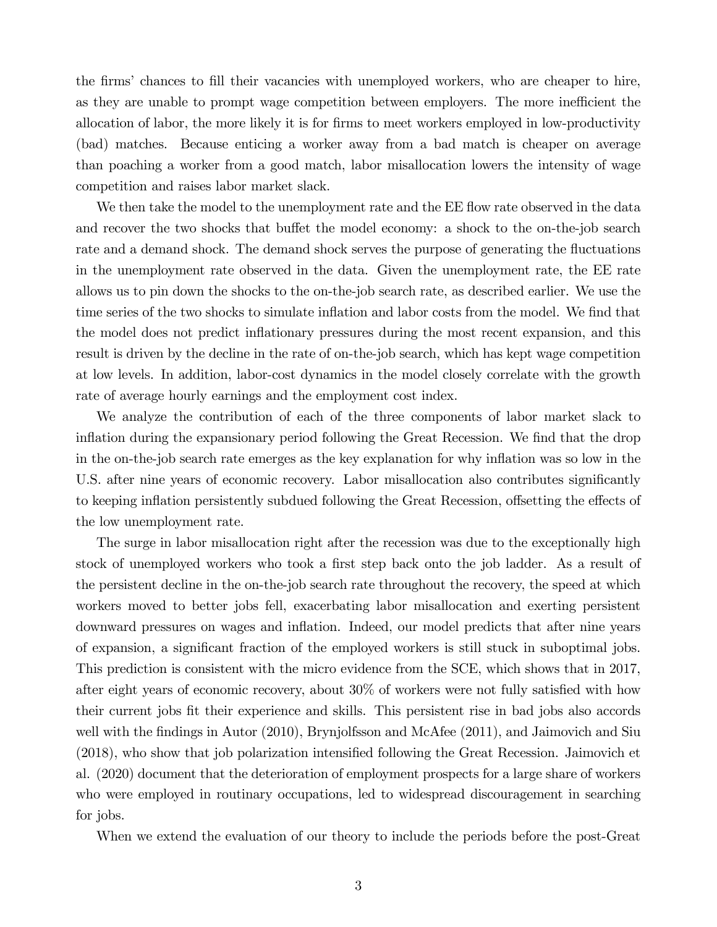the firms' chances to fill their vacancies with unemployed workers, who are cheaper to hire, as they are unable to prompt wage competition between employers. The more inefficient the allocation of labor, the more likely it is for firms to meet workers employed in low-productivity (bad) matches. Because enticing a worker away from a bad match is cheaper on average than poaching a worker from a good match, labor misallocation lowers the intensity of wage competition and raises labor market slack.

We then take the model to the unemployment rate and the EE flow rate observed in the data and recover the two shocks that buffet the model economy: a shock to the on-the-job search rate and a demand shock. The demand shock serves the purpose of generating the fluctuations in the unemployment rate observed in the data. Given the unemployment rate, the EE rate allows us to pin down the shocks to the on-the-job search rate, as described earlier. We use the time series of the two shocks to simulate inflation and labor costs from the model. We find that the model does not predict ináationary pressures during the most recent expansion, and this result is driven by the decline in the rate of on-the-job search, which has kept wage competition at low levels. In addition, labor-cost dynamics in the model closely correlate with the growth rate of average hourly earnings and the employment cost index.

We analyze the contribution of each of the three components of labor market slack to inflation during the expansionary period following the Great Recession. We find that the drop in the on-the-job search rate emerges as the key explanation for why inflation was so low in the U.S. after nine years of economic recovery. Labor misallocation also contributes significantly to keeping inflation persistently subdued following the Great Recession, offsetting the effects of the low unemployment rate.

The surge in labor misallocation right after the recession was due to the exceptionally high stock of unemployed workers who took a first step back onto the job ladder. As a result of the persistent decline in the on-the-job search rate throughout the recovery, the speed at which workers moved to better jobs fell, exacerbating labor misallocation and exerting persistent downward pressures on wages and inflation. Indeed, our model predicts that after nine years of expansion, a significant fraction of the employed workers is still stuck in suboptimal jobs. This prediction is consistent with the micro evidence from the SCE, which shows that in 2017, after eight years of economic recovery, about  $30\%$  of workers were not fully satisfied with how their current jobs fit their experience and skills. This persistent rise in bad jobs also accords well with the findings in Autor (2010), Brynjolfsson and McAfee (2011), and Jaimovich and Siu  $(2018)$ , who show that job polarization intensified following the Great Recession. Jaimovich et al. (2020) document that the deterioration of employment prospects for a large share of workers who were employed in routinary occupations, led to widespread discouragement in searching for jobs.

When we extend the evaluation of our theory to include the periods before the post-Great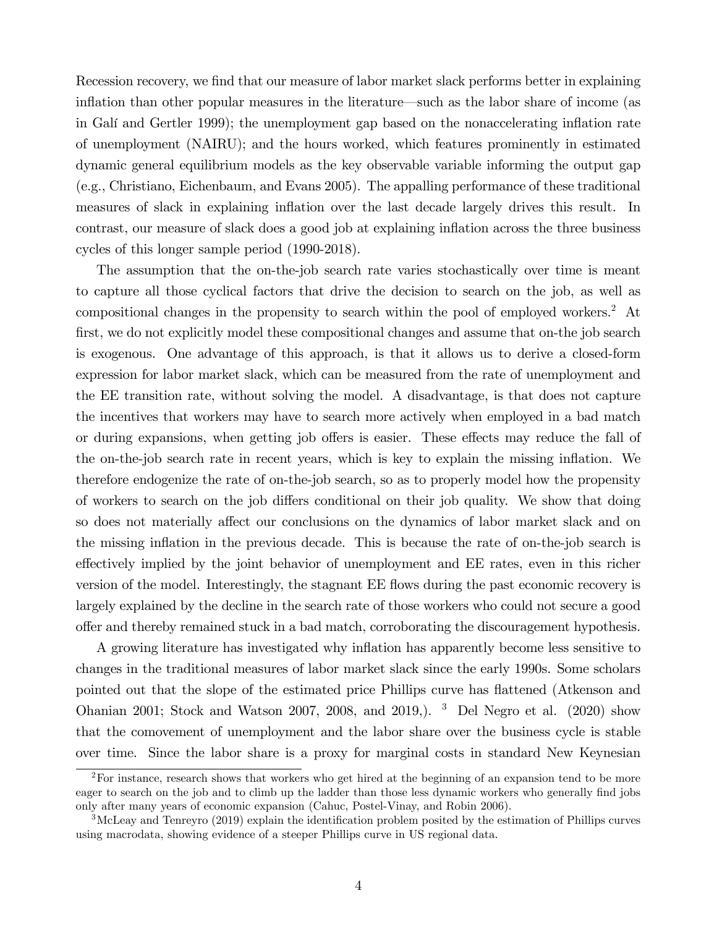Recession recovery, we find that our measure of labor market slack performs better in explaining inflation than other popular measures in the literature—such as the labor share of income (as in Galí and Gertler 1999); the unemployment gap based on the nonaccelerating inflation rate of unemployment (NAIRU); and the hours worked, which features prominently in estimated dynamic general equilibrium models as the key observable variable informing the output gap (e.g., Christiano, Eichenbaum, and Evans 2005). The appalling performance of these traditional measures of slack in explaining inflation over the last decade largely drives this result. In contrast, our measure of slack does a good job at explaining inflation across the three business cycles of this longer sample period (1990-2018).

The assumption that the on-the-job search rate varies stochastically over time is meant to capture all those cyclical factors that drive the decision to search on the job, as well as compositional changes in the propensity to search within the pool of employed workers.<sup>2</sup> At first, we do not explicitly model these compositional changes and assume that on-the job search is exogenous. One advantage of this approach, is that it allows us to derive a closed-form expression for labor market slack, which can be measured from the rate of unemployment and the EE transition rate, without solving the model. A disadvantage, is that does not capture the incentives that workers may have to search more actively when employed in a bad match or during expansions, when getting job offers is easier. These effects may reduce the fall of the on-the-job search rate in recent years, which is key to explain the missing inflation. We therefore endogenize the rate of on-the-job search, so as to properly model how the propensity of workers to search on the job differs conditional on their job quality. We show that doing so does not materially affect our conclusions on the dynamics of labor market slack and on the missing inflation in the previous decade. This is because the rate of on-the-job search is effectively implied by the joint behavior of unemployment and EE rates, even in this richer version of the model. Interestingly, the stagnant EE flows during the past economic recovery is largely explained by the decline in the search rate of those workers who could not secure a good offer and thereby remained stuck in a bad match, corroborating the discouragement hypothesis.

A growing literature has investigated why inflation has apparently become less sensitive to changes in the traditional measures of labor market slack since the early 1990s. Some scholars pointed out that the slope of the estimated price Phillips curve has flattened (Atkenson and Ohanian 2001; Stock and Watson 2007, 2008, and 2019, <sup>3</sup> Del Negro et al. (2020) show that the comovement of unemployment and the labor share over the business cycle is stable over time. Since the labor share is a proxy for marginal costs in standard New Keynesian

 $2$ For instance, research shows that workers who get hired at the beginning of an expansion tend to be more eager to search on the job and to climb up the ladder than those less dynamic workers who generally find jobs only after many years of economic expansion (Cahuc, Postel-Vinay, and Robin 2006).

 $3$ McLeay and Tenreyro (2019) explain the identification problem posited by the estimation of Phillips curves using macrodata, showing evidence of a steeper Phillips curve in US regional data.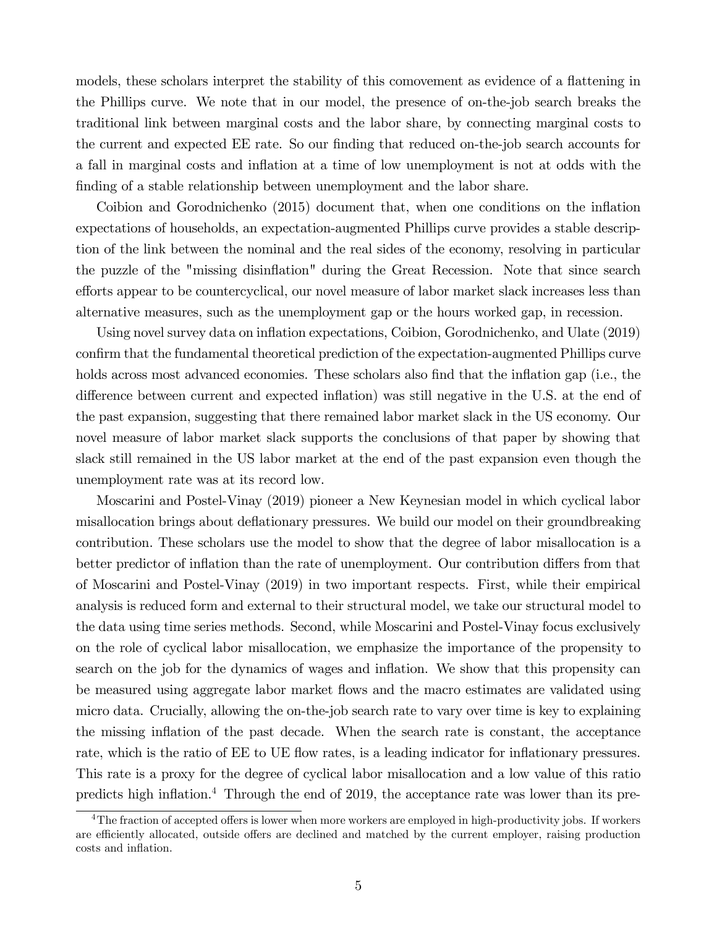models, these scholars interpret the stability of this comovement as evidence of a flattening in the Phillips curve. We note that in our model, the presence of on-the-job search breaks the traditional link between marginal costs and the labor share, by connecting marginal costs to the current and expected EE rate. So our finding that reduced on-the-job search accounts for a fall in marginal costs and inflation at a time of low unemployment is not at odds with the finding of a stable relationship between unemployment and the labor share.

Coibion and Gorodnichenko (2015) document that, when one conditions on the inflation expectations of households, an expectation-augmented Phillips curve provides a stable description of the link between the nominal and the real sides of the economy, resolving in particular the puzzle of the "missing disinflation" during the Great Recession. Note that since search efforts appear to be countercyclical, our novel measure of labor market slack increases less than alternative measures, such as the unemployment gap or the hours worked gap, in recession.

Using novel survey data on ináation expectations, Coibion, Gorodnichenko, and Ulate (2019) confirm that the fundamental theoretical prediction of the expectation-augmented Phillips curve holds across most advanced economies. These scholars also find that the inflation gap (i.e., the difference between current and expected inflation) was still negative in the U.S. at the end of the past expansion, suggesting that there remained labor market slack in the US economy. Our novel measure of labor market slack supports the conclusions of that paper by showing that slack still remained in the US labor market at the end of the past expansion even though the unemployment rate was at its record low.

Moscarini and Postel-Vinay (2019) pioneer a New Keynesian model in which cyclical labor misallocation brings about deáationary pressures. We build our model on their groundbreaking contribution. These scholars use the model to show that the degree of labor misallocation is a better predictor of inflation than the rate of unemployment. Our contribution differs from that of Moscarini and Postel-Vinay (2019) in two important respects. First, while their empirical analysis is reduced form and external to their structural model, we take our structural model to the data using time series methods. Second, while Moscarini and Postel-Vinay focus exclusively on the role of cyclical labor misallocation, we emphasize the importance of the propensity to search on the job for the dynamics of wages and inflation. We show that this propensity can be measured using aggregate labor market áows and the macro estimates are validated using micro data. Crucially, allowing the on-the-job search rate to vary over time is key to explaining the missing inflation of the past decade. When the search rate is constant, the acceptance rate, which is the ratio of EE to UE flow rates, is a leading indicator for inflationary pressures. This rate is a proxy for the degree of cyclical labor misallocation and a low value of this ratio predicts high inflation.<sup>4</sup> Through the end of 2019, the acceptance rate was lower than its pre-

 $4$ The fraction of accepted offers is lower when more workers are employed in high-productivity jobs. If workers are efficiently allocated, outside offers are declined and matched by the current employer, raising production costs and inflation.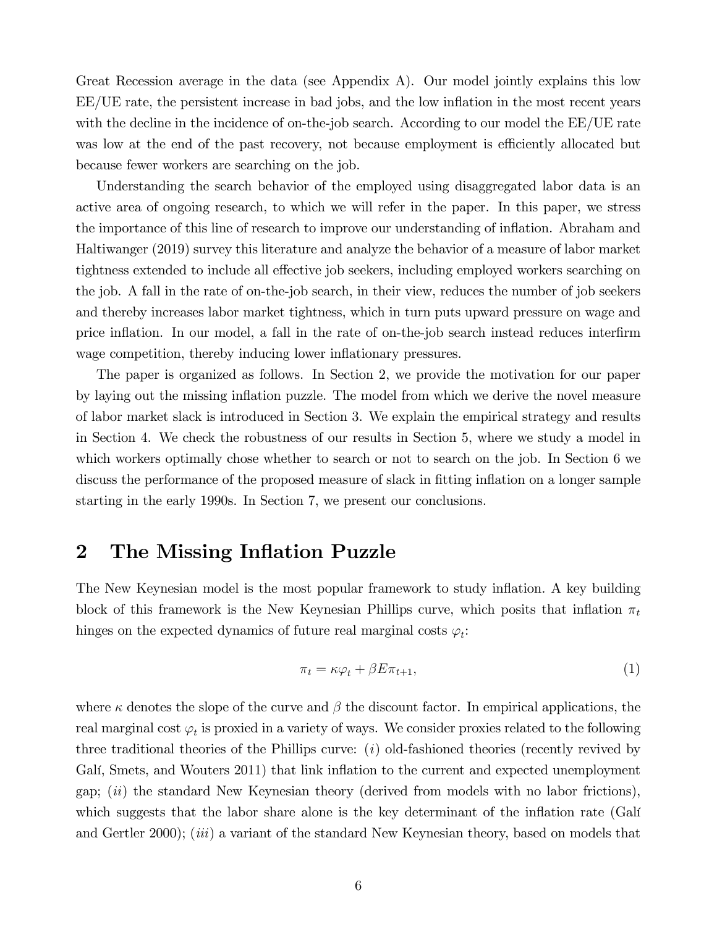Great Recession average in the data (see Appendix A). Our model jointly explains this low EE/UE rate, the persistent increase in bad jobs, and the low inflation in the most recent years with the decline in the incidence of on-the-job search. According to our model the  $EE/UE$  rate was low at the end of the past recovery, not because employment is efficiently allocated but because fewer workers are searching on the job.

Understanding the search behavior of the employed using disaggregated labor data is an active area of ongoing research, to which we will refer in the paper. In this paper, we stress the importance of this line of research to improve our understanding of inflation. Abraham and Haltiwanger (2019) survey this literature and analyze the behavior of a measure of labor market tightness extended to include all effective job seekers, including employed workers searching on the job. A fall in the rate of on-the-job search, in their view, reduces the number of job seekers and thereby increases labor market tightness, which in turn puts upward pressure on wage and price inflation. In our model, a fall in the rate of on-the-job search instead reduces interfirm wage competition, thereby inducing lower inflationary pressures.

The paper is organized as follows. In Section 2, we provide the motivation for our paper by laying out the missing ináation puzzle. The model from which we derive the novel measure of labor market slack is introduced in Section 3. We explain the empirical strategy and results in Section 4. We check the robustness of our results in Section 5, where we study a model in which workers optimally chose whether to search or not to search on the job. In Section 6 we discuss the performance of the proposed measure of slack in fitting inflation on a longer sample starting in the early 1990s. In Section 7, we present our conclusions.

## 2 The Missing Inflation Puzzle

The New Keynesian model is the most popular framework to study inflation. A key building block of this framework is the New Keynesian Phillips curve, which posits that inflation  $\pi_t$ hinges on the expected dynamics of future real marginal costs  $\varphi_t$ :

$$
\pi_t = \kappa \varphi_t + \beta E \pi_{t+1},\tag{1}
$$

where  $\kappa$  denotes the slope of the curve and  $\beta$  the discount factor. In empirical applications, the real marginal cost  $\varphi_t$  is proxied in a variety of ways. We consider proxies related to the following three traditional theories of the Phillips curve:  $(i)$  old-fashioned theories (recently revived by Galí, Smets, and Wouters 2011) that link inflation to the current and expected unemployment gap;  $(ii)$  the standard New Keynesian theory (derived from models with no labor frictions), which suggests that the labor share alone is the key determinant of the inflation rate (Galí and Gertler 2000); *(iii)* a variant of the standard New Keynesian theory, based on models that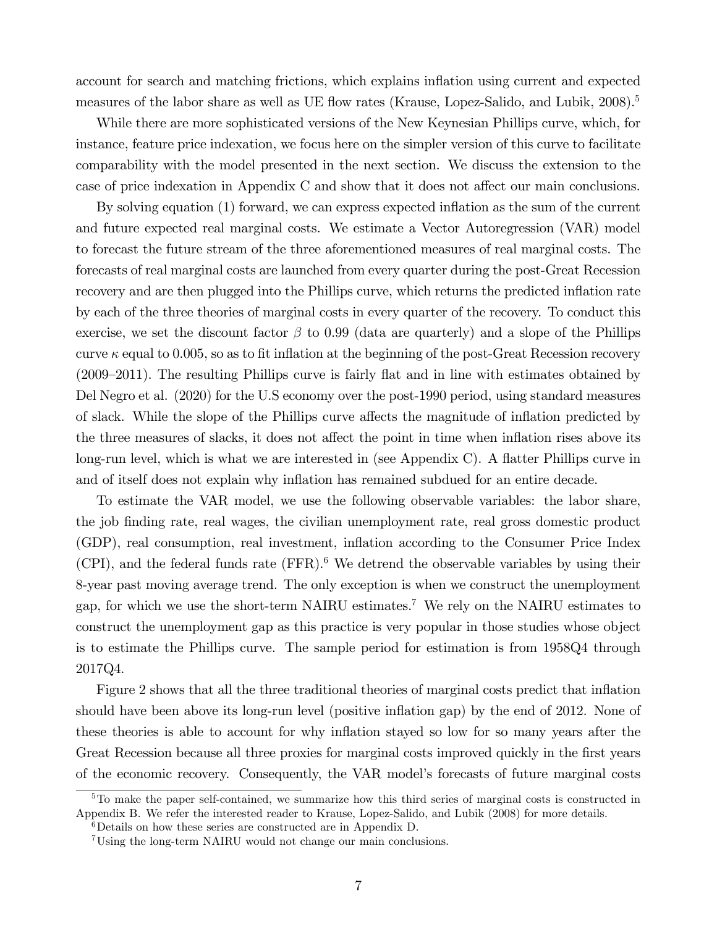account for search and matching frictions, which explains inflation using current and expected measures of the labor share as well as UE flow rates (Krause, Lopez-Salido, and Lubik, 2008).<sup>5</sup>

While there are more sophisticated versions of the New Keynesian Phillips curve, which, for instance, feature price indexation, we focus here on the simpler version of this curve to facilitate comparability with the model presented in the next section. We discuss the extension to the case of price indexation in Appendix C and show that it does not affect our main conclusions.

By solving equation (1) forward, we can express expected inflation as the sum of the current and future expected real marginal costs. We estimate a Vector Autoregression (VAR) model to forecast the future stream of the three aforementioned measures of real marginal costs. The forecasts of real marginal costs are launched from every quarter during the post-Great Recession recovery and are then plugged into the Phillips curve, which returns the predicted inflation rate by each of the three theories of marginal costs in every quarter of the recovery. To conduct this exercise, we set the discount factor  $\beta$  to 0.99 (data are quarterly) and a slope of the Phillips curve  $\kappa$  equal to 0.005, so as to fit inflation at the beginning of the post-Great Recession recovery  $(2009–2011)$ . The resulting Phillips curve is fairly flat and in line with estimates obtained by Del Negro et al. (2020) for the U.S economy over the post-1990 period, using standard measures of slack. While the slope of the Phillips curve affects the magnitude of inflation predicted by the three measures of slacks, it does not affect the point in time when inflation rises above its long-run level, which is what we are interested in (see Appendix C). A flatter Phillips curve in and of itself does not explain why inflation has remained subdued for an entire decade.

To estimate the VAR model, we use the following observable variables: the labor share, the job Önding rate, real wages, the civilian unemployment rate, real gross domestic product (GDP), real consumption, real investment, ináation according to the Consumer Price Index  $(CPI)$ , and the federal funds rate  $(FFR)$ .<sup>6</sup> We detrend the observable variables by using their 8-year past moving average trend. The only exception is when we construct the unemployment gap, for which we use the short-term NAIRU estimates.<sup>7</sup> We rely on the NAIRU estimates to construct the unemployment gap as this practice is very popular in those studies whose object is to estimate the Phillips curve. The sample period for estimation is from 1958Q4 through 2017Q4.

Figure 2 shows that all the three traditional theories of marginal costs predict that inflation should have been above its long-run level (positive inflation gap) by the end of 2012. None of these theories is able to account for why ináation stayed so low for so many years after the Great Recession because all three proxies for marginal costs improved quickly in the first years of the economic recovery. Consequently, the VAR modelís forecasts of future marginal costs

 $5T<sub>5</sub>$  make the paper self-contained, we summarize how this third series of marginal costs is constructed in Appendix B. We refer the interested reader to Krause, Lopez-Salido, and Lubik (2008) for more details.

 ${}^{6}$ Details on how these series are constructed are in Appendix D.

<sup>&</sup>lt;sup>7</sup>Using the long-term NAIRU would not change our main conclusions.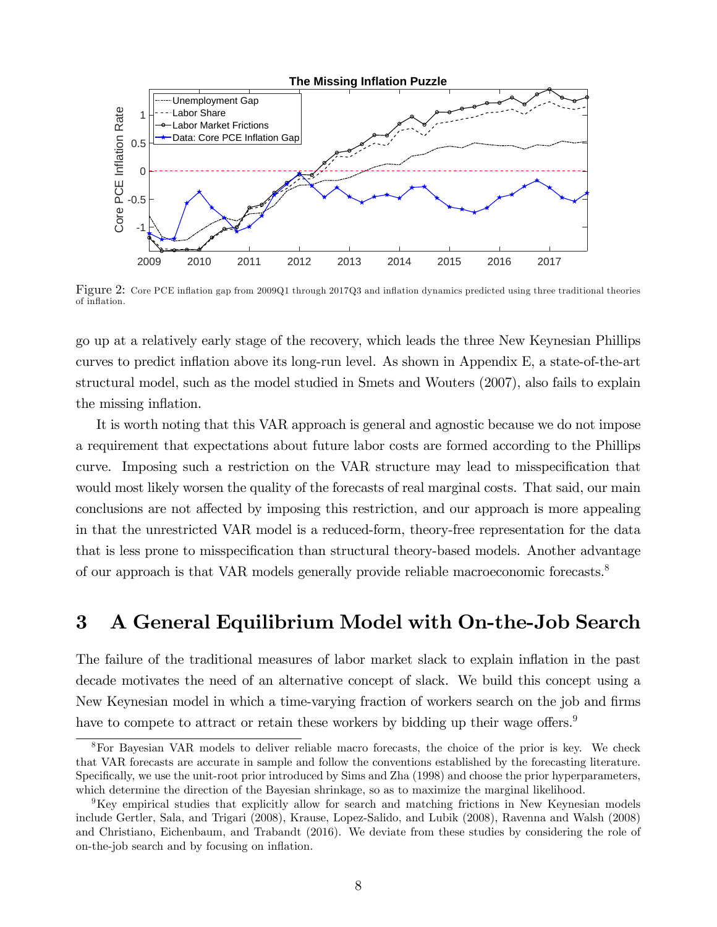

Figure 2: Core PCE inflation gap from 2009Q1 through 2017Q3 and inflation dynamics predicted using three traditional theories of inflation.

go up at a relatively early stage of the recovery, which leads the three New Keynesian Phillips curves to predict inflation above its long-run level. As shown in Appendix E, a state-of-the-art structural model, such as the model studied in Smets and Wouters (2007), also fails to explain the missing inflation.

It is worth noting that this VAR approach is general and agnostic because we do not impose a requirement that expectations about future labor costs are formed according to the Phillips curve. Imposing such a restriction on the VAR structure may lead to misspecification that would most likely worsen the quality of the forecasts of real marginal costs. That said, our main conclusions are not affected by imposing this restriction, and our approach is more appealing in that the unrestricted VAR model is a reduced-form, theory-free representation for the data that is less prone to misspecification than structural theory-based models. Another advantage of our approach is that VAR models generally provide reliable macroeconomic forecasts.<sup>8</sup>

## 3 A General Equilibrium Model with On-the-Job Search

The failure of the traditional measures of labor market slack to explain inflation in the past decade motivates the need of an alternative concept of slack. We build this concept using a New Keynesian model in which a time-varying fraction of workers search on the job and firms have to compete to attract or retain these workers by bidding up their wage offers.<sup>9</sup>

<sup>8</sup>For Bayesian VAR models to deliver reliable macro forecasts, the choice of the prior is key. We check that VAR forecasts are accurate in sample and follow the conventions established by the forecasting literature. Specifically, we use the unit-root prior introduced by Sims and Zha (1998) and choose the prior hyperparameters, which determine the direction of the Bayesian shrinkage, so as to maximize the marginal likelihood.

 $9$ Key empirical studies that explicitly allow for search and matching frictions in New Keynesian models include Gertler, Sala, and Trigari (2008), Krause, Lopez-Salido, and Lubik (2008), Ravenna and Walsh (2008) and Christiano, Eichenbaum, and Trabandt (2016). We deviate from these studies by considering the role of on-the-job search and by focusing on inflation.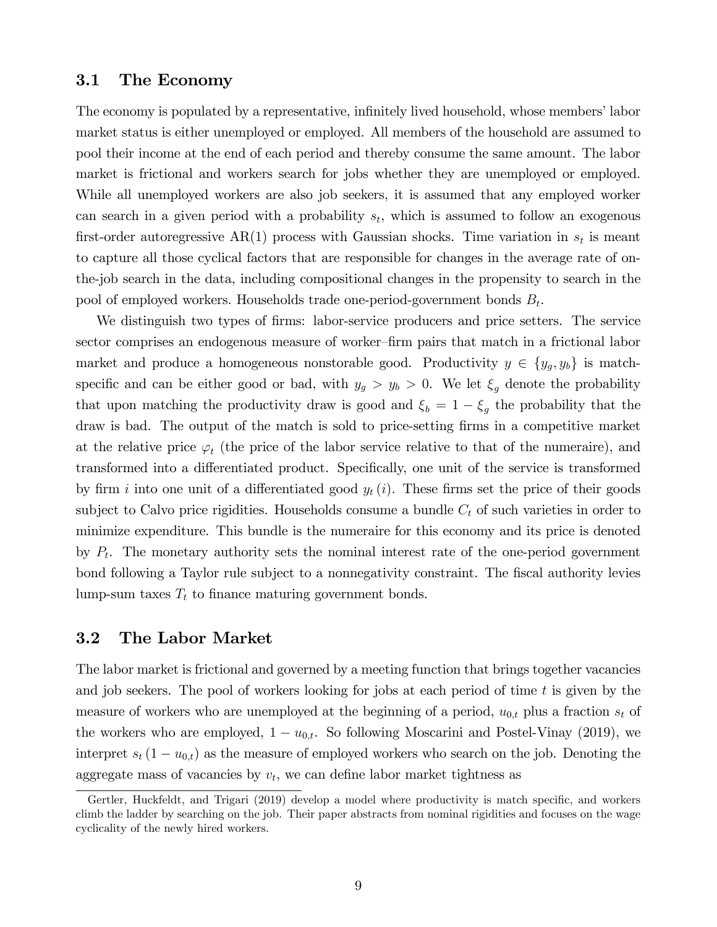#### 3.1 The Economy

The economy is populated by a representative, infinitely lived household, whose members' labor market status is either unemployed or employed. All members of the household are assumed to pool their income at the end of each period and thereby consume the same amount. The labor market is frictional and workers search for jobs whether they are unemployed or employed. While all unemployed workers are also job seekers, it is assumed that any employed worker can search in a given period with a probability  $s_t$ , which is assumed to follow an exogenous first-order autoregressive AR(1) process with Gaussian shocks. Time variation in  $s_t$  is meant to capture all those cyclical factors that are responsible for changes in the average rate of onthe-job search in the data, including compositional changes in the propensity to search in the pool of employed workers. Households trade one-period-government bonds  $B_t$ .

We distinguish two types of firms: labor-service producers and price setters. The service sector comprises an endogenous measure of worker-firm pairs that match in a frictional labor market and produce a homogeneous nonstorable good. Productivity  $y \in \{y_g, y_b\}$  is matchspecific and can be either good or bad, with  $y_g > y_b > 0$ . We let  $\xi_g$  denote the probability that upon matching the productivity draw is good and  $\xi_b = 1 - \xi_g$  the probability that the draw is bad. The output of the match is sold to price-setting Örms in a competitive market at the relative price  $\varphi_t$  (the price of the labor service relative to that of the numeraire), and transformed into a differentiated product. Specifically, one unit of the service is transformed by firm i into one unit of a differentiated good  $y_t(i)$ . These firms set the price of their goods subject to Calvo price rigidities. Households consume a bundle  $C_t$  of such varieties in order to minimize expenditure. This bundle is the numeraire for this economy and its price is denoted by  $P_t$ . The monetary authority sets the nominal interest rate of the one-period government bond following a Taylor rule subject to a nonnegativity constraint. The fiscal authority levies lump-sum taxes  $T_t$  to finance maturing government bonds.

#### 3.2 The Labor Market

The labor market is frictional and governed by a meeting function that brings together vacancies and job seekers. The pool of workers looking for jobs at each period of time t is given by the measure of workers who are unemployed at the beginning of a period,  $u_{0,t}$  plus a fraction  $s_t$  of the workers who are employed,  $1 - u_{0,t}$ . So following Moscarini and Postel-Vinay (2019), we interpret  $s_t (1 - u_{0,t})$  as the measure of employed workers who search on the job. Denoting the aggregate mass of vacancies by  $v_t$ , we can define labor market tightness as

Gertler, Huckfeldt, and Trigari (2019) develop a model where productivity is match specific, and workers climb the ladder by searching on the job. Their paper abstracts from nominal rigidities and focuses on the wage cyclicality of the newly hired workers.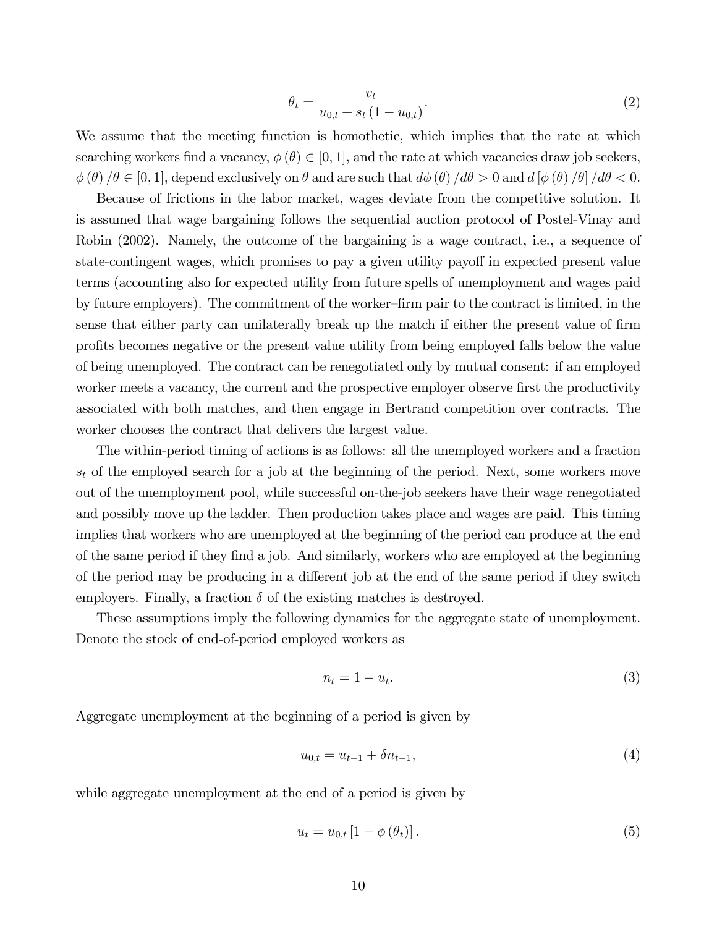$$
\theta_t = \frac{v_t}{u_{0,t} + s_t (1 - u_{0,t})}.
$$
\n(2)

We assume that the meeting function is homothetic, which implies that the rate at which searching workers find a vacancy,  $\phi(\theta) \in [0, 1]$ , and the rate at which vacancies draw job seekers,  $\phi(\theta)/\theta \in [0,1],$  depend exclusively on  $\theta$  and are such that  $d\phi(\theta)/d\theta > 0$  and  $d[\phi(\theta)/\theta]/d\theta < 0.$ 

Because of frictions in the labor market, wages deviate from the competitive solution. It is assumed that wage bargaining follows the sequential auction protocol of Postel-Vinay and Robin (2002). Namely, the outcome of the bargaining is a wage contract, i.e., a sequence of state-contingent wages, which promises to pay a given utility payoff in expected present value terms (accounting also for expected utility from future spells of unemployment and wages paid by future employers). The commitment of the worker-firm pair to the contract is limited, in the sense that either party can unilaterally break up the match if either the present value of firm profits becomes negative or the present value utility from being employed falls below the value of being unemployed. The contract can be renegotiated only by mutual consent: if an employed worker meets a vacancy, the current and the prospective employer observe first the productivity associated with both matches, and then engage in Bertrand competition over contracts. The worker chooses the contract that delivers the largest value.

The within-period timing of actions is as follows: all the unemployed workers and a fraction  $s_t$  of the employed search for a job at the beginning of the period. Next, some workers move out of the unemployment pool, while successful on-the-job seekers have their wage renegotiated and possibly move up the ladder. Then production takes place and wages are paid. This timing implies that workers who are unemployed at the beginning of the period can produce at the end of the same period if they find a job. And similarly, workers who are employed at the beginning of the period may be producing in a different job at the end of the same period if they switch employers. Finally, a fraction  $\delta$  of the existing matches is destroyed.

These assumptions imply the following dynamics for the aggregate state of unemployment. Denote the stock of end-of-period employed workers as

$$
n_t = 1 - u_t. \tag{3}
$$

Aggregate unemployment at the beginning of a period is given by

$$
u_{0,t} = u_{t-1} + \delta n_{t-1},\tag{4}
$$

while aggregate unemployment at the end of a period is given by

$$
u_t = u_{0,t} \left[ 1 - \phi\left(\theta_t\right) \right]. \tag{5}
$$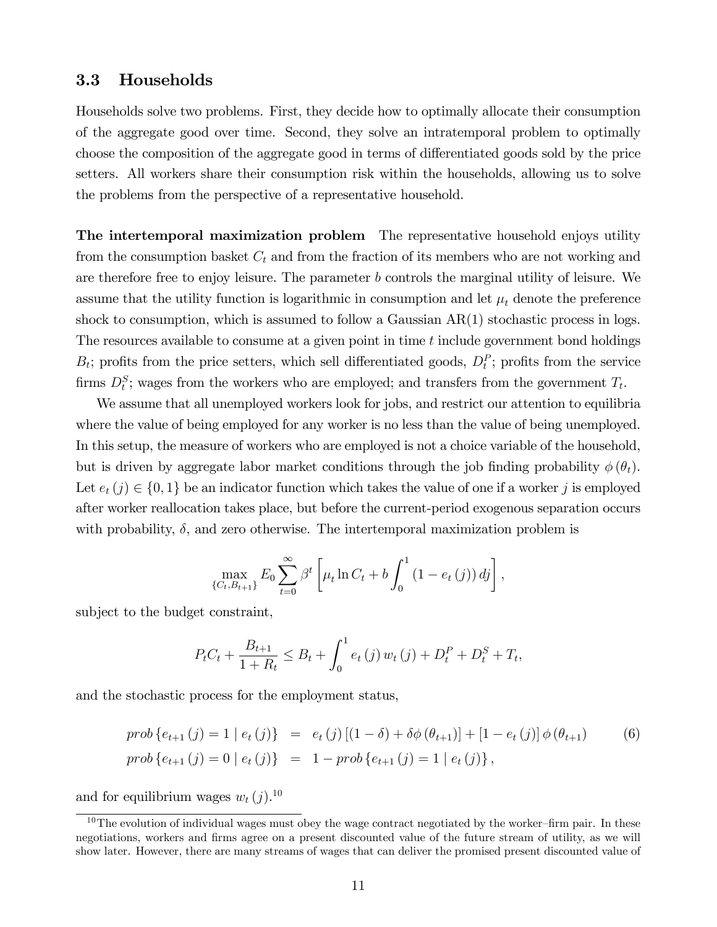#### 3.3 Households

Households solve two problems. First, they decide how to optimally allocate their consumption of the aggregate good over time. Second, they solve an intratemporal problem to optimally choose the composition of the aggregate good in terms of differentiated goods sold by the price setters. All workers share their consumption risk within the households, allowing us to solve the problems from the perspective of a representative household.

**The intertemporal maximization problem** The representative household enjoys utility from the consumption basket  $C_t$  and from the fraction of its members who are not working and are therefore free to enjoy leisure. The parameter  $b$  controls the marginal utility of leisure. We assume that the utility function is logarithmic in consumption and let  $\mu_t$  denote the preference shock to consumption, which is assumed to follow a Gaussian AR(1) stochastic process in logs. The resources available to consume at a given point in time  $t$  include government bond holdings  $B_t$ ; profits from the price setters, which sell differentiated goods,  $D_t^P$ ; profits from the service firms  $D_t^S$ ; wages from the workers who are employed; and transfers from the government  $T_t$ .

We assume that all unemployed workers look for jobs, and restrict our attention to equilibria where the value of being employed for any worker is no less than the value of being unemployed. In this setup, the measure of workers who are employed is not a choice variable of the household, but is driven by aggregate labor market conditions through the job finding probability  $\phi(\theta_t)$ . Let  $e_t(j) \in \{0, 1\}$  be an indicator function which takes the value of one if a worker j is employed after worker reallocation takes place, but before the current-period exogenous separation occurs with probability,  $\delta$ , and zero otherwise. The intertemporal maximization problem is

$$
\max_{\{C_t, B_{t+1}\}} E_0 \sum_{t=0}^{\infty} \beta^t \left[ \mu_t \ln C_t + b \int_0^1 (1 - e_t(j)) \, dj \right],
$$

subject to the budget constraint,

$$
P_{t}C_{t} + \frac{B_{t+1}}{1+R_{t}} \leq B_{t} + \int_{0}^{1} e_{t} \left(j\right) w_{t} \left(j\right) + D_{t}^{P} + D_{t}^{S} + T_{t},
$$

and the stochastic process for the employment status,

$$
prob\{e_{t+1}(j) = 1 \mid e_t(j)\} = e_t(j)[(1-\delta) + \delta\phi(\theta_{t+1})] + [1 - e_t(j)]\phi(\theta_{t+1})
$$
(6)  
\n
$$
prob\{e_{t+1}(j) = 0 \mid e_t(j)\} = 1 - prob\{e_{t+1}(j) = 1 \mid e_t(j)\},
$$

and for equilibrium wages  $w_t(j)$ .<sup>10</sup>

 $10$ The evolution of individual wages must obey the wage contract negotiated by the worker–firm pair. In these negotiations, workers and firms agree on a present discounted value of the future stream of utility, as we will show later. However, there are many streams of wages that can deliver the promised present discounted value of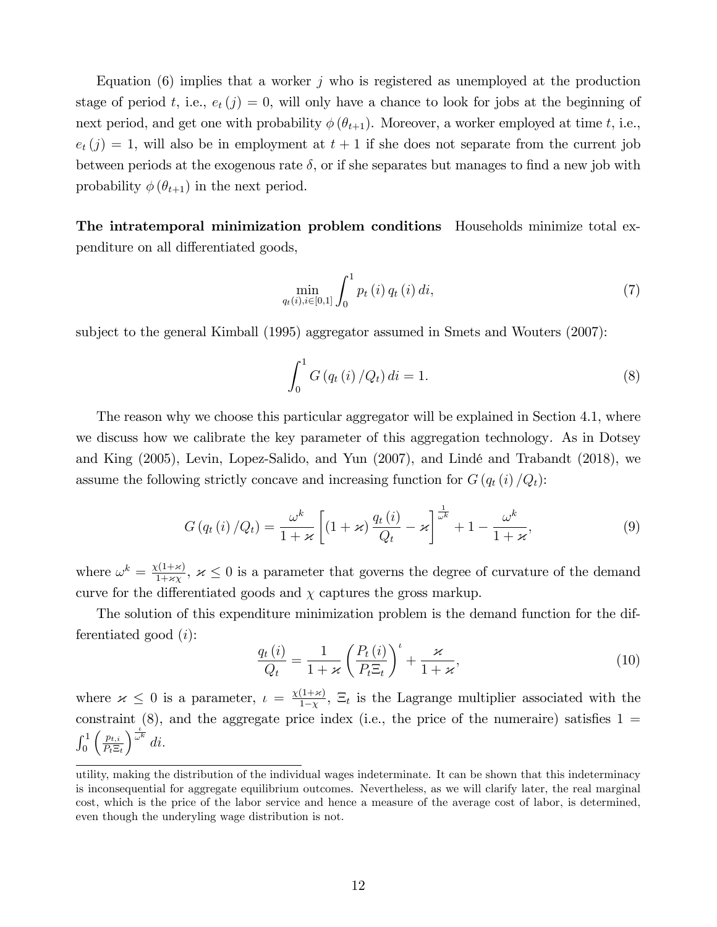Equation (6) implies that a worker j who is registered as unemployed at the production stage of period t, i.e.,  $e_t(j) = 0$ , will only have a chance to look for jobs at the beginning of next period, and get one with probability  $\phi(\theta_{t+1})$ . Moreover, a worker employed at time t, i.e.,  $e_t(j) = 1$ , will also be in employment at  $t + 1$  if she does not separate from the current job between periods at the exogenous rate  $\delta$ , or if she separates but manages to find a new job with probability  $\phi(\theta_{t+1})$  in the next period.

The intratemporal minimization problem conditions Households minimize total expenditure on all differentiated goods,

$$
\min_{q_t(i), i \in [0,1]} \int_0^1 p_t(i) q_t(i) di,
$$
\n(7)

subject to the general Kimball (1995) aggregator assumed in Smets and Wouters (2007):

$$
\int_{0}^{1} G(q_{t}(i)/Q_{t}) di = 1.
$$
 (8)

The reason why we choose this particular aggregator will be explained in Section 4.1, where we discuss how we calibrate the key parameter of this aggregation technology. As in Dotsey and King  $(2005)$ , Levin, Lopez-Salido, and Yun  $(2007)$ , and Lindé and Trabandt  $(2018)$ , we assume the following strictly concave and increasing function for  $G(q_t(i)/Q_t)$ :

$$
G\left(q_{t}\left(i\right)/Q_{t}\right)=\frac{\omega^{k}}{1+\varkappa}\left[\left(1+\varkappa\right)\frac{q_{t}\left(i\right)}{Q_{t}}-\varkappa\right]^{\frac{1}{\omega^{k}}}+1-\frac{\omega^{k}}{1+\varkappa},\tag{9}
$$

where  $\omega^k = \frac{\chi(1+\varkappa)}{1+\varkappa\gamma}$  $\frac{d(1+x)}{1+x}$ ,  $x \leq 0$  is a parameter that governs the degree of curvature of the demand curve for the differentiated goods and  $\chi$  captures the gross markup.

The solution of this expenditure minimization problem is the demand function for the differentiated good  $(i)$ :

$$
\frac{q_t(i)}{Q_t} = \frac{1}{1+\varkappa} \left(\frac{P_t(i)}{P_t \Xi_t}\right)^t + \frac{\varkappa}{1+\varkappa},\tag{10}
$$

where  $x \leq 0$  is a parameter,  $u = \frac{\chi(1+x)}{1-\chi}$  $\frac{(1+x)}{1-x}$ ,  $\Xi_t$  is the Lagrange multiplier associated with the constraint (8), and the aggregate price index (i.e., the price of the numeraire) satisfies  $1 =$  $\int_0^1$  $\int p_{t,i}$  $P_t \Xi_t$  $\int^{\frac{t}{\omega^k}} di.$ 

utility, making the distribution of the individual wages indeterminate. It can be shown that this indeterminacy is inconsequential for aggregate equilibrium outcomes. Nevertheless, as we will clarify later, the real marginal cost, which is the price of the labor service and hence a measure of the average cost of labor, is determined, even though the underyling wage distribution is not.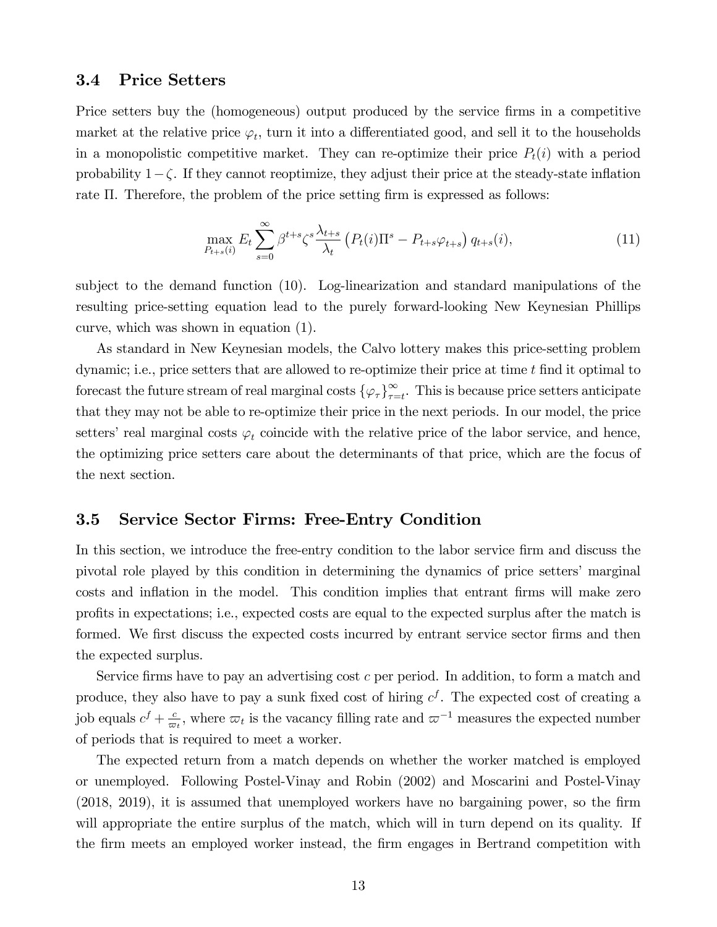#### 3.4 Price Setters

Price setters buy the (homogeneous) output produced by the service firms in a competitive market at the relative price  $\varphi_t$ , turn it into a differentiated good, and sell it to the households in a monopolistic competitive market. They can re-optimize their price  $P_t(i)$  with a period probability  $1-\zeta$ . If they cannot reoptimize, they adjust their price at the steady-state inflation rate  $\Pi$ . Therefore, the problem of the price setting firm is expressed as follows:

$$
\max_{P_{t+s}(i)} E_t \sum_{s=0}^{\infty} \beta^{t+s} \zeta^s \frac{\lambda_{t+s}}{\lambda_t} \left( P_t(i) \Pi^s - P_{t+s} \varphi_{t+s} \right) q_{t+s}(i), \tag{11}
$$

subject to the demand function (10). Log-linearization and standard manipulations of the resulting price-setting equation lead to the purely forward-looking New Keynesian Phillips curve, which was shown in equation (1).

As standard in New Keynesian models, the Calvo lottery makes this price-setting problem dynamic; i.e., price setters that are allowed to re-optimize their price at time  $t$  find it optimal to forecast the future stream of real marginal costs  $\{\varphi_{\tau}\}_{\tau=t}^{\infty}$ . This is because price setters anticipate that they may not be able to re-optimize their price in the next periods. In our model, the price setters' real marginal costs  $\varphi_t$  coincide with the relative price of the labor service, and hence, the optimizing price setters care about the determinants of that price, which are the focus of the next section.

#### 3.5 Service Sector Firms: Free-Entry Condition

In this section, we introduce the free-entry condition to the labor service firm and discuss the pivotal role played by this condition in determining the dynamics of price setters' marginal costs and inflation in the model. This condition implies that entrant firms will make zero profits in expectations; i.e., expected costs are equal to the expected surplus after the match is formed. We first discuss the expected costs incurred by entrant service sector firms and then the expected surplus.

Service firms have to pay an advertising cost  $c$  per period. In addition, to form a match and produce, they also have to pay a sunk fixed cost of hiring  $c^f$ . The expected cost of creating a job equals  $c^f + \frac{c}{\sqrt{2}}$  $\frac{c}{\omega_t}$ , where  $\omega_t$  is the vacancy filling rate and  $\omega^{-1}$  measures the expected number of periods that is required to meet a worker.

The expected return from a match depends on whether the worker matched is employed or unemployed. Following Postel-Vinay and Robin (2002) and Moscarini and Postel-Vinay  $(2018, 2019)$ , it is assumed that unemployed workers have no bargaining power, so the firm will appropriate the entire surplus of the match, which will in turn depend on its quality. If the Örm meets an employed worker instead, the Örm engages in Bertrand competition with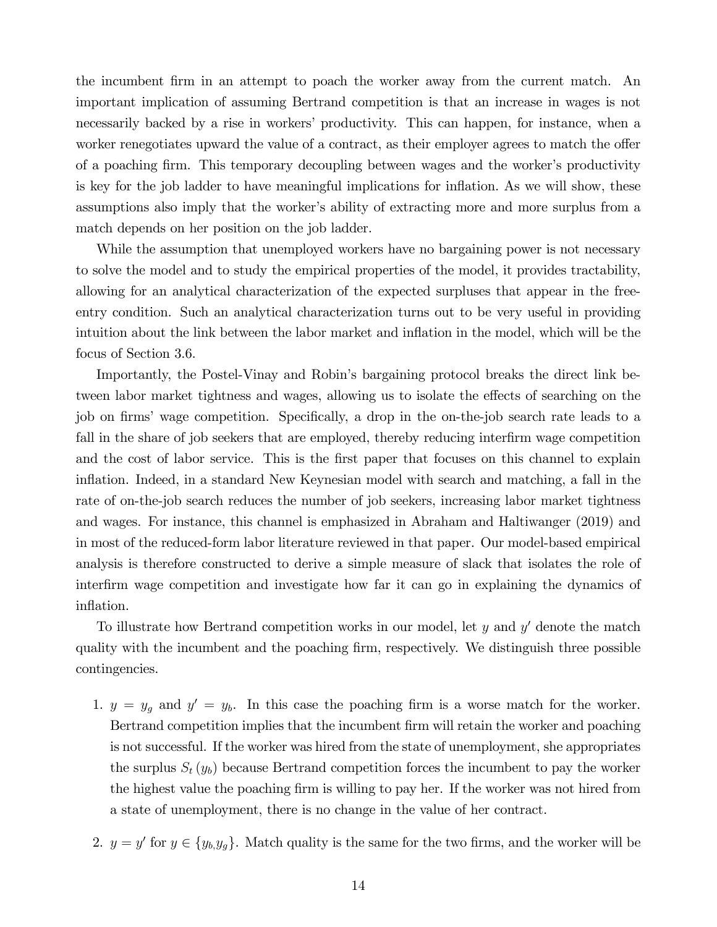the incumbent firm in an attempt to poach the worker away from the current match. An important implication of assuming Bertrand competition is that an increase in wages is not necessarily backed by a rise in workers' productivity. This can happen, for instance, when a worker renegotiates upward the value of a contract, as their employer agrees to match the offer of a poaching firm. This temporary decoupling between wages and the worker's productivity is key for the job ladder to have meaningful implications for inflation. As we will show, these assumptions also imply that the worker's ability of extracting more and more surplus from a match depends on her position on the job ladder.

While the assumption that unemployed workers have no bargaining power is not necessary to solve the model and to study the empirical properties of the model, it provides tractability, allowing for an analytical characterization of the expected surpluses that appear in the freeentry condition. Such an analytical characterization turns out to be very useful in providing intuition about the link between the labor market and inflation in the model, which will be the focus of Section 3.6.

Importantly, the Postel-Vinay and Robin's bargaining protocol breaks the direct link between labor market tightness and wages, allowing us to isolate the effects of searching on the job on firms' wage competition. Specifically, a drop in the on-the-job search rate leads to a fall in the share of job seekers that are employed, thereby reducing interfirm wage competition and the cost of labor service. This is the first paper that focuses on this channel to explain inflation. Indeed, in a standard New Keynesian model with search and matching, a fall in the rate of on-the-job search reduces the number of job seekers, increasing labor market tightness and wages. For instance, this channel is emphasized in Abraham and Haltiwanger (2019) and in most of the reduced-form labor literature reviewed in that paper. Our model-based empirical analysis is therefore constructed to derive a simple measure of slack that isolates the role of interfirm wage competition and investigate how far it can go in explaining the dynamics of inflation.

To illustrate how Bertrand competition works in our model, let  $y$  and  $y'$  denote the match quality with the incumbent and the poaching Örm, respectively. We distinguish three possible contingencies.

- 1.  $y = y_g$  and  $y' = y_b$ . In this case the poaching firm is a worse match for the worker. Bertrand competition implies that the incumbent firm will retain the worker and poaching is not successful. If the worker was hired from the state of unemployment, she appropriates the surplus  $S_t(y_b)$  because Bertrand competition forces the incumbent to pay the worker the highest value the poaching firm is willing to pay her. If the worker was not hired from a state of unemployment, there is no change in the value of her contract.
- 2.  $y = y'$  for  $y \in \{y_{b}, y_{g}\}$ . Match quality is the same for the two firms, and the worker will be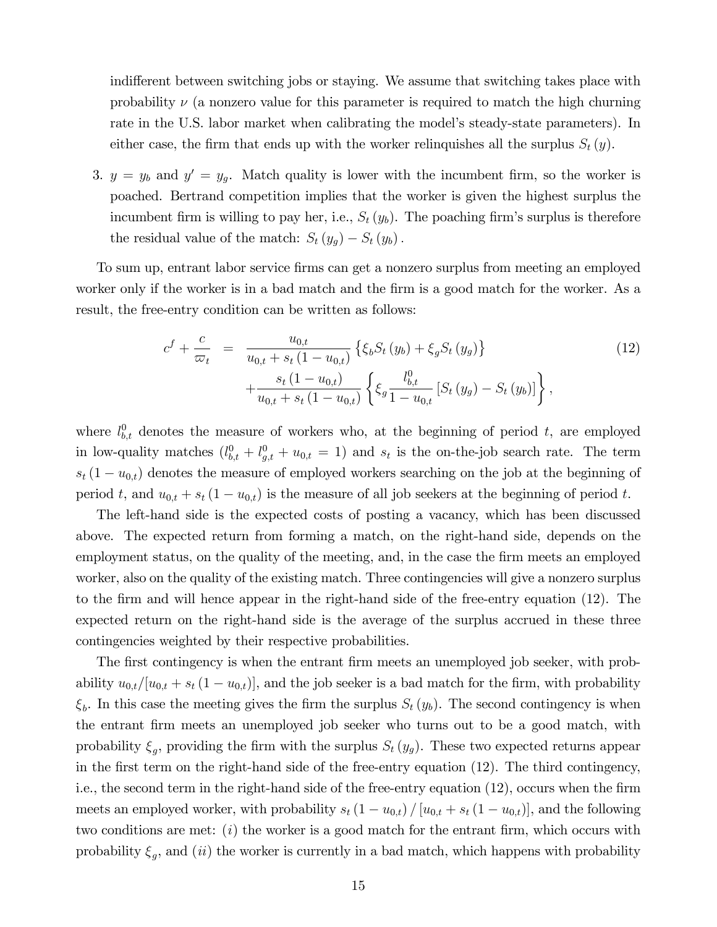indifferent between switching jobs or staying. We assume that switching takes place with probability  $\nu$  (a nonzero value for this parameter is required to match the high churning rate in the U.S. labor market when calibrating the model's steady-state parameters). In either case, the firm that ends up with the worker relinquishes all the surplus  $S_t(y)$ .

3.  $y = y_b$  and  $y' = y_g$ . Match quality is lower with the incumbent firm, so the worker is poached. Bertrand competition implies that the worker is given the highest surplus the incumbent firm is willing to pay her, i.e.,  $S_t(y_b)$ . The poaching firm's surplus is therefore the residual value of the match:  $S_t(y_g) - S_t(y_b)$ .

To sum up, entrant labor service Örms can get a nonzero surplus from meeting an employed worker only if the worker is in a bad match and the firm is a good match for the worker. As a result, the free-entry condition can be written as follows:

$$
c^{f} + \frac{c}{\varpi_{t}} = \frac{u_{0,t}}{u_{0,t} + s_{t} (1 - u_{0,t})} \left\{ \xi_{b} S_{t} (y_{b}) + \xi_{g} S_{t} (y_{g}) \right\} + \frac{s_{t} (1 - u_{0,t})}{u_{0,t} + s_{t} (1 - u_{0,t})} \left\{ \xi_{g} \frac{l_{b,t}^{0}}{1 - u_{0,t}} [S_{t} (y_{g}) - S_{t} (y_{b})] \right\},
$$
\n(12)

where  $l_{b,t}^{0}$  denotes the measure of workers who, at the beginning of period t, are employed in low-quality matches  $(l_{b,t}^0 + l_{g,t}^0 + u_{0,t} = 1)$  and  $s_t$  is the on-the-job search rate. The term  $s_t (1 - u_{0,t})$  denotes the measure of employed workers searching on the job at the beginning of period t, and  $u_{0,t} + s_t (1 - u_{0,t})$  is the measure of all job seekers at the beginning of period t.

The left-hand side is the expected costs of posting a vacancy, which has been discussed above. The expected return from forming a match, on the right-hand side, depends on the employment status, on the quality of the meeting, and, in the case the firm meets an employed worker, also on the quality of the existing match. Three contingencies will give a nonzero surplus to the Örm and will hence appear in the right-hand side of the free-entry equation (12). The expected return on the right-hand side is the average of the surplus accrued in these three contingencies weighted by their respective probabilities.

The first contingency is when the entrant firm meets an unemployed job seeker, with probability  $u_{0,t}/[u_{0,t} + s_t (1 - u_{0,t})]$ , and the job seeker is a bad match for the firm, with probability  $\xi_b$ . In this case the meeting gives the firm the surplus  $S_t(y_b)$ . The second contingency is when the entrant firm meets an unemployed job seeker who turns out to be a good match, with probability  $\xi_g$ , providing the firm with the surplus  $S_t(y_g)$ . These two expected returns appear in the first term on the right-hand side of the free-entry equation (12). The third contingency, i.e., the second term in the right-hand side of the free-entry equation (12), occurs when the firm meets an employed worker, with probability  $s_t (1 - u_{0,t}) / [u_{0,t} + s_t (1 - u_{0,t})]$ , and the following two conditions are met:  $(i)$  the worker is a good match for the entrant firm, which occurs with probability  $\xi_g$ , and (*ii*) the worker is currently in a bad match, which happens with probability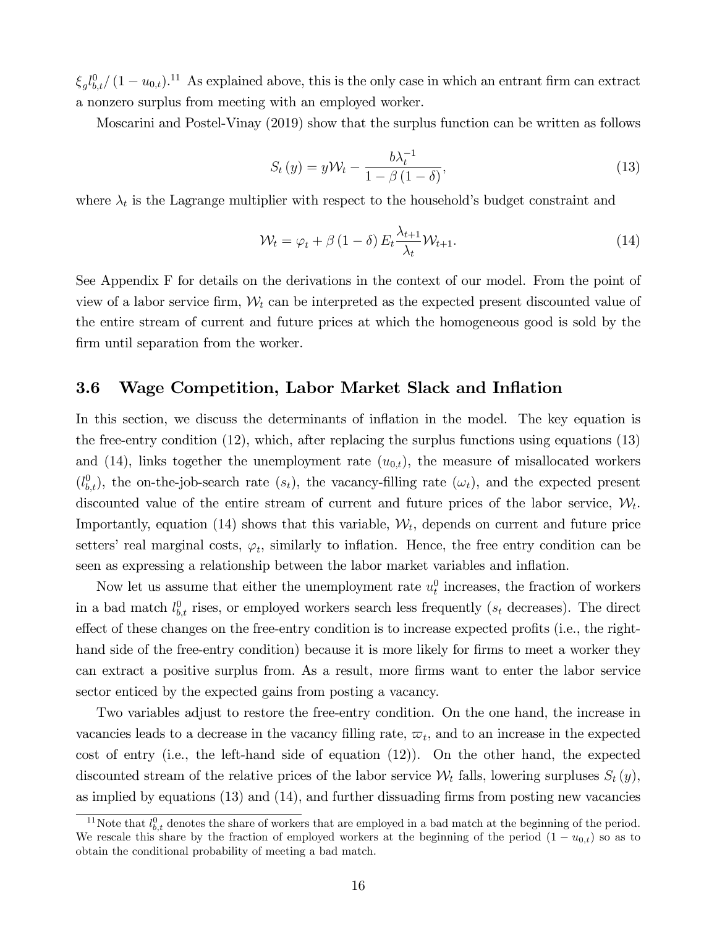$\xi_g l_{b,t}^0/(1 - u_{0,t})$ .<sup>11</sup> As explained above, this is the only case in which an entrant firm can extract a nonzero surplus from meeting with an employed worker.

Moscarini and Postel-Vinay (2019) show that the surplus function can be written as follows

$$
S_t(y) = y\mathcal{W}_t - \frac{b\lambda_t^{-1}}{1 - \beta(1 - \delta)},\tag{13}
$$

where  $\lambda_t$  is the Lagrange multiplier with respect to the household's budget constraint and

$$
\mathcal{W}_{t} = \varphi_{t} + \beta \left( 1 - \delta \right) E_{t} \frac{\lambda_{t+1}}{\lambda_{t}} \mathcal{W}_{t+1}.
$$
\n(14)

See Appendix F for details on the derivations in the context of our model. From the point of view of a labor service firm,  $W_t$  can be interpreted as the expected present discounted value of the entire stream of current and future prices at which the homogeneous good is sold by the firm until separation from the worker.

#### 3.6 Wage Competition, Labor Market Slack and Inflation

In this section, we discuss the determinants of inflation in the model. The key equation is the free-entry condition (12), which, after replacing the surplus functions using equations (13) and (14), links together the unemployment rate  $(u_{0,t})$ , the measure of misallocated workers  $(l_{b,t}^0)$ , the on-the-job-search rate  $(s_t)$ , the vacancy-filling rate  $(\omega_t)$ , and the expected present discounted value of the entire stream of current and future prices of the labor service,  $W_t$ . Importantly, equation (14) shows that this variable,  $\mathcal{W}_t$ , depends on current and future price setters' real marginal costs,  $\varphi_t$ , similarly to inflation. Hence, the free entry condition can be seen as expressing a relationship between the labor market variables and inflation.

Now let us assume that either the unemployment rate  $u_t^0$  increases, the fraction of workers in a bad match  $l_{b,t}^0$  rises, or employed workers search less frequently ( $s_t$  decreases). The direct effect of these changes on the free-entry condition is to increase expected profits (i.e., the righthand side of the free-entry condition) because it is more likely for firms to meet a worker they can extract a positive surplus from. As a result, more Örms want to enter the labor service sector enticed by the expected gains from posting a vacancy.

Two variables adjust to restore the free-entry condition. On the one hand, the increase in vacancies leads to a decrease in the vacancy filling rate,  $\varpi_t$ , and to an increase in the expected cost of entry (i.e., the left-hand side of equation (12)). On the other hand, the expected discounted stream of the relative prices of the labor service  $\mathcal{W}_t$  falls, lowering surpluses  $S_t(y)$ , as implied by equations  $(13)$  and  $(14)$ , and further dissuading firms from posting new vacancies

<sup>&</sup>lt;sup>11</sup>Note that  $l_{b,t}^0$  denotes the share of workers that are employed in a bad match at the beginning of the period. We rescale this share by the fraction of employed workers at the beginning of the period  $(1 - u_{0,t})$  so as to obtain the conditional probability of meeting a bad match.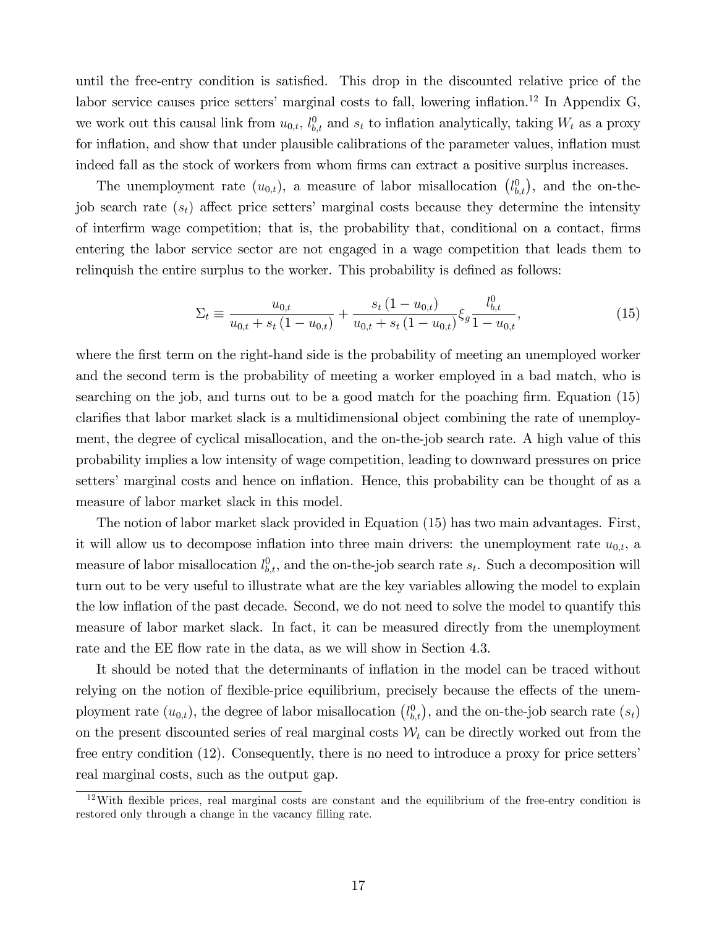until the free-entry condition is satisfied. This drop in the discounted relative price of the labor service causes price setters' marginal costs to fall, lowering inflation.<sup>12</sup> In Appendix G, we work out this causal link from  $u_{0,t}$ ,  $l_{b,t}^0$  and  $s_t$  to inflation analytically, taking  $W_t$  as a proxy for inflation, and show that under plausible calibrations of the parameter values, inflation must indeed fall as the stock of workers from whom firms can extract a positive surplus increases.

The unemployment rate  $(u_{0,t})$ , a measure of labor misallocation  $(l_{b,t}^0)$ , and the on-thejob search rate  $(s_t)$  affect price setters' marginal costs because they determine the intensity of interfirm wage competition; that is, the probability that, conditional on a contact, firms entering the labor service sector are not engaged in a wage competition that leads them to relinquish the entire surplus to the worker. This probability is defined as follows:

$$
\Sigma_{t} \equiv \frac{u_{0,t}}{u_{0,t} + s_{t} \left(1 - u_{0,t}\right)} + \frac{s_{t} \left(1 - u_{0,t}\right)}{u_{0,t} + s_{t} \left(1 - u_{0,t}\right)} \xi_{g} \frac{l_{b,t}^{0}}{1 - u_{0,t}},\tag{15}
$$

where the first term on the right-hand side is the probability of meeting an unemployed worker and the second term is the probability of meeting a worker employed in a bad match, who is searching on the job, and turns out to be a good match for the poaching firm. Equation  $(15)$ clarifies that labor market slack is a multidimensional object combining the rate of unemployment, the degree of cyclical misallocation, and the on-the-job search rate. A high value of this probability implies a low intensity of wage competition, leading to downward pressures on price setters' marginal costs and hence on inflation. Hence, this probability can be thought of as a measure of labor market slack in this model.

The notion of labor market slack provided in Equation (15) has two main advantages. First, it will allow us to decompose inflation into three main drivers: the unemployment rate  $u_{0,t}$ , a measure of labor misallocation  $l_{b,t}^0$ , and the on-the-job search rate  $s_t$ . Such a decomposition will turn out to be very useful to illustrate what are the key variables allowing the model to explain the low inflation of the past decade. Second, we do not need to solve the model to quantify this measure of labor market slack. In fact, it can be measured directly from the unemployment rate and the EE flow rate in the data, as we will show in Section 4.3.

It should be noted that the determinants of inflation in the model can be traced without relying on the notion of flexible-price equilibrium, precisely because the effects of the unemployment rate  $(u_{0,t})$ , the degree of labor misallocation  $(l_{b,t}^0)$ , and the on-the-job search rate  $(s_t)$ on the present discounted series of real marginal costs  $W_t$  can be directly worked out from the free entry condition (12). Consequently, there is no need to introduce a proxy for price setters' real marginal costs, such as the output gap.

 $12$ With flexible prices, real marginal costs are constant and the equilibrium of the free-entry condition is restored only through a change in the vacancy filling rate.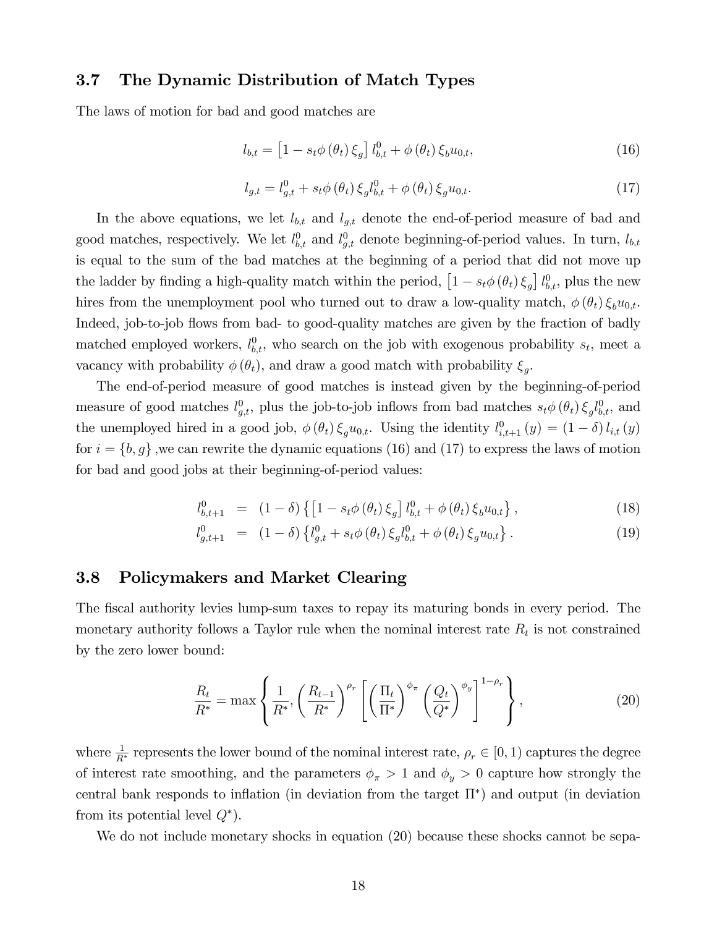#### 3.7 The Dynamic Distribution of Match Types

The laws of motion for bad and good matches are

$$
l_{b,t} = \left[1 - s_t \phi\left(\theta_t\right) \xi_g\right] l_{b,t}^0 + \phi\left(\theta_t\right) \xi_b u_{0,t},\tag{16}
$$

$$
l_{g,t} = l_{g,t}^0 + s_t \phi(\theta_t) \xi_g l_{b,t}^0 + \phi(\theta_t) \xi_g u_{0,t}.
$$
 (17)

In the above equations, we let  $l_{b,t}$  and  $l_{g,t}$  denote the end-of-period measure of bad and good matches, respectively. We let  $l_{b,t}^0$  and  $l_{g,t}^0$  denote beginning-of-period values. In turn,  $l_{b,t}$ is equal to the sum of the bad matches at the beginning of a period that did not move up the ladder by finding a high-quality match within the period,  $\left[1 - s_t \phi(\theta_t) \xi_g\right] l_{b,t}^0$ , plus the new hires from the unemployment pool who turned out to draw a low-quality match,  $\phi(\theta_t) \xi_b u_{0,t}$ . Indeed, job-to-job flows from bad- to good-quality matches are given by the fraction of badly matched employed workers,  $l_{b,t}^0$ , who search on the job with exogenous probability  $s_t$ , meet a vacancy with probability  $\phi(\theta_t)$ , and draw a good match with probability  $\xi_g$ .

The end-of-period measure of good matches is instead given by the beginning-of-period measure of good matches  $l_{g,t}^0$ , plus the job-to-job inflows from bad matches  $s_t \phi(\theta_t) \xi_g l_{b,t}^0$ , and the unemployed hired in a good job,  $\phi(\theta_t) \xi_g u_{0,t}$ . Using the identity  $l_{i,t+1}^0(y) = (1 - \delta) l_{i,t}(y)$ for  $i = \{b, g\}$ , we can rewrite the dynamic equations (16) and (17) to express the laws of motion for bad and good jobs at their beginning-of-period values:

$$
l_{b,t+1}^0 = (1 - \delta) \left\{ \left[ 1 - s_t \phi(\theta_t) \xi_g \right] l_{b,t}^0 + \phi(\theta_t) \xi_b u_{0,t} \right\},\tag{18}
$$

$$
l_{g,t+1}^{0} = (1 - \delta) \left\{ l_{g,t}^{0} + s_t \phi \left( \theta_t \right) \xi_g l_{b,t}^{0} + \phi \left( \theta_t \right) \xi_g u_{0,t} \right\}.
$$
 (19)

#### 3.8 Policymakers and Market Clearing

The fiscal authority levies lump-sum taxes to repay its maturing bonds in every period. The monetary authority follows a Taylor rule when the nominal interest rate  $R_t$  is not constrained by the zero lower bound:

$$
\frac{R_t}{R^*} = \max\left\{\frac{1}{R^*}, \left(\frac{R_{t-1}}{R^*}\right)^{\rho_r} \left[\left(\frac{\Pi_t}{\Pi^*}\right)^{\phi_\pi} \left(\frac{Q_t}{Q^*}\right)^{\phi_y}\right]^{1-\rho_r}\right\},\tag{20}
$$

where  $\frac{1}{R^*}$  represents the lower bound of the nominal interest rate,  $\rho_r \in [0, 1)$  captures the degree of interest rate smoothing, and the parameters  $\phi_{\pi} > 1$  and  $\phi_{y} > 0$  capture how strongly the central bank responds to inflation (in deviation from the target  $\Pi^*$ ) and output (in deviation from its potential level  $Q^*$ ).

We do not include monetary shocks in equation (20) because these shocks cannot be sepa-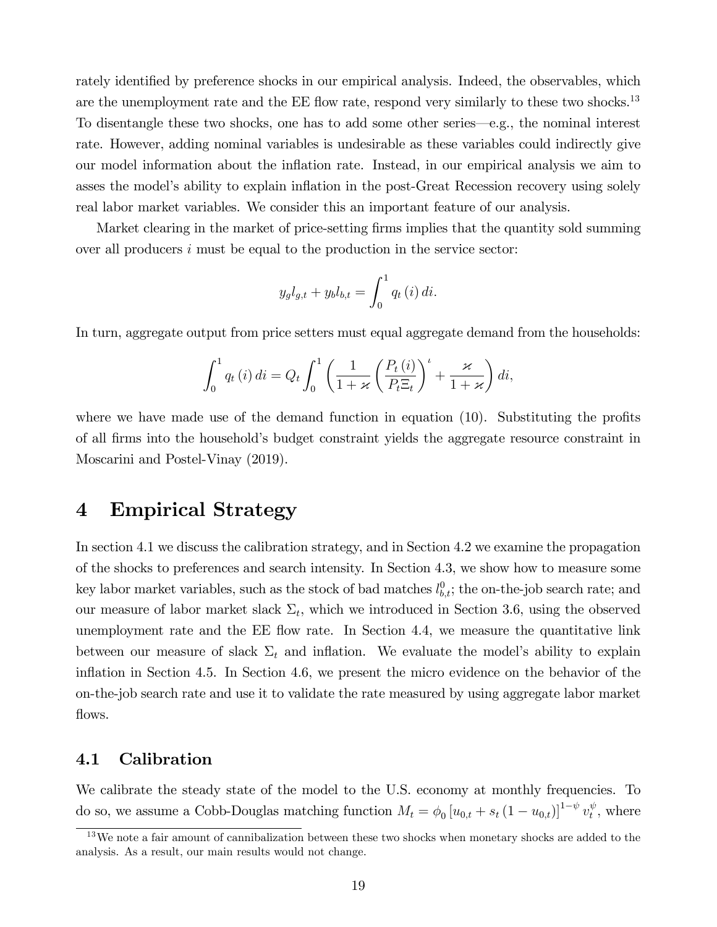rately identified by preference shocks in our empirical analysis. Indeed, the observables, which are the unemployment rate and the EE flow rate, respond very similarly to these two shocks.<sup>13</sup> To disentangle these two shocks, one has to add some other series—e.g., the nominal interest rate. However, adding nominal variables is undesirable as these variables could indirectly give our model information about the ináation rate. Instead, in our empirical analysis we aim to asses the model's ability to explain inflation in the post-Great Recession recovery using solely real labor market variables. We consider this an important feature of our analysis.

Market clearing in the market of price-setting firms implies that the quantity sold summing over all producers  $i$  must be equal to the production in the service sector:

$$
y_g l_{g,t} + y_b l_{b,t} = \int_0^1 q_t(i) \, di.
$$

In turn, aggregate output from price setters must equal aggregate demand from the households:

$$
\int_0^1 q_t(i) \, di = Q_t \int_0^1 \left( \frac{1}{1+\varkappa} \left( \frac{P_t(i)}{P_t \Xi_t} \right)^t + \frac{\varkappa}{1+\varkappa} \right) di,
$$

where we have made use of the demand function in equation  $(10)$ . Substituting the profits of all Örms into the householdís budget constraint yields the aggregate resource constraint in Moscarini and Postel-Vinay (2019).

## 4 Empirical Strategy

In section 4.1 we discuss the calibration strategy, and in Section 4.2 we examine the propagation of the shocks to preferences and search intensity. In Section 4.3, we show how to measure some key labor market variables, such as the stock of bad matches  $l_{b,t}^0$ ; the on-the-job search rate; and our measure of labor market slack  $\Sigma_t$ , which we introduced in Section 3.6, using the observed unemployment rate and the EE flow rate. In Section 4.4, we measure the quantitative link between our measure of slack  $\Sigma_t$  and inflation. We evaluate the model's ability to explain inflation in Section 4.5. In Section 4.6, we present the micro evidence on the behavior of the on-the-job search rate and use it to validate the rate measured by using aggregate labor market flows.

#### 4.1 Calibration

We calibrate the steady state of the model to the U.S. economy at monthly frequencies. To do so, we assume a Cobb-Douglas matching function  $M_t = \phi_0 [u_{0,t} + s_t (1 - u_{0,t})]^{1-\psi} v_t^{\psi}$  $t^v$ , where

<sup>&</sup>lt;sup>13</sup>We note a fair amount of cannibalization between these two shocks when monetary shocks are added to the analysis. As a result, our main results would not change.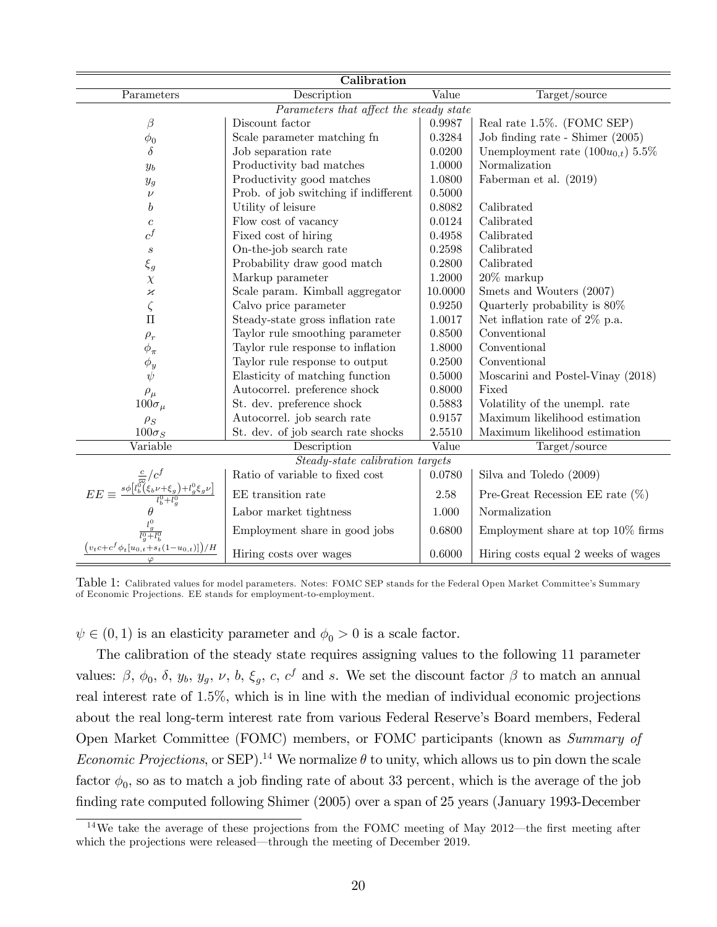| Calibration                                                                     |                                       |         |                                       |
|---------------------------------------------------------------------------------|---------------------------------------|---------|---------------------------------------|
| Parameters                                                                      | Description                           | Value   | Target/source                         |
| Parameters that affect the steady state                                         |                                       |         |                                       |
| $\beta$                                                                         | Discount factor                       | 0.9987  | Real rate 1.5%. (FOMC SEP)            |
| $\phi_0$                                                                        | Scale parameter matching fn           | 0.3284  | Job finding rate - Shimer (2005)      |
| $\delta$                                                                        | Job separation rate                   | 0.0200  | Unemployment rate $(100u_{0,t})$ 5.5% |
| $y_b$                                                                           | Productivity bad matches              | 1.0000  | Normalization                         |
| $y_g$                                                                           | Productivity good matches             | 1.0800  | Faberman et al. (2019)                |
| $\nu$                                                                           | Prob. of job switching if indifferent | 0.5000  |                                       |
| $\boldsymbol{b}$                                                                | Utility of leisure                    | 0.8082  | Calibrated                            |
| $\boldsymbol{c}$                                                                | Flow cost of vacancy                  | 0.0124  | Calibrated                            |
| $c^f$                                                                           | Fixed cost of hiring                  | 0.4958  | Calibrated                            |
| $\boldsymbol{s}$                                                                | On-the-job search rate                | 0.2598  | Calibrated                            |
| $\xi_g$                                                                         | Probability draw good match           | 0.2800  | Calibrated                            |
| $\chi$                                                                          | Markup parameter                      | 1.2000  | $20\%$ markup                         |
| $\boldsymbol{\varkappa}$                                                        | Scale param. Kimball aggregator       | 10.0000 | Smets and Wouters (2007)              |
| $\zeta$                                                                         | Calvo price parameter                 | 0.9250  | Quarterly probability is 80%          |
| $\Pi$                                                                           | Steady-state gross inflation rate     | 1.0017  | Net inflation rate of $2\%$ p.a.      |
| $\rho_r$                                                                        | Taylor rule smoothing parameter       | 0.8500  | Conventional                          |
| $\phi_{\pi}$                                                                    | Taylor rule response to inflation     | 1.8000  | Conventional                          |
| $\phi_y$                                                                        | Taylor rule response to output        | 0.2500  | Conventional                          |
| $\psi$                                                                          | Elasticity of matching function       | 0.5000  | Moscarini and Postel-Vinay (2018)     |
| $\rho_\mu$                                                                      | Autocorrel. preference shock          | 0.8000  | Fixed                                 |
| $100\sigma_{\mu}$                                                               | St. dev. preference shock             | 0.5883  | Volatility of the unempl. rate        |
| $\rho_S$                                                                        | Autocorrel. job search rate           | 0.9157  | Maximum likelihood estimation         |
| $100\sigma_S$                                                                   | St. dev. of job search rate shocks    | 2.5510  | Maximum likelihood estimation         |
| Variable                                                                        | Description                           | Value   | Target/source                         |
| Steady-state calibration targets                                                |                                       |         |                                       |
|                                                                                 | Ratio of variable to fixed cost       | 0.0780  | Silva and Toledo (2009)               |
| $EE \equiv \frac{\frac{c}{\varpi}/c^f}{\frac{l_b^0(\xi_b\nu+\xi_s}{l_b^0+l^0}}$ | EE transition rate                    | 2.58    | Pre-Great Recession EE rate $(\%)$    |
|                                                                                 | Labor market tightness                | 1.000   | Normalization                         |
|                                                                                 | Employment share in good jobs         | 0.6800  | Employment share at top $10\%$ firms  |
| $(v_t c + c^f \phi_t [u_{0,t} + s_t (1 - u_{0,t})])/H$                          | Hiring costs over wages               | 0.6000  | Hiring costs equal 2 weeks of wages   |

Table 1: Calibrated values for model parameters. Notes: FOMC SEP stands for the Federal Open Market Committeeís Summary of Economic Projections. EE stands for employment-to-employment.

 $\psi \in (0, 1)$  is an elasticity parameter and  $\phi_0 > 0$  is a scale factor.

The calibration of the steady state requires assigning values to the following 11 parameter values:  $\beta$ ,  $\phi_0$ ,  $\delta$ ,  $y_b$ ,  $y_g$ ,  $\nu$ ,  $b$ ,  $\xi_g$ ,  $c$ ,  $c^f$  and s. We set the discount factor  $\beta$  to match an annual real interest rate of 1:5%, which is in line with the median of individual economic projections about the real long-term interest rate from various Federal Reserve's Board members, Federal Open Market Committee (FOMC) members, or FOMC participants (known as Summary of Economic Projections, or SEP).<sup>14</sup> We normalize  $\theta$  to unity, which allows us to pin down the scale factor  $\phi_0$ , so as to match a job finding rate of about 33 percent, which is the average of the job finding rate computed following Shimer (2005) over a span of 25 years (January 1993-December

 $14$ We take the average of these projections from the FOMC meeting of May 2012—the first meeting after which the projections were released—through the meeting of December 2019.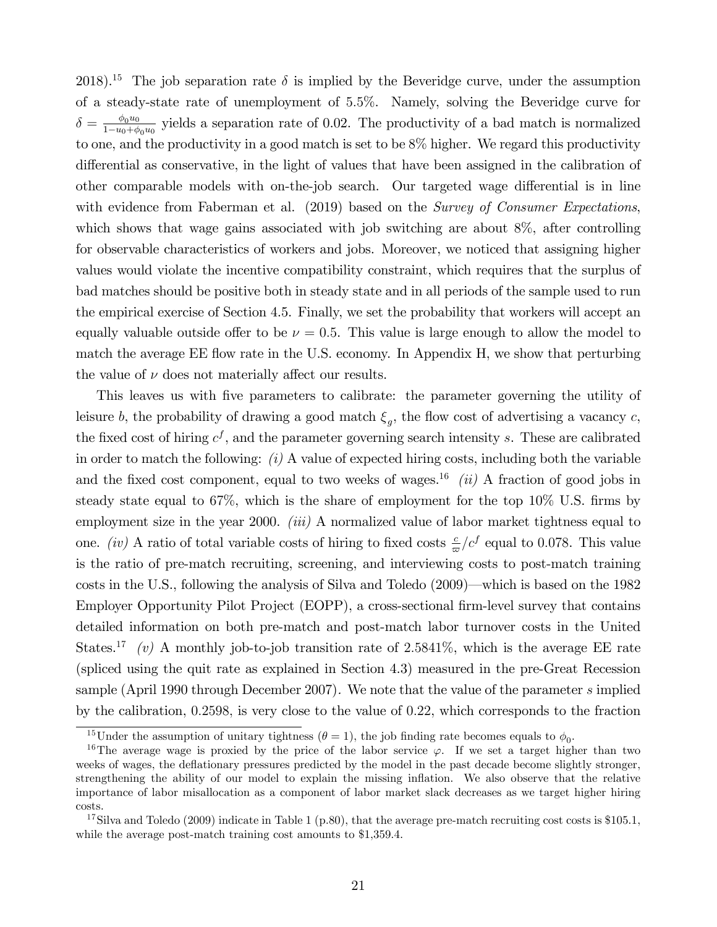2018).<sup>15</sup> The job separation rate  $\delta$  is implied by the Beveridge curve, under the assumption of a steady-state rate of unemployment of 5:5%. Namely, solving the Beveridge curve for  $\delta = \frac{\phi_0 u_0}{1 - u_0 + \phi_0}$  $\frac{\varphi_0 u_0}{1-u_0+\phi_0 u_0}$  yields a separation rate of 0.02. The productivity of a bad match is normalized to one, and the productivity in a good match is set to be 8% higher. We regard this productivity differential as conservative, in the light of values that have been assigned in the calibration of other comparable models with on-the-job search. Our targeted wage differential is in line with evidence from Faberman et al. (2019) based on the Survey of Consumer Expectations, which shows that wage gains associated with job switching are about 8%, after controlling for observable characteristics of workers and jobs. Moreover, we noticed that assigning higher values would violate the incentive compatibility constraint, which requires that the surplus of bad matches should be positive both in steady state and in all periods of the sample used to run the empirical exercise of Section 4.5. Finally, we set the probability that workers will accept an equally valuable outside offer to be  $\nu = 0.5$ . This value is large enough to allow the model to match the average EE áow rate in the U.S. economy. In Appendix H, we show that perturbing the value of  $\nu$  does not materially affect our results.

This leaves us with five parameters to calibrate: the parameter governing the utility of leisure b, the probability of drawing a good match  $\xi_g$ , the flow cost of advertising a vacancy c, the fixed cost of hiring  $c^f$ , and the parameter governing search intensity s. These are calibrated in order to match the following:  $(i)$  A value of expected hiring costs, including both the variable and the fixed cost component, equal to two weeks of wages.<sup>16</sup> (ii) A fraction of good jobs in steady state equal to  $67\%$ , which is the share of employment for the top  $10\%$  U.S. firms by employment size in the year 2000. *(iii)* A normalized value of labor market tightness equal to one. *(iv)* A ratio of total variable costs of hiring to fixed costs  $\frac{c}{\varpi}/c^f$  equal to 0.078. This value is the ratio of pre-match recruiting, screening, and interviewing costs to post-match training costs in the U.S., following the analysis of Silva and Toledo  $(2009)$ —which is based on the 1982 Employer Opportunity Pilot Project (EOPP), a cross-sectional firm-level survey that contains detailed information on both pre-match and post-match labor turnover costs in the United States.<sup>17</sup> (v) A monthly job-to-job transition rate of 2.5841\%, which is the average EE rate (spliced using the quit rate as explained in Section 4.3) measured in the pre-Great Recession sample (April 1990 through December 2007). We note that the value of the parameter s implied by the calibration, 0:2598; is very close to the value of 0:22, which corresponds to the fraction

<sup>&</sup>lt;sup>15</sup>Under the assumption of unitary tightness ( $\theta = 1$ ), the job finding rate becomes equals to  $\phi_0$ .

<sup>&</sup>lt;sup>16</sup>The average wage is proxied by the price of the labor service  $\varphi$ . If we set a target higher than two weeks of wages, the deflationary pressures predicted by the model in the past decade become slightly stronger, strengthening the ability of our model to explain the missing ináation. We also observe that the relative importance of labor misallocation as a component of labor market slack decreases as we target higher hiring costs.

<sup>&</sup>lt;sup>17</sup>Silva and Toledo (2009) indicate in Table 1 (p.80), that the average pre-match recruiting cost costs is \$105.1, while the average post-match training cost amounts to \$1,359.4.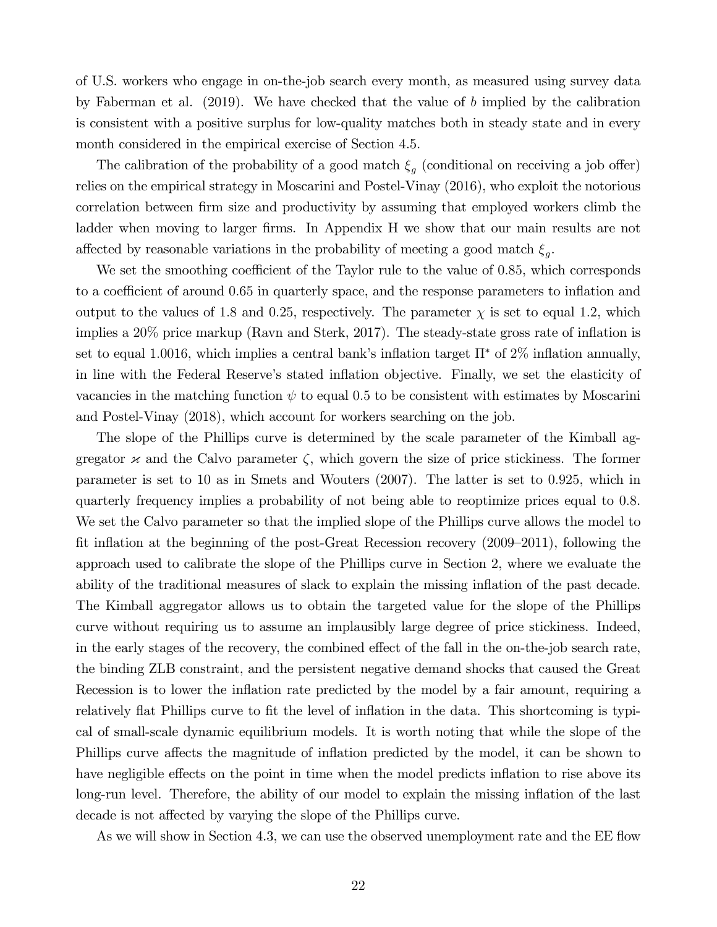of U.S. workers who engage in on-the-job search every month, as measured using survey data by Faberman et al. (2019). We have checked that the value of b implied by the calibration is consistent with a positive surplus for low-quality matches both in steady state and in every month considered in the empirical exercise of Section 4.5.

The calibration of the probability of a good match  $\xi_g$  (conditional on receiving a job offer) relies on the empirical strategy in Moscarini and Postel-Vinay (2016), who exploit the notorious correlation between firm size and productivity by assuming that employed workers climb the ladder when moving to larger firms. In Appendix H we show that our main results are not affected by reasonable variations in the probability of meeting a good match  $\xi_g$ .

We set the smoothing coefficient of the Taylor rule to the value of 0.85, which corresponds to a coefficient of around 0.65 in quarterly space, and the response parameters to inflation and output to the values of 1.8 and 0.25, respectively. The parameter  $\chi$  is set to equal 1.2, which implies a 20% price markup (Ravn and Sterk, 2017). The steady-state gross rate of inflation is set to equal 1.0016, which implies a central bank's inflation target  $\Pi^*$  of 2% inflation annually, in line with the Federal Reserve's stated inflation objective. Finally, we set the elasticity of vacancies in the matching function  $\psi$  to equal 0.5 to be consistent with estimates by Moscarini and Postel-Vinay (2018), which account for workers searching on the job.

The slope of the Phillips curve is determined by the scale parameter of the Kimball aggregator  $\times$  and the Calvo parameter  $\zeta$ , which govern the size of price stickiness. The former parameter is set to 10 as in Smets and Wouters (2007). The latter is set to 0:925, which in quarterly frequency implies a probability of not being able to reoptimize prices equal to 0:8. We set the Calvo parameter so that the implied slope of the Phillips curve allows the model to fit inflation at the beginning of the post-Great Recession recovery  $(2009-2011)$ , following the approach used to calibrate the slope of the Phillips curve in Section 2, where we evaluate the ability of the traditional measures of slack to explain the missing inflation of the past decade. The Kimball aggregator allows us to obtain the targeted value for the slope of the Phillips curve without requiring us to assume an implausibly large degree of price stickiness. Indeed, in the early stages of the recovery, the combined effect of the fall in the on-the-job search rate, the binding ZLB constraint, and the persistent negative demand shocks that caused the Great Recession is to lower the inflation rate predicted by the model by a fair amount, requiring a relatively flat Phillips curve to fit the level of inflation in the data. This shortcoming is typical of small-scale dynamic equilibrium models. It is worth noting that while the slope of the Phillips curve affects the magnitude of inflation predicted by the model, it can be shown to have negligible effects on the point in time when the model predicts inflation to rise above its long-run level. Therefore, the ability of our model to explain the missing inflation of the last decade is not affected by varying the slope of the Phillips curve.

As we will show in Section 4.3, we can use the observed unemployment rate and the EE flow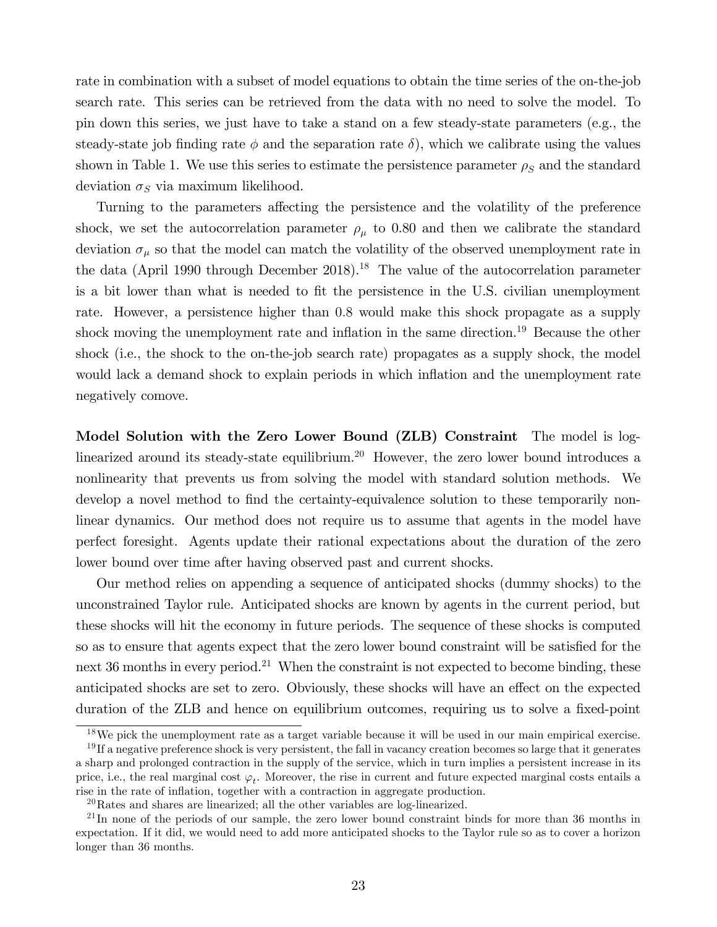rate in combination with a subset of model equations to obtain the time series of the on-the-job search rate. This series can be retrieved from the data with no need to solve the model. To pin down this series, we just have to take a stand on a few steady-state parameters (e.g., the steady-state job finding rate  $\phi$  and the separation rate  $\delta$ , which we calibrate using the values shown in Table 1. We use this series to estimate the persistence parameter  $\rho_S$  and the standard deviation  $\sigma_S$  via maximum likelihood.

Turning to the parameters affecting the persistence and the volatility of the preference shock, we set the autocorrelation parameter  $\rho_{\mu}$  to 0.80 and then we calibrate the standard deviation  $\sigma_{\mu}$  so that the model can match the volatility of the observed unemployment rate in the data (April 1990 through December 2018).<sup>18</sup> The value of the autocorrelation parameter is a bit lower than what is needed to fit the persistence in the U.S. civilian unemployment rate. However, a persistence higher than 0:8 would make this shock propagate as a supply shock moving the unemployment rate and inflation in the same direction.<sup>19</sup> Because the other shock (i.e., the shock to the on-the-job search rate) propagates as a supply shock, the model would lack a demand shock to explain periods in which inflation and the unemployment rate negatively comove.

Model Solution with the Zero Lower Bound (ZLB) Constraint The model is loglinearized around its steady-state equilibrium.<sup>20</sup> However, the zero lower bound introduces a nonlinearity that prevents us from solving the model with standard solution methods. We develop a novel method to find the certainty-equivalence solution to these temporarily nonlinear dynamics. Our method does not require us to assume that agents in the model have perfect foresight. Agents update their rational expectations about the duration of the zero lower bound over time after having observed past and current shocks.

Our method relies on appending a sequence of anticipated shocks (dummy shocks) to the unconstrained Taylor rule. Anticipated shocks are known by agents in the current period, but these shocks will hit the economy in future periods. The sequence of these shocks is computed so as to ensure that agents expect that the zero lower bound constraint will be satisfied for the next  $36$  months in every period.<sup>21</sup> When the constraint is not expected to become binding, these anticipated shocks are set to zero. Obviously, these shocks will have an effect on the expected duration of the ZLB and hence on equilibrium outcomes, requiring us to solve a fixed-point

<sup>&</sup>lt;sup>18</sup>We pick the unemployment rate as a target variable because it will be used in our main empirical exercise.

 $19$  If a negative preference shock is very persistent, the fall in vacancy creation becomes so large that it generates a sharp and prolonged contraction in the supply of the service, which in turn implies a persistent increase in its price, i.e., the real marginal cost  $\varphi_t$ . Moreover, the rise in current and future expected marginal costs entails a rise in the rate of inflation, together with a contraction in aggregate production.

<sup>20</sup>Rates and shares are linearized; all the other variables are log-linearized.

 $^{21}$ In none of the periods of our sample, the zero lower bound constraint binds for more than 36 months in expectation. If it did, we would need to add more anticipated shocks to the Taylor rule so as to cover a horizon longer than 36 months.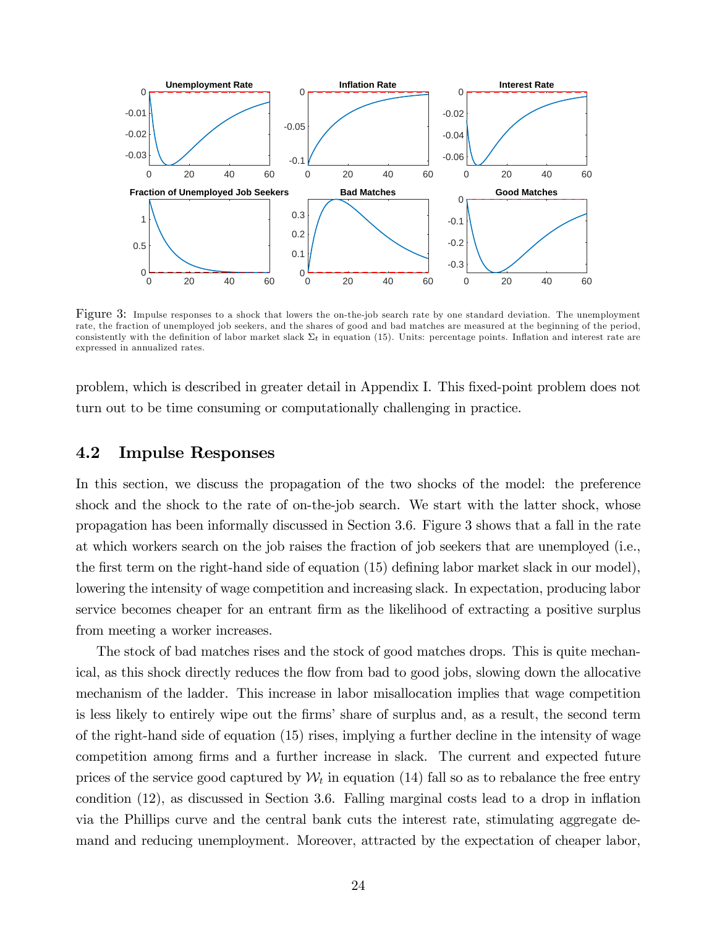

Figure 3: Impulse responses to a shock that lowers the on-the-job search rate by one standard deviation. The unemployment rate, the fraction of unemployed job seekers, and the shares of good and bad matches are measured at the beginning of the period, consistently with the definition of labor market slack  $\Sigma_t$  in equation (15). Units: percentage points. Inflation and interest rate are expressed in annualized rates.

problem, which is described in greater detail in Appendix I. This Öxed-point problem does not turn out to be time consuming or computationally challenging in practice.

#### 4.2 Impulse Responses

In this section, we discuss the propagation of the two shocks of the model: the preference shock and the shock to the rate of on-the-job search. We start with the latter shock, whose propagation has been informally discussed in Section 3.6. Figure 3 shows that a fall in the rate at which workers search on the job raises the fraction of job seekers that are unemployed (i.e., the first term on the right-hand side of equation  $(15)$  defining labor market slack in our model), lowering the intensity of wage competition and increasing slack. In expectation, producing labor service becomes cheaper for an entrant firm as the likelihood of extracting a positive surplus from meeting a worker increases.

The stock of bad matches rises and the stock of good matches drops. This is quite mechanical, as this shock directly reduces the flow from bad to good jobs, slowing down the allocative mechanism of the ladder. This increase in labor misallocation implies that wage competition is less likely to entirely wipe out the firms' share of surplus and, as a result, the second term of the right-hand side of equation (15) rises, implying a further decline in the intensity of wage competition among firms and a further increase in slack. The current and expected future prices of the service good captured by  $\mathcal{W}_t$  in equation (14) fall so as to rebalance the free entry condition  $(12)$ , as discussed in Section 3.6. Falling marginal costs lead to a drop in inflation via the Phillips curve and the central bank cuts the interest rate, stimulating aggregate demand and reducing unemployment. Moreover, attracted by the expectation of cheaper labor,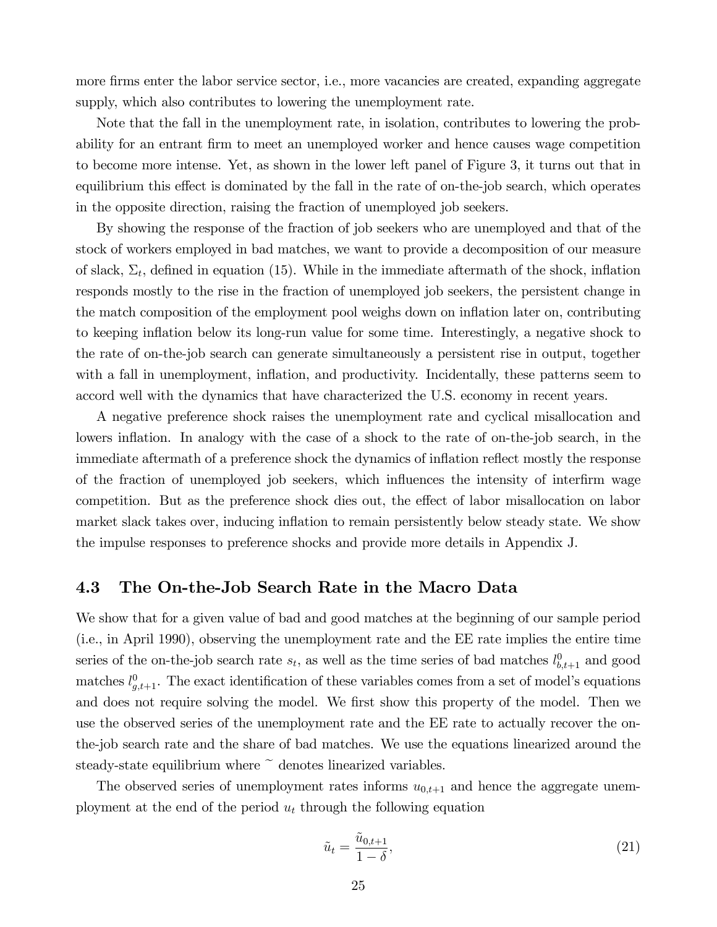more firms enter the labor service sector, i.e., more vacancies are created, expanding aggregate supply, which also contributes to lowering the unemployment rate.

Note that the fall in the unemployment rate, in isolation, contributes to lowering the probability for an entrant Örm to meet an unemployed worker and hence causes wage competition to become more intense. Yet, as shown in the lower left panel of Figure 3, it turns out that in equilibrium this effect is dominated by the fall in the rate of on-the-job search, which operates in the opposite direction, raising the fraction of unemployed job seekers.

By showing the response of the fraction of job seekers who are unemployed and that of the stock of workers employed in bad matches, we want to provide a decomposition of our measure of slack,  $\Sigma_t$ , defined in equation (15). While in the immediate aftermath of the shock, inflation responds mostly to the rise in the fraction of unemployed job seekers, the persistent change in the match composition of the employment pool weighs down on inflation later on, contributing to keeping ináation below its long-run value for some time. Interestingly, a negative shock to the rate of on-the-job search can generate simultaneously a persistent rise in output, together with a fall in unemployment, inflation, and productivity. Incidentally, these patterns seem to accord well with the dynamics that have characterized the U.S. economy in recent years.

A negative preference shock raises the unemployment rate and cyclical misallocation and lowers inflation. In analogy with the case of a shock to the rate of on-the-job search, in the immediate aftermath of a preference shock the dynamics of inflation reflect mostly the response of the fraction of unemployed job seekers, which influences the intensity of interfirm wage competition. But as the preference shock dies out, the effect of labor misallocation on labor market slack takes over, inducing inflation to remain persistently below steady state. We show the impulse responses to preference shocks and provide more details in Appendix J.

#### 4.3 The On-the-Job Search Rate in the Macro Data

We show that for a given value of bad and good matches at the beginning of our sample period (i.e., in April 1990), observing the unemployment rate and the EE rate implies the entire time series of the on-the-job search rate  $s_t$ , as well as the time series of bad matches  $l_{b,t+1}^0$  and good matches  $l_{g,t+1}^0$ . The exact identification of these variables comes from a set of model's equations and does not require solving the model. We first show this property of the model. Then we use the observed series of the unemployment rate and the EE rate to actually recover the onthe-job search rate and the share of bad matches. We use the equations linearized around the steady-state equilibrium where  $\tilde{ }$  denotes linearized variables.

The observed series of unemployment rates informs  $u_{0,t+1}$  and hence the aggregate unemployment at the end of the period  $u_t$  through the following equation

$$
\tilde{u}_t = \frac{\tilde{u}_{0,t+1}}{1 - \delta},\tag{21}
$$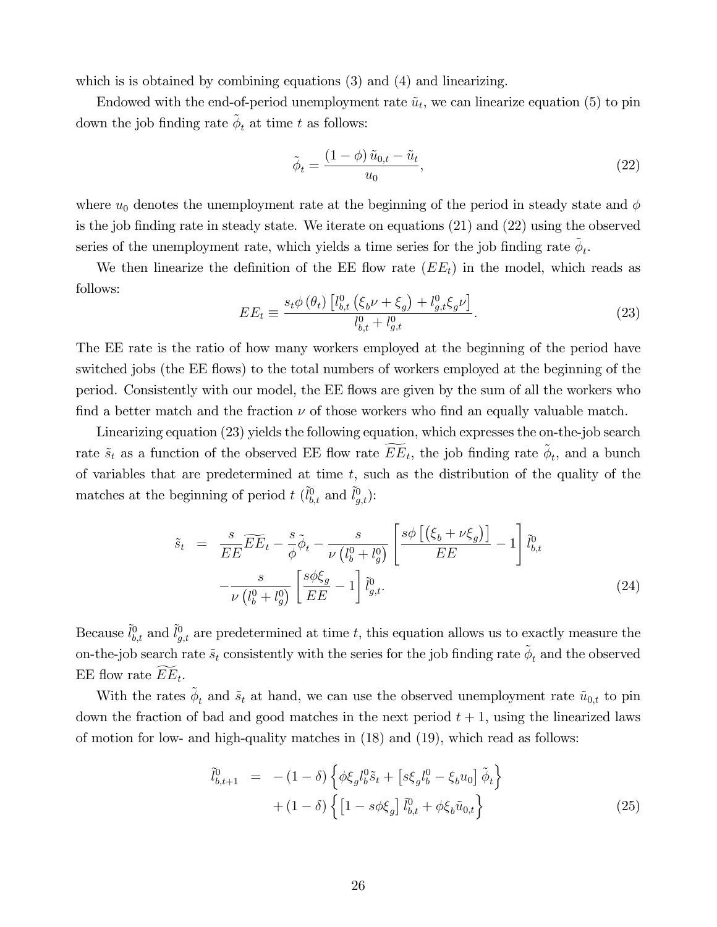which is is obtained by combining equations (3) and (4) and linearizing.

Endowed with the end-of-period unemployment rate  $\tilde{u}_t$ , we can linearize equation (5) to pin down the job finding rate  $\tilde{\phi}_t$  at time t as follows:

$$
\tilde{\phi}_t = \frac{(1 - \phi) \tilde{u}_{0,t} - \tilde{u}_t}{u_0},\tag{22}
$$

where  $u_0$  denotes the unemployment rate at the beginning of the period in steady state and  $\phi$ is the job finding rate in steady state. We iterate on equations  $(21)$  and  $(22)$  using the observed series of the unemployment rate, which yields a time series for the job finding rate  $\tilde{\phi}_t$ .

We then linearize the definition of the EE flow rate  $(EE<sub>t</sub>)$  in the model, which reads as follows:

$$
EE_{t} \equiv \frac{s_{t}\phi\left(\theta_{t}\right)\left[l_{b,t}^{0}\left(\xi_{b}\nu+\xi_{g}\right)+l_{g,t}^{0}\xi_{g}\nu\right]}{l_{b,t}^{0}+l_{g,t}^{0}}.
$$
\n(23)

The EE rate is the ratio of how many workers employed at the beginning of the period have switched jobs (the EE flows) to the total numbers of workers employed at the beginning of the period. Consistently with our model, the EE áows are given by the sum of all the workers who find a better match and the fraction  $\nu$  of those workers who find an equally valuable match.

Linearizing equation (23) yields the following equation, which expresses the on-the-job search rate  $\tilde{s}_t$  as a function of the observed EE flow rate  $\widetilde{EE}_t$ , the job finding rate  $\tilde{\phi}_t$ , and a bunch of variables that are predetermined at time  $t$ , such as the distribution of the quality of the matches at the beginning of period  $t \, (\tilde{l}_{b,t}^0 \text{ and } \tilde{l}_{g,t}^0)$ :

$$
\tilde{s}_t = \frac{s}{EE} \widetilde{EE}_t - \frac{s}{\phi} \tilde{\phi}_t - \frac{s}{\nu \left(l_b^0 + l_g^0\right)} \left[\frac{s\phi \left[\left(\xi_b + \nu \xi_g\right)\right]}{EE} - 1\right] \tilde{l}_{b,t}^0 - \frac{s}{\nu \left(l_b^0 + l_g^0\right)} \left[\frac{s\phi \xi_g}{EE} - 1\right] \tilde{l}_{g,t}^0. \tag{24}
$$

Because  $\tilde{l}_{b,t}^0$  and  $\tilde{l}_{g,t}^0$  are predetermined at time t, this equation allows us to exactly measure the on-the-job search rate  $\tilde{s}_t$  consistently with the series for the job finding rate  $\tilde{\phi}_t$  and the observed EE flow rate  $EE_t$ .

With the rates  $\phi_t$  and  $\tilde{s}_t$  at hand, we can use the observed unemployment rate  $\tilde{u}_{0,t}$  to pin down the fraction of bad and good matches in the next period  $t + 1$ , using the linearized laws of motion for low- and high-quality matches in (18) and (19), which read as follows:

$$
\tilde{l}_{b,t+1}^{0} = -(1-\delta) \left\{ \phi \xi_{g} l_{b}^{0} \tilde{s}_{t} + \left[ s \xi_{g} l_{b}^{0} - \xi_{b} u_{0} \right] \tilde{\phi}_{t} \right\} + (1-\delta) \left\{ \left[ 1 - s \phi \xi_{g} \right] \tilde{l}_{b,t}^{0} + \phi \xi_{b} \tilde{u}_{0,t} \right\}
$$
\n(25)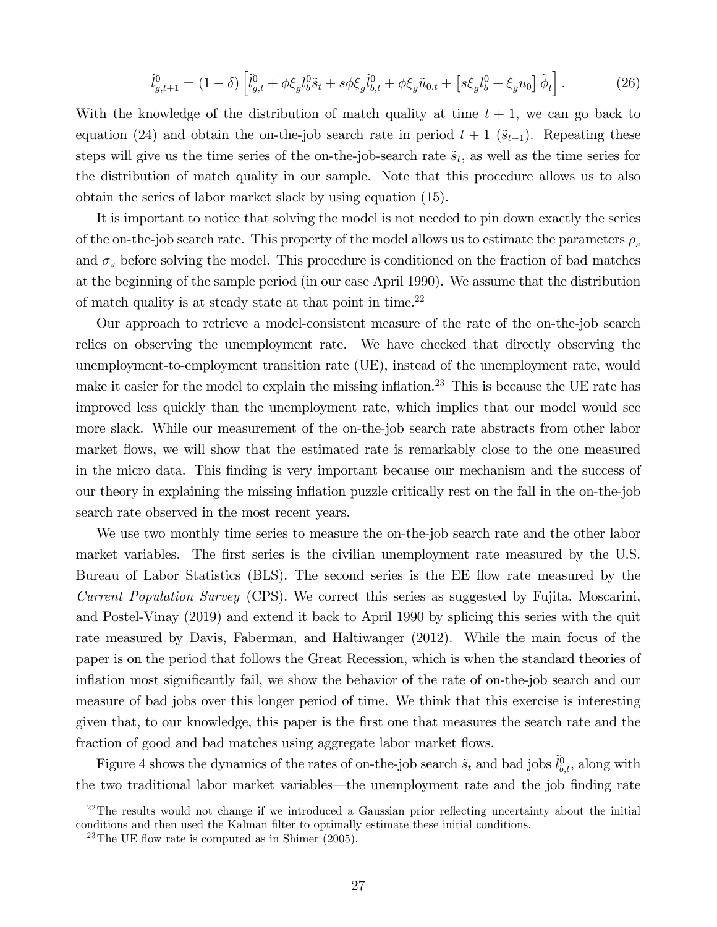$$
\tilde{l}_{g,t+1}^{0} = (1 - \delta) \left[ \tilde{l}_{g,t}^{0} + \phi \xi_{g} l_{b}^{0} \tilde{s}_{t} + s \phi \xi_{g} \tilde{l}_{b,t}^{0} + \phi \xi_{g} \tilde{u}_{0,t} + \left[ s \xi_{g} l_{b}^{0} + \xi_{g} u_{0} \right] \tilde{\phi}_{t} \right].
$$
\n(26)

With the knowledge of the distribution of match quality at time  $t + 1$ , we can go back to equation (24) and obtain the on-the-job search rate in period  $t + 1$  ( $\tilde{s}_{t+1}$ ). Repeating these steps will give us the time series of the on-the-job-search rate  $\tilde{s}_t$ , as well as the time series for the distribution of match quality in our sample. Note that this procedure allows us to also obtain the series of labor market slack by using equation (15).

It is important to notice that solving the model is not needed to pin down exactly the series of the on-the-job search rate. This property of the model allows us to estimate the parameters  $\rho_s$ and  $\sigma_s$  before solving the model. This procedure is conditioned on the fraction of bad matches at the beginning of the sample period (in our case April 1990). We assume that the distribution of match quality is at steady state at that point in time.<sup>22</sup>

Our approach to retrieve a model-consistent measure of the rate of the on-the-job search relies on observing the unemployment rate. We have checked that directly observing the unemployment-to-employment transition rate (UE), instead of the unemployment rate, would make it easier for the model to explain the missing inflation.<sup>23</sup> This is because the UE rate has improved less quickly than the unemployment rate, which implies that our model would see more slack. While our measurement of the on-the-job search rate abstracts from other labor market flows, we will show that the estimated rate is remarkably close to the one measured in the micro data. This Önding is very important because our mechanism and the success of our theory in explaining the missing ináation puzzle critically rest on the fall in the on-the-job search rate observed in the most recent years.

We use two monthly time series to measure the on-the-job search rate and the other labor market variables. The first series is the civilian unemployment rate measured by the U.S. Bureau of Labor Statistics (BLS). The second series is the EE flow rate measured by the Current Population Survey (CPS). We correct this series as suggested by Fujita, Moscarini, and Postel-Vinay (2019) and extend it back to April 1990 by splicing this series with the quit rate measured by Davis, Faberman, and Haltiwanger (2012). While the main focus of the paper is on the period that follows the Great Recession, which is when the standard theories of inflation most significantly fail, we show the behavior of the rate of on-the-job search and our measure of bad jobs over this longer period of time. We think that this exercise is interesting given that, to our knowledge, this paper is the Örst one that measures the search rate and the fraction of good and bad matches using aggregate labor market flows.

Figure 4 shows the dynamics of the rates of on-the-job search  $\tilde{s}_t$  and bad jobs  $\tilde{l}_{b,t}^0$ , along with the two traditional labor market variables—the unemployment rate and the job finding rate

 $22$ The results would not change if we introduced a Gaussian prior reflecting uncertainty about the initial conditions and then used the Kalman filter to optimally estimate these initial conditions.

 $23$ The UE flow rate is computed as in Shimer (2005).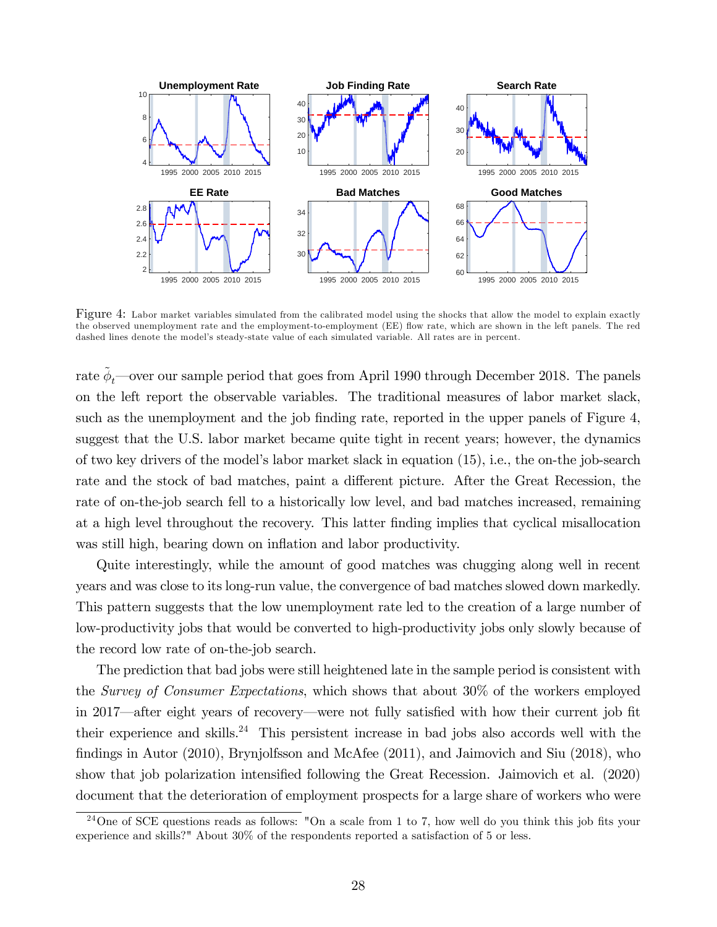

Figure 4: Labor market variables simulated from the calibrated model using the shocks that allow the model to explain exactly the observed unemployment rate and the employment-to-employment (EE) flow rate, which are shown in the left panels. The red dashed lines denote the modelís steady-state value of each simulated variable. All rates are in percent.

rate  $\tilde{\phi}_t$ —over our sample period that goes from April 1990 through December 2018. The panels on the left report the observable variables. The traditional measures of labor market slack, such as the unemployment and the job finding rate, reported in the upper panels of Figure 4, suggest that the U.S. labor market became quite tight in recent years; however, the dynamics of two key drivers of the model's labor market slack in equation (15), i.e., the on-the job-search rate and the stock of bad matches, paint a different picture. After the Great Recession, the rate of on-the-job search fell to a historically low level, and bad matches increased, remaining at a high level throughout the recovery. This latter Önding implies that cyclical misallocation was still high, bearing down on inflation and labor productivity.

Quite interestingly, while the amount of good matches was chugging along well in recent years and was close to its long-run value, the convergence of bad matches slowed down markedly. This pattern suggests that the low unemployment rate led to the creation of a large number of low-productivity jobs that would be converted to high-productivity jobs only slowly because of the record low rate of on-the-job search.

The prediction that bad jobs were still heightened late in the sample period is consistent with the Survey of Consumer Expectations, which shows that about  $30\%$  of the workers employed in 2017—after eight years of recovery—were not fully satisfied with how their current job fit their experience and skills.<sup>24</sup> This persistent increase in bad jobs also accords well with the findings in Autor (2010), Brynjolfsson and McAfee (2011), and Jaimovich and Siu (2018), who show that job polarization intensified following the Great Recession. Jaimovich et al. (2020) document that the deterioration of employment prospects for a large share of workers who were

<sup>&</sup>lt;sup>24</sup>One of SCE questions reads as follows: "On a scale from 1 to 7, how well do you think this job fits your experience and skills?" About 30% of the respondents reported a satisfaction of 5 or less.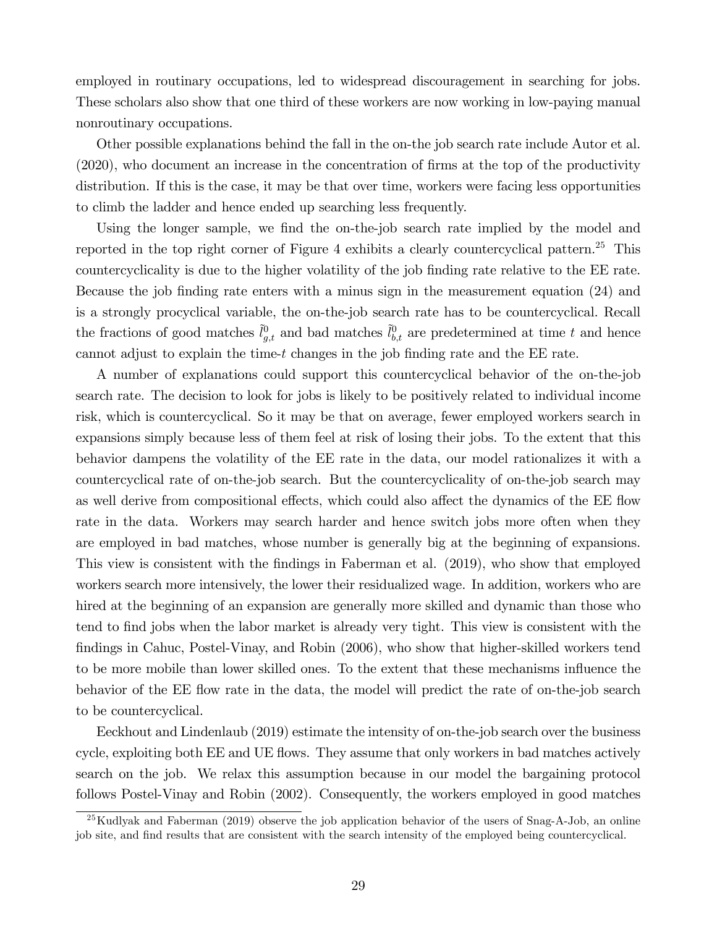employed in routinary occupations, led to widespread discouragement in searching for jobs. These scholars also show that one third of these workers are now working in low-paying manual nonroutinary occupations.

Other possible explanations behind the fall in the on-the job search rate include Autor et al.  $(2020)$ , who document an increase in the concentration of firms at the top of the productivity distribution. If this is the case, it may be that over time, workers were facing less opportunities to climb the ladder and hence ended up searching less frequently.

Using the longer sample, we find the on-the-job search rate implied by the model and reported in the top right corner of Figure 4 exhibits a clearly countercyclical pattern.<sup>25</sup> This countercyclicality is due to the higher volatility of the job finding rate relative to the EE rate. Because the job Önding rate enters with a minus sign in the measurement equation (24) and is a strongly procyclical variable, the on-the-job search rate has to be countercyclical. Recall the fractions of good matches  $\tilde{l}_{g,t}^0$  and bad matches  $\tilde{l}_{b,t}^0$  are predetermined at time t and hence cannot adjust to explain the time- $t$  changes in the job finding rate and the EE rate.

A number of explanations could support this countercyclical behavior of the on-the-job search rate. The decision to look for jobs is likely to be positively related to individual income risk, which is countercyclical. So it may be that on average, fewer employed workers search in expansions simply because less of them feel at risk of losing their jobs. To the extent that this behavior dampens the volatility of the EE rate in the data, our model rationalizes it with a countercyclical rate of on-the-job search. But the countercyclicality of on-the-job search may as well derive from compositional effects, which could also affect the dynamics of the EE flow rate in the data. Workers may search harder and hence switch jobs more often when they are employed in bad matches, whose number is generally big at the beginning of expansions. This view is consistent with the Öndings in Faberman et al. (2019), who show that employed workers search more intensively, the lower their residualized wage. In addition, workers who are hired at the beginning of an expansion are generally more skilled and dynamic than those who tend to find jobs when the labor market is already very tight. This view is consistent with the findings in Cahuc, Postel-Vinay, and Robin (2006), who show that higher-skilled workers tend to be more mobile than lower skilled ones. To the extent that these mechanisms ináuence the behavior of the EE flow rate in the data, the model will predict the rate of on-the-job search to be countercyclical.

Eeckhout and Lindenlaub (2019) estimate the intensity of on-the-job search over the business cycle, exploiting both EE and UE flows. They assume that only workers in bad matches actively search on the job. We relax this assumption because in our model the bargaining protocol follows Postel-Vinay and Robin (2002). Consequently, the workers employed in good matches

 $25$ Kudlyak and Faberman (2019) observe the job application behavior of the users of Snag-A-Job, an online job site, and find results that are consistent with the search intensity of the employed being countercyclical.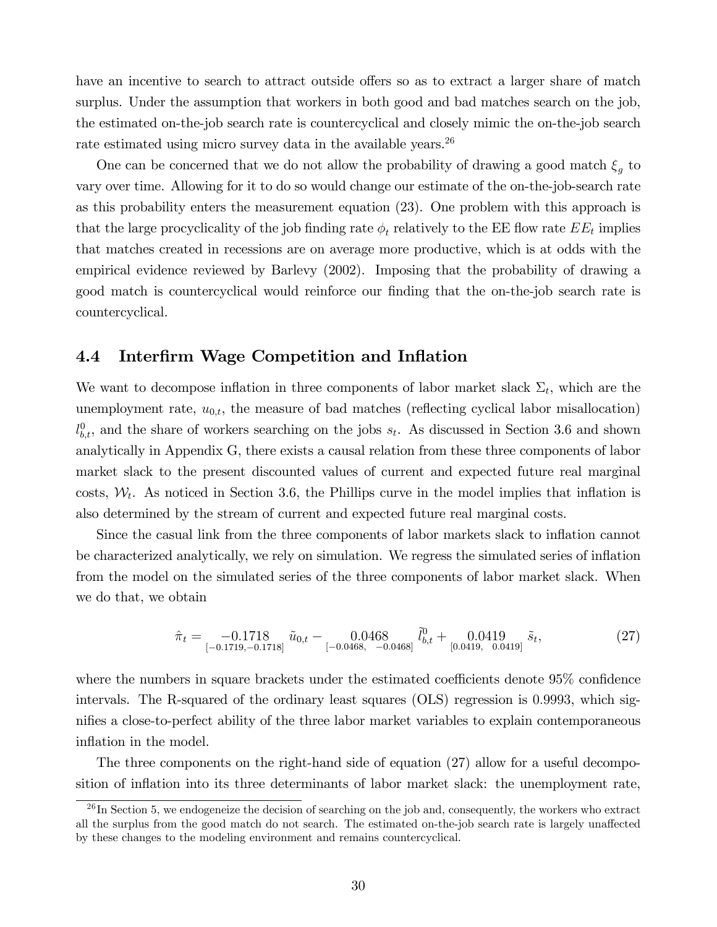have an incentive to search to attract outside offers so as to extract a larger share of match surplus. Under the assumption that workers in both good and bad matches search on the job, the estimated on-the-job search rate is countercyclical and closely mimic the on-the-job search rate estimated using micro survey data in the available years.<sup>26</sup>

One can be concerned that we do not allow the probability of drawing a good match  $\xi_g$  to vary over time. Allowing for it to do so would change our estimate of the on-the-job-search rate as this probability enters the measurement equation (23). One problem with this approach is that the large procyclicality of the job finding rate  $\phi_t$  relatively to the EE flow rate  $EE_t$  implies that matches created in recessions are on average more productive, which is at odds with the empirical evidence reviewed by Barlevy (2002). Imposing that the probability of drawing a good match is countercyclical would reinforce our finding that the on-the-job search rate is countercyclical.

#### 4.4 Interfirm Wage Competition and Inflation

We want to decompose inflation in three components of labor market slack  $\Sigma_t$ , which are the unemployment rate,  $u_{0,t}$ , the measure of bad matches (reflecting cyclical labor misallocation)  $l_{b,t}^0$ , and the share of workers searching on the jobs  $s_t$ . As discussed in Section 3.6 and shown analytically in Appendix G, there exists a causal relation from these three components of labor market slack to the present discounted values of current and expected future real marginal costs,  $W_t$ . As noticed in Section 3.6, the Phillips curve in the model implies that inflation is also determined by the stream of current and expected future real marginal costs.

Since the casual link from the three components of labor markets slack to inflation cannot be characterized analytically, we rely on simulation. We regress the simulated series of ináation from the model on the simulated series of the three components of labor market slack. When we do that, we obtain

$$
\hat{\pi}_t = \underset{[-0.1719, -0.1718]}{ -0.1718} \tilde{u}_{0,t} - \underset{[-0.0468, -0.0468]}{ 0.0468} \tilde{l}_{b,t}^0 + \underset{[0.0419, 0.0419]}{ 0.0419} \tilde{s}_t,\tag{27}
$$

where the numbers in square brackets under the estimated coefficients denote  $95\%$  confidence intervals. The R-squared of the ordinary least squares (OLS) regression is 0:9993, which signifies a close-to-perfect ability of the three labor market variables to explain contemporaneous inflation in the model.

The three components on the right-hand side of equation (27) allow for a useful decomposition of inflation into its three determinants of labor market slack: the unemployment rate,

 $^{26}$  In Section 5, we endogeneize the decision of searching on the job and, consequently, the workers who extract all the surplus from the good match do not search. The estimated on-the-job search rate is largely unaffected by these changes to the modeling environment and remains countercyclical.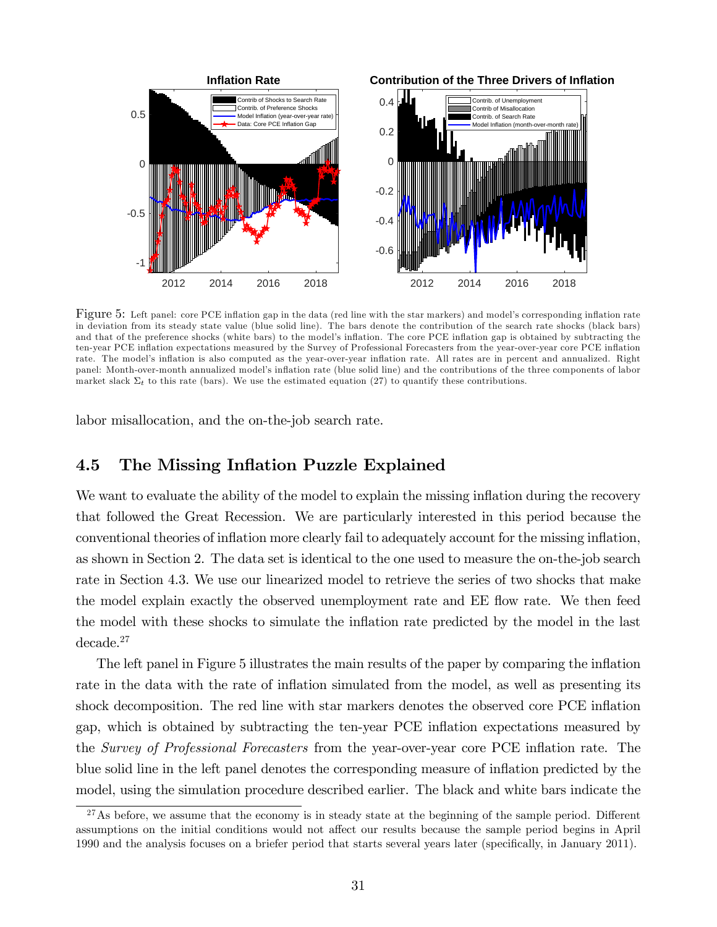

Figure 5: Left panel: core PCE inflation gap in the data (red line with the star markers) and model's corresponding inflation rate in deviation from its steady state value (blue solid line). The bars denote the contribution of the search rate shocks (black bars) and that of the preference shocks (white bars) to the model's inflation. The core PCE inflation gap is obtained by subtracting the ten-year PCE inflation expectations measured by the Survey of Professional Forecasters from the year-over-year core PCE inflation rate. The model's inflation is also computed as the year-over-year inflation rate. All rates are in percent and annualized. Right panel: Month-over-month annualized model's inflation rate (blue solid line) and the contributions of the three components of labor market slack  $\Sigma_t$  to this rate (bars). We use the estimated equation (27) to quantify these contributions.

labor misallocation, and the on-the-job search rate.

#### 4.5 The Missing Inflation Puzzle Explained

We want to evaluate the ability of the model to explain the missing inflation during the recovery that followed the Great Recession. We are particularly interested in this period because the conventional theories of ináation more clearly fail to adequately account for the missing ináation, as shown in Section 2. The data set is identical to the one used to measure the on-the-job search rate in Section 4.3. We use our linearized model to retrieve the series of two shocks that make the model explain exactly the observed unemployment rate and EE flow rate. We then feed the model with these shocks to simulate the inflation rate predicted by the model in the last decade.<sup>27</sup>

The left panel in Figure 5 illustrates the main results of the paper by comparing the inflation rate in the data with the rate of inflation simulated from the model, as well as presenting its shock decomposition. The red line with star markers denotes the observed core PCE inflation gap, which is obtained by subtracting the ten-year PCE ináation expectations measured by the *Survey of Professional Forecasters* from the year-over-year core PCE inflation rate. The blue solid line in the left panel denotes the corresponding measure of ináation predicted by the model, using the simulation procedure described earlier. The black and white bars indicate the

<sup>&</sup>lt;sup>27</sup>As before, we assume that the economy is in steady state at the beginning of the sample period. Different assumptions on the initial conditions would not affect our results because the sample period begins in April 1990 and the analysis focuses on a briefer period that starts several years later (specifically, in January 2011).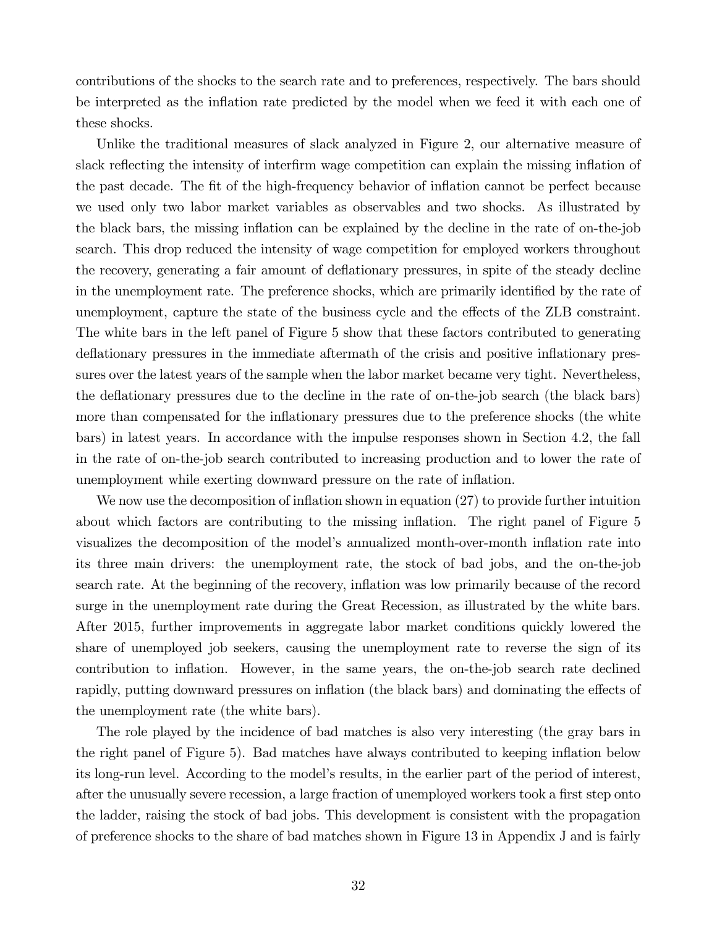contributions of the shocks to the search rate and to preferences, respectively. The bars should be interpreted as the inflation rate predicted by the model when we feed it with each one of these shocks.

Unlike the traditional measures of slack analyzed in Figure 2, our alternative measure of slack reflecting the intensity of interfirm wage competition can explain the missing inflation of the past decade. The fit of the high-frequency behavior of inflation cannot be perfect because we used only two labor market variables as observables and two shocks. As illustrated by the black bars, the missing inflation can be explained by the decline in the rate of on-the-job search. This drop reduced the intensity of wage competition for employed workers throughout the recovery, generating a fair amount of deflationary pressures, in spite of the steady decline in the unemployment rate. The preference shocks, which are primarily identified by the rate of unemployment, capture the state of the business cycle and the effects of the ZLB constraint. The white bars in the left panel of Figure 5 show that these factors contributed to generating deflationary pressures in the immediate aftermath of the crisis and positive inflationary pressures over the latest years of the sample when the labor market became very tight. Nevertheless, the deflationary pressures due to the decline in the rate of on-the-job search (the black bars) more than compensated for the inflationary pressures due to the preference shocks (the white bars) in latest years. In accordance with the impulse responses shown in Section 4.2, the fall in the rate of on-the-job search contributed to increasing production and to lower the rate of unemployment while exerting downward pressure on the rate of inflation.

We now use the decomposition of inflation shown in equation  $(27)$  to provide further intuition about which factors are contributing to the missing ináation. The right panel of Figure 5 visualizes the decomposition of the model's annualized month-over-month inflation rate into its three main drivers: the unemployment rate, the stock of bad jobs, and the on-the-job search rate. At the beginning of the recovery, inflation was low primarily because of the record surge in the unemployment rate during the Great Recession, as illustrated by the white bars. After 2015, further improvements in aggregate labor market conditions quickly lowered the share of unemployed job seekers, causing the unemployment rate to reverse the sign of its contribution to inflation. However, in the same years, the on-the-job search rate declined rapidly, putting downward pressures on inflation (the black bars) and dominating the effects of the unemployment rate (the white bars).

The role played by the incidence of bad matches is also very interesting (the gray bars in the right panel of Figure 5). Bad matches have always contributed to keeping inflation below its long-run level. According to the modelís results, in the earlier part of the period of interest, after the unusually severe recession, a large fraction of unemployed workers took a first step onto the ladder, raising the stock of bad jobs. This development is consistent with the propagation of preference shocks to the share of bad matches shown in Figure 13 in Appendix J and is fairly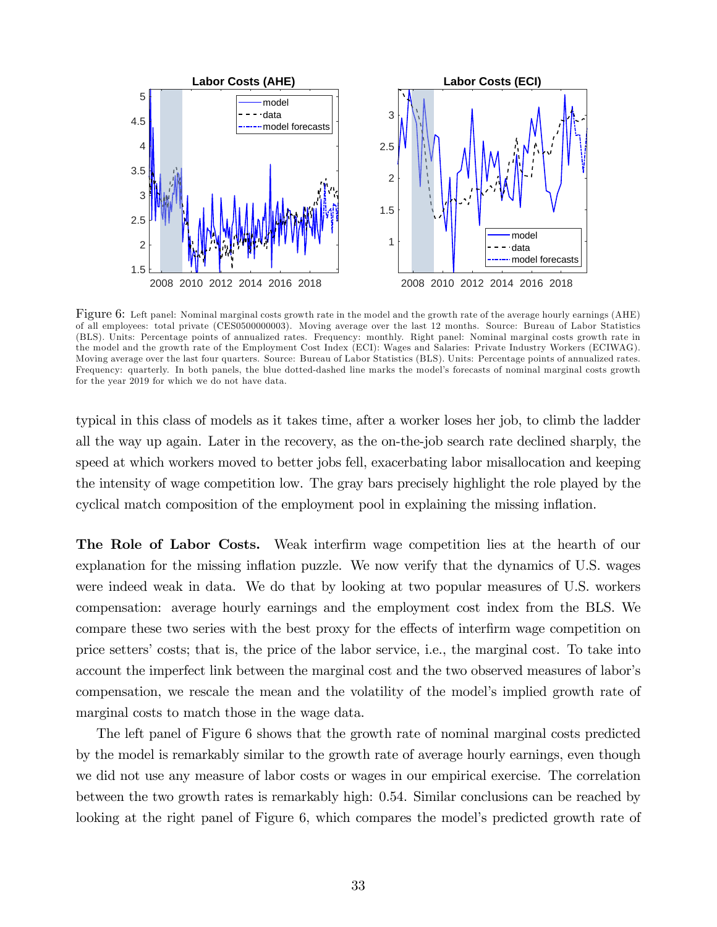

Figure 6: Left panel: Nominal marginal costs growth rate in the model and the growth rate of the average hourly earnings (AHE) of all employees: total private (CES0500000003). Moving average over the last 12 months. Source: Bureau of Labor Statistics (BLS). Units: Percentage points of annualized rates. Frequency: monthly. Right panel: Nominal marginal costs growth rate in the model and the growth rate of the Employment Cost Index (ECI): Wages and Salaries: Private Industry Workers (ECIWAG). Moving average over the last four quarters. Source: Bureau of Labor Statistics (BLS). Units: Percentage points of annualized rates. Frequency: quarterly. In both panels, the blue dotted-dashed line marks the model's forecasts of nominal marginal costs growth for the year 2019 for which we do not have data.

typical in this class of models as it takes time, after a worker loses her job, to climb the ladder all the way up again. Later in the recovery, as the on-the-job search rate declined sharply, the speed at which workers moved to better jobs fell, exacerbating labor misallocation and keeping the intensity of wage competition low. The gray bars precisely highlight the role played by the cyclical match composition of the employment pool in explaining the missing inflation.

The Role of Labor Costs. Weak interfirm wage competition lies at the hearth of our explanation for the missing inflation puzzle. We now verify that the dynamics of U.S. wages were indeed weak in data. We do that by looking at two popular measures of U.S. workers compensation: average hourly earnings and the employment cost index from the BLS. We compare these two series with the best proxy for the effects of interfirm wage competition on price setters' costs; that is, the price of the labor service, i.e., the marginal cost. To take into account the imperfect link between the marginal cost and the two observed measures of labor's compensation, we rescale the mean and the volatility of the model's implied growth rate of marginal costs to match those in the wage data.

The left panel of Figure 6 shows that the growth rate of nominal marginal costs predicted by the model is remarkably similar to the growth rate of average hourly earnings, even though we did not use any measure of labor costs or wages in our empirical exercise. The correlation between the two growth rates is remarkably high: 0.54. Similar conclusions can be reached by looking at the right panel of Figure 6, which compares the model's predicted growth rate of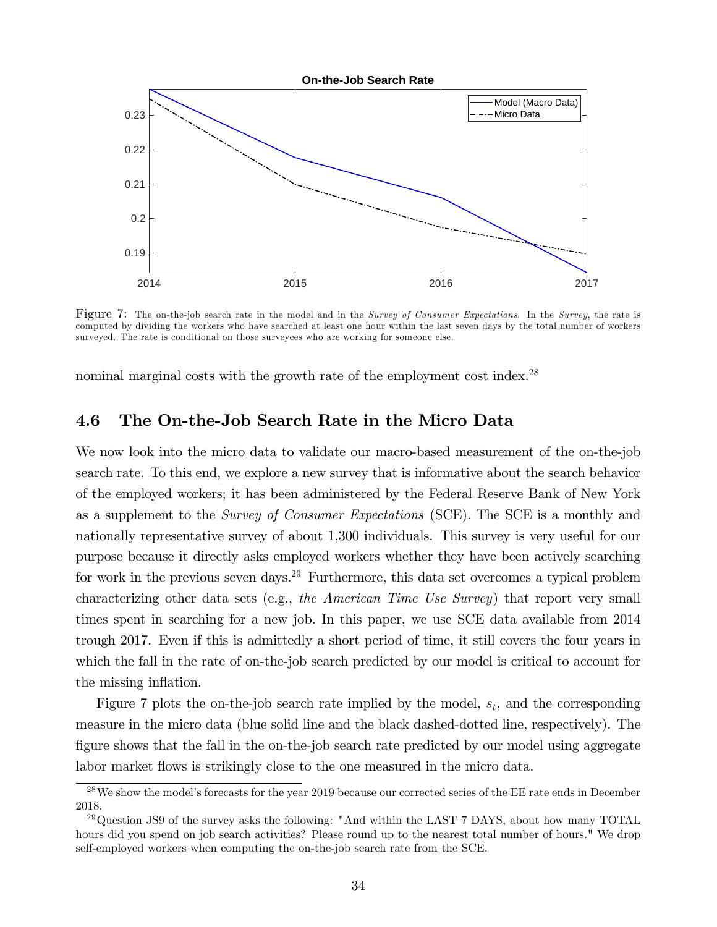

Figure 7: The on-the-job search rate in the model and in the Survey of Consumer Expectations. In the Survey, the rate is computed by dividing the workers who have searched at least one hour within the last seven days by the total number of workers surveyed. The rate is conditional on those surveyees who are working for someone else.

nominal marginal costs with the growth rate of the employment cost index.<sup>28</sup>

#### 4.6 The On-the-Job Search Rate in the Micro Data

We now look into the micro data to validate our macro-based measurement of the on-the-job search rate. To this end, we explore a new survey that is informative about the search behavior of the employed workers; it has been administered by the Federal Reserve Bank of New York as a supplement to the *Survey of Consumer Expectations* (SCE). The SCE is a monthly and nationally representative survey of about 1,300 individuals. This survey is very useful for our purpose because it directly asks employed workers whether they have been actively searching for work in the previous seven days.<sup>29</sup> Furthermore, this data set overcomes a typical problem characterizing other data sets (e.g., the American Time Use Survey) that report very small times spent in searching for a new job. In this paper, we use SCE data available from 2014 trough 2017. Even if this is admittedly a short period of time, it still covers the four years in which the fall in the rate of on-the-job search predicted by our model is critical to account for the missing inflation.

Figure 7 plots the on-the-job search rate implied by the model,  $s_t$ , and the corresponding measure in the micro data (blue solid line and the black dashed-dotted line, respectively). The figure shows that the fall in the on-the-job search rate predicted by our model using aggregate labor market flows is strikingly close to the one measured in the micro data.

<sup>&</sup>lt;sup>28</sup>We show the model's forecasts for the year 2019 because our corrected series of the EE rate ends in December 2018.

<sup>&</sup>lt;sup>29</sup>Question JS9 of the survey asks the following: "And within the LAST 7 DAYS, about how many TOTAL hours did you spend on job search activities? Please round up to the nearest total number of hours." We drop self-employed workers when computing the on-the-job search rate from the SCE.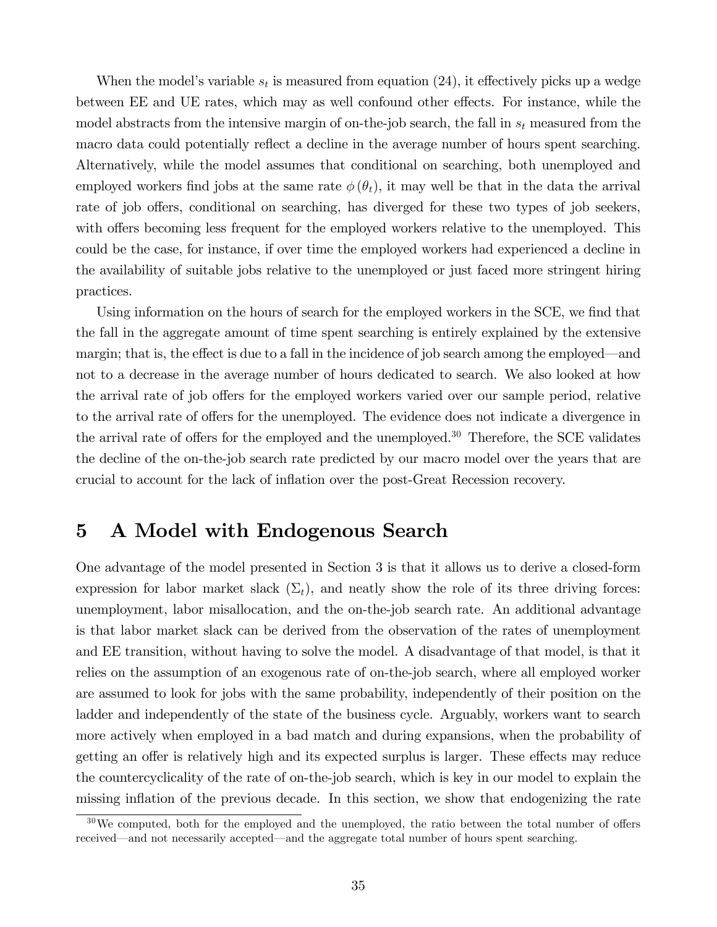When the model's variable  $s_t$  is measured from equation (24), it effectively picks up a wedge between EE and UE rates, which may as well confound other effects. For instance, while the model abstracts from the intensive margin of on-the-job search, the fall in  $s_t$  measured from the macro data could potentially reflect a decline in the average number of hours spent searching. Alternatively, while the model assumes that conditional on searching, both unemployed and employed workers find jobs at the same rate  $\phi(\theta_t)$ , it may well be that in the data the arrival rate of job offers, conditional on searching, has diverged for these two types of job seekers, with offers becoming less frequent for the employed workers relative to the unemployed. This could be the case, for instance, if over time the employed workers had experienced a decline in the availability of suitable jobs relative to the unemployed or just faced more stringent hiring practices.

Using information on the hours of search for the employed workers in the SCE, we find that the fall in the aggregate amount of time spent searching is entirely explained by the extensive margin; that is, the effect is due to a fall in the incidence of job search among the employed—and not to a decrease in the average number of hours dedicated to search. We also looked at how the arrival rate of job offers for the employed workers varied over our sample period, relative to the arrival rate of offers for the unemployed. The evidence does not indicate a divergence in the arrival rate of offers for the employed and the unemployed.<sup>30</sup> Therefore, the SCE validates the decline of the on-the-job search rate predicted by our macro model over the years that are crucial to account for the lack of ináation over the post-Great Recession recovery.

## 5 A Model with Endogenous Search

One advantage of the model presented in Section 3 is that it allows us to derive a closed-form expression for labor market slack  $(\Sigma_t)$ , and neatly show the role of its three driving forces: unemployment, labor misallocation, and the on-the-job search rate. An additional advantage is that labor market slack can be derived from the observation of the rates of unemployment and EE transition, without having to solve the model. A disadvantage of that model, is that it relies on the assumption of an exogenous rate of on-the-job search, where all employed worker are assumed to look for jobs with the same probability, independently of their position on the ladder and independently of the state of the business cycle. Arguably, workers want to search more actively when employed in a bad match and during expansions, when the probability of getting an offer is relatively high and its expected surplus is larger. These effects may reduce the countercyclicality of the rate of on-the-job search, which is key in our model to explain the missing inflation of the previous decade. In this section, we show that endogenizing the rate

 $30\,\text{We computed, both for the employed and the unemployed, the ratio between the total number of offers}$ received—and not necessarily accepted—and the aggregate total number of hours spent searching.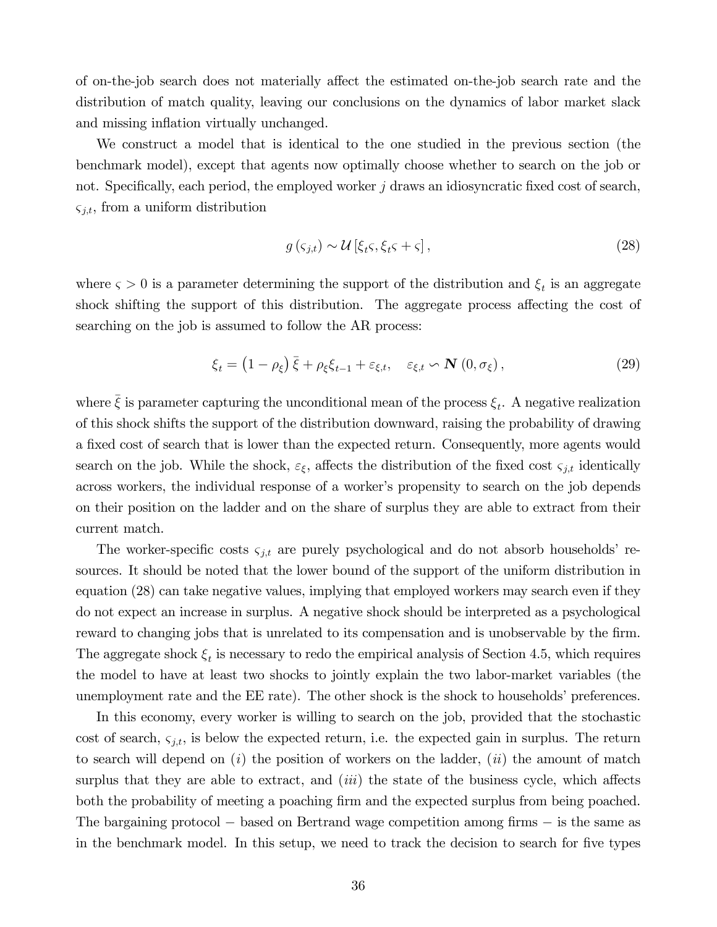of on-the-job search does not materially affect the estimated on-the-job search rate and the distribution of match quality, leaving our conclusions on the dynamics of labor market slack and missing inflation virtually unchanged.

We construct a model that is identical to the one studied in the previous section (the benchmark model), except that agents now optimally choose whether to search on the job or not. Specifically, each period, the employed worker  $j$  draws an idiosyncratic fixed cost of search,  $\zeta_{j,t}$ , from a uniform distribution

$$
g\left(\varsigma_{j,t}\right) \sim \mathcal{U}\left[\xi_t\varsigma, \xi_t\varsigma + \varsigma\right],\tag{28}
$$

where  $\varsigma > 0$  is a parameter determining the support of the distribution and  $\xi_t$  is an aggregate shock shifting the support of this distribution. The aggregate process affecting the cost of searching on the job is assumed to follow the AR process:

$$
\xi_t = \left(1 - \rho_{\xi}\right)\bar{\xi} + \rho_{\xi}\xi_{t-1} + \varepsilon_{\xi,t}, \quad \varepsilon_{\xi,t} \backsim \mathbf{N}\left(0, \sigma_{\xi}\right),\tag{29}
$$

where  $\bar{\xi}$  is parameter capturing the unconditional mean of the process  $\xi_t$ . A negative realization of this shock shifts the support of the distribution downward, raising the probability of drawing a fixed cost of search that is lower than the expected return. Consequently, more agents would search on the job. While the shock,  $\varepsilon_{\xi}$ , affects the distribution of the fixed cost  $\varsigma_{j,t}$  identically across workers, the individual response of a worker's propensity to search on the job depends on their position on the ladder and on the share of surplus they are able to extract from their current match.

The worker-specific costs  $\varsigma_{j,t}$  are purely psychological and do not absorb households' resources. It should be noted that the lower bound of the support of the uniform distribution in equation (28) can take negative values, implying that employed workers may search even if they do not expect an increase in surplus. A negative shock should be interpreted as a psychological reward to changing jobs that is unrelated to its compensation and is unobservable by the firm. The aggregate shock  $\xi_t$  is necessary to redo the empirical analysis of Section 4.5, which requires the model to have at least two shocks to jointly explain the two labor-market variables (the unemployment rate and the EE rate). The other shock is the shock to households' preferences.

In this economy, every worker is willing to search on the job, provided that the stochastic cost of search,  $\zeta_{j,t}$ , is below the expected return, i.e. the expected gain in surplus. The return to search will depend on  $(i)$  the position of workers on the ladder,  $(ii)$  the amount of match surplus that they are able to extract, and *(iii)* the state of the business cycle, which affects both the probability of meeting a poaching firm and the expected surplus from being poached. The bargaining protocol  $-$  based on Bertrand wage competition among firms  $-$  is the same as in the benchmark model. In this setup, we need to track the decision to search for five types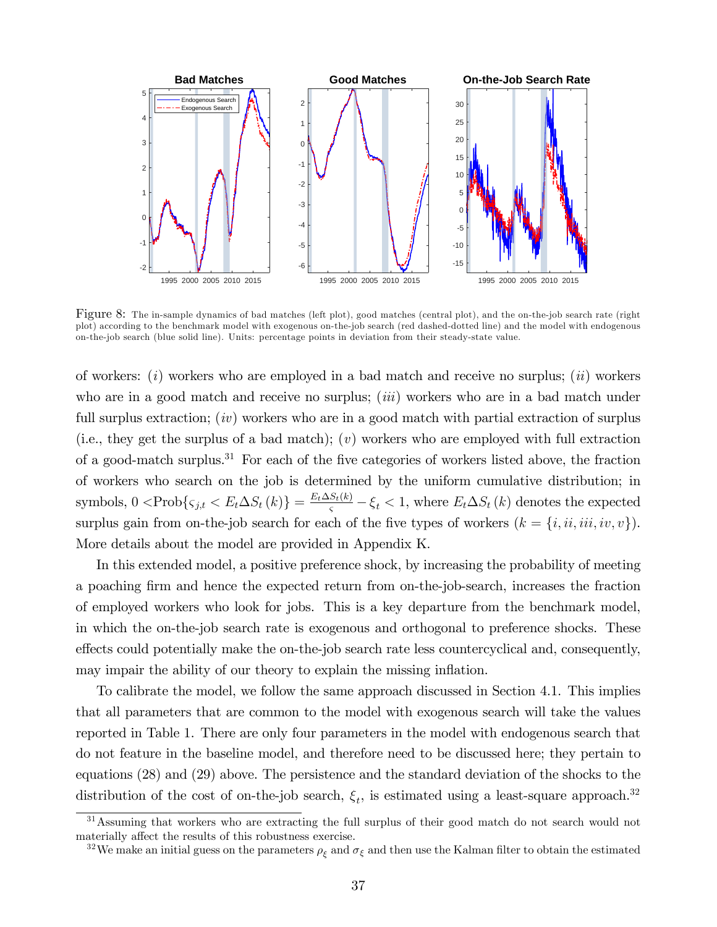

Figure 8: The in-sample dynamics of bad matches (left plot), good matches (central plot), and the on-the-job search rate (right plot) according to the benchmark model with exogenous on-the-job search (red dashed-dotted line) and the model with endogenous on-the-job search (blue solid line). Units: percentage points in deviation from their steady-state value.

of workers:  $(i)$  workers who are employed in a bad match and receive no surplus;  $(ii)$  workers who are in a good match and receive no surplus; *(iii)* workers who are in a bad match under full surplus extraction;  $(iv)$  workers who are in a good match with partial extraction of surplus (i.e., they get the surplus of a bad match); (v) workers who are employed with full extraction of a good-match surplus.<sup>31</sup> For each of the five categories of workers listed above, the fraction of workers who search on the job is determined by the uniform cumulative distribution; in symbols,  $0 < \text{Prob}\{s_{j,t} < E_t \Delta S_t(k)\} = \frac{E_t \Delta S_t(k)}{s} - \xi_t < 1$ , where  $E_t \Delta S_t(k)$  denotes the expected surplus gain from on-the-job search for each of the five types of workers  $(k = \{i, ii, iii, iv, v\})$ . More details about the model are provided in Appendix K.

In this extended model, a positive preference shock, by increasing the probability of meeting a poaching firm and hence the expected return from on-the-job-search, increases the fraction of employed workers who look for jobs. This is a key departure from the benchmark model, in which the on-the-job search rate is exogenous and orthogonal to preference shocks. These effects could potentially make the on-the-job search rate less countercyclical and, consequently, may impair the ability of our theory to explain the missing inflation.

To calibrate the model, we follow the same approach discussed in Section 4.1. This implies that all parameters that are common to the model with exogenous search will take the values reported in Table 1. There are only four parameters in the model with endogenous search that do not feature in the baseline model, and therefore need to be discussed here; they pertain to equations (28) and (29) above. The persistence and the standard deviation of the shocks to the distribution of the cost of on-the-job search,  $\xi_t$ , is estimated using a least-square approach.<sup>32</sup>

<sup>31</sup>Assuming that workers who are extracting the full surplus of their good match do not search would not materially affect the results of this robustness exercise.

<sup>&</sup>lt;sup>32</sup>We make an initial guess on the parameters  $\rho_{\xi}$  and  $\sigma_{\xi}$  and then use the Kalman filter to obtain the estimated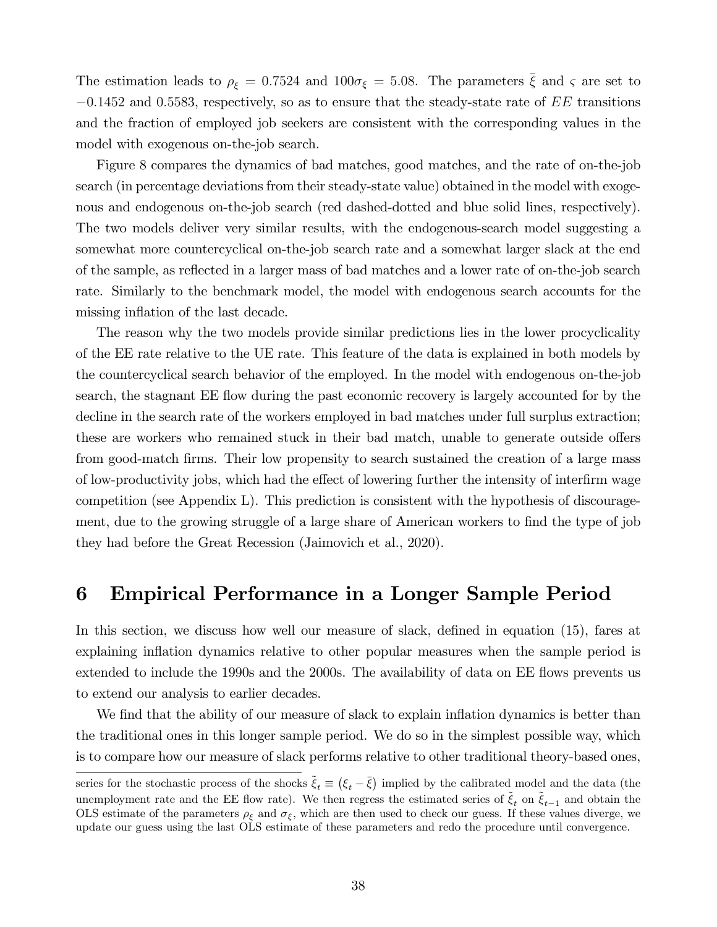The estimation leads to  $\rho_{\xi} = 0.7524$  and  $100\sigma_{\xi} = 5.08$ . The parameters  $\bar{\xi}$  and  $\varsigma$  are set to  $-0.1452$  and 0.5583, respectively, so as to ensure that the steady-state rate of EE transitions and the fraction of employed job seekers are consistent with the corresponding values in the model with exogenous on-the-job search.

Figure 8 compares the dynamics of bad matches, good matches, and the rate of on-the-job search (in percentage deviations from their steady-state value) obtained in the model with exogenous and endogenous on-the-job search (red dashed-dotted and blue solid lines, respectively). The two models deliver very similar results, with the endogenous-search model suggesting a somewhat more countercyclical on-the-job search rate and a somewhat larger slack at the end of the sample, as reflected in a larger mass of bad matches and a lower rate of on-the-job search rate. Similarly to the benchmark model, the model with endogenous search accounts for the missing inflation of the last decade.

The reason why the two models provide similar predictions lies in the lower procyclicality of the EE rate relative to the UE rate. This feature of the data is explained in both models by the countercyclical search behavior of the employed. In the model with endogenous on-the-job search, the stagnant EE flow during the past economic recovery is largely accounted for by the decline in the search rate of the workers employed in bad matches under full surplus extraction; these are workers who remained stuck in their bad match, unable to generate outside offers from good-match firms. Their low propensity to search sustained the creation of a large mass of low-productivity jobs, which had the effect of lowering further the intensity of interfirm wage competition (see Appendix L). This prediction is consistent with the hypothesis of discouragement, due to the growing struggle of a large share of American workers to find the type of job they had before the Great Recession (Jaimovich et al., 2020).

## 6 Empirical Performance in a Longer Sample Period

In this section, we discuss how well our measure of slack, defined in equation  $(15)$ , fares at explaining inflation dynamics relative to other popular measures when the sample period is extended to include the 1990s and the 2000s. The availability of data on EE flows prevents us to extend our analysis to earlier decades.

We find that the ability of our measure of slack to explain inflation dynamics is better than the traditional ones in this longer sample period. We do so in the simplest possible way, which is to compare how our measure of slack performs relative to other traditional theory-based ones,

series for the stochastic process of the shocks  $\tilde{\xi}_t \equiv (\xi_t - \bar{\xi})$  implied by the calibrated model and the data (the unemployment rate and the EE flow rate). We then regress the estimated series of  $\tilde{\xi}_t$  on  $\tilde{\xi}_{t-1}$  and obtain the OLS estimate of the parameters  $\rho_{\xi}$  and  $\sigma_{\xi}$ , which are then used to check our guess. If these values diverge, we update our guess using the last OLS estimate of these parameters and redo the procedure until convergence.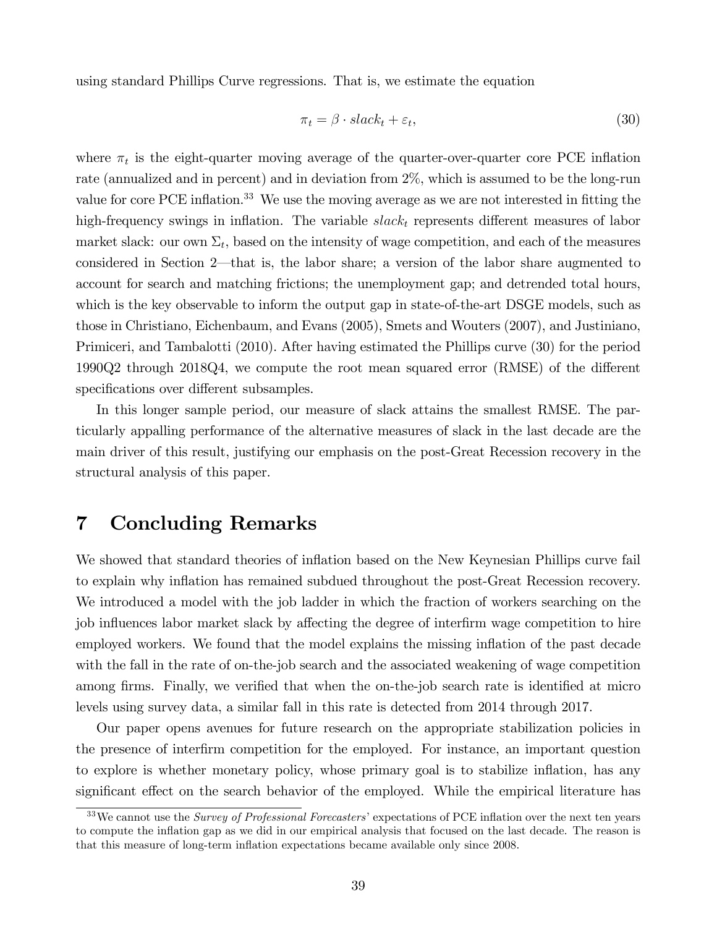using standard Phillips Curve regressions. That is, we estimate the equation

$$
\pi_t = \beta \cdot slack_t + \varepsilon_t,\tag{30}
$$

where  $\pi_t$  is the eight-quarter moving average of the quarter-over-quarter core PCE inflation rate (annualized and in percent) and in deviation from 2%, which is assumed to be the long-run value for core PCE inflation.<sup>33</sup> We use the moving average as we are not interested in fitting the high-frequency swings in inflation. The variable  $slack_t$  represents different measures of labor market slack: our own  $\Sigma_t$ , based on the intensity of wage competition, and each of the measures considered in Section 2—that is, the labor share; a version of the labor share augmented to account for search and matching frictions; the unemployment gap; and detrended total hours, which is the key observable to inform the output gap in state-of-the-art DSGE models, such as those in Christiano, Eichenbaum, and Evans (2005), Smets and Wouters (2007), and Justiniano, Primiceri, and Tambalotti (2010). After having estimated the Phillips curve (30) for the period 1990Q2 through 2018Q4, we compute the root mean squared error (RMSE) of the different specifications over different subsamples.

In this longer sample period, our measure of slack attains the smallest RMSE. The particularly appalling performance of the alternative measures of slack in the last decade are the main driver of this result, justifying our emphasis on the post-Great Recession recovery in the structural analysis of this paper.

## 7 Concluding Remarks

We showed that standard theories of inflation based on the New Keynesian Phillips curve fail to explain why ináation has remained subdued throughout the post-Great Recession recovery. We introduced a model with the job ladder in which the fraction of workers searching on the job influences labor market slack by affecting the degree of interfirm wage competition to hire employed workers. We found that the model explains the missing inflation of the past decade with the fall in the rate of on-the-job search and the associated weakening of wage competition among firms. Finally, we verified that when the on-the-job search rate is identified at micro levels using survey data, a similar fall in this rate is detected from 2014 through 2017.

Our paper opens avenues for future research on the appropriate stabilization policies in the presence of interfirm competition for the employed. For instance, an important question to explore is whether monetary policy, whose primary goal is to stabilize inflation, has any significant effect on the search behavior of the employed. While the empirical literature has

 $33$ We cannot use the *Survey of Professional Forecasters'* expectations of PCE inflation over the next ten years to compute the ináation gap as we did in our empirical analysis that focused on the last decade. The reason is that this measure of long-term ináation expectations became available only since 2008.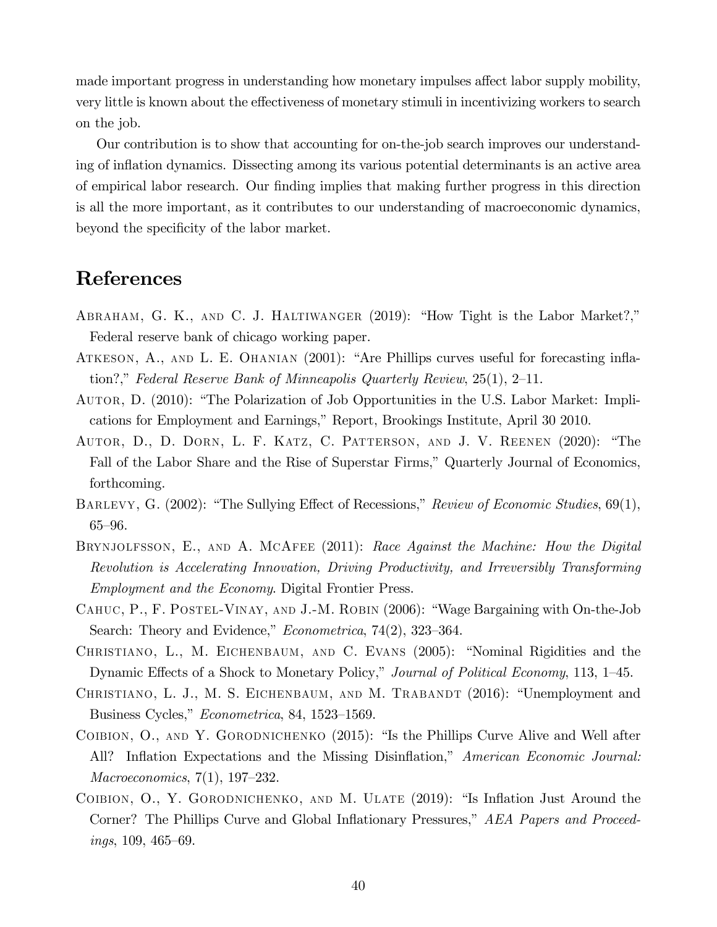made important progress in understanding how monetary impulses affect labor supply mobility, very little is known about the effectiveness of monetary stimuli in incentivizing workers to search on the job.

Our contribution is to show that accounting for on-the-job search improves our understanding of inflation dynamics. Dissecting among its various potential determinants is an active area of empirical labor research. Our finding implies that making further progress in this direction is all the more important, as it contributes to our understanding of macroeconomic dynamics, beyond the specificity of the labor market.

## References

- ABRAHAM, G. K., AND C. J. HALTIWANGER (2019): "How Tight is the Labor Market?," Federal reserve bank of chicago working paper.
- ATKESON, A., AND L. E. OHANIAN  $(2001)$ : "Are Phillips curves useful for forecasting inflation?," Federal Reserve Bank of Minneapolis Quarterly Review,  $25(1)$ , 2–11.
- AUTOR, D. (2010): "The Polarization of Job Opportunities in the U.S. Labor Market: Implications for Employment and Earnings," Report, Brookings Institute, April 30 2010.
- Autor, D., D. Dorn, L. F. Katz, C. Patterson, and J. V. Reenen (2020): "The Fall of the Labor Share and the Rise of Superstar Firms," Quarterly Journal of Economics, forthcoming.
- BARLEVY, G. (2002): "The Sullying Effect of Recessions," Review of Economic Studies, 69(1),  $65 - 96.$
- BRYNJOLFSSON, E., AND A. MCAFEE (2011): Race Against the Machine: How the Digital Revolution is Accelerating Innovation, Driving Productivity, and Irreversibly Transforming Employment and the Economy. Digital Frontier Press.
- CAHUC, P., F. POSTEL-VINAY, AND J.-M. ROBIN (2006): "Wage Bargaining with On-the-Job Search: Theory and Evidence,"  $Econometrica$ , 74(2), 323–364.
- CHRISTIANO, L., M. EICHENBAUM, AND C. EVANS  $(2005)$ : "Nominal Rigidities and the Dynamic Effects of a Shock to Monetary Policy," Journal of Political Economy, 113, 1–45.
- CHRISTIANO, L. J., M. S. EICHENBAUM, AND M. TRABANDT  $(2016)$ : "Unemployment and Business Cycles," Econometrica, 84, 1523-1569.
- COIBION,  $O_{\cdot}$ , AND Y. GORODNICHENKO (2015): "Is the Phillips Curve Alive and Well after All? Inflation Expectations and the Missing Disinflation," American Economic Journal:  $Macroeconomics, 7(1), 197-232.$
- COIBION, O., Y. GORODNICHENKO, AND M. ULATE (2019): "Is Inflation Just Around the Corner? The Phillips Curve and Global Inflationary Pressures," AEA Papers and Proceed $ings, 109, 465–69.$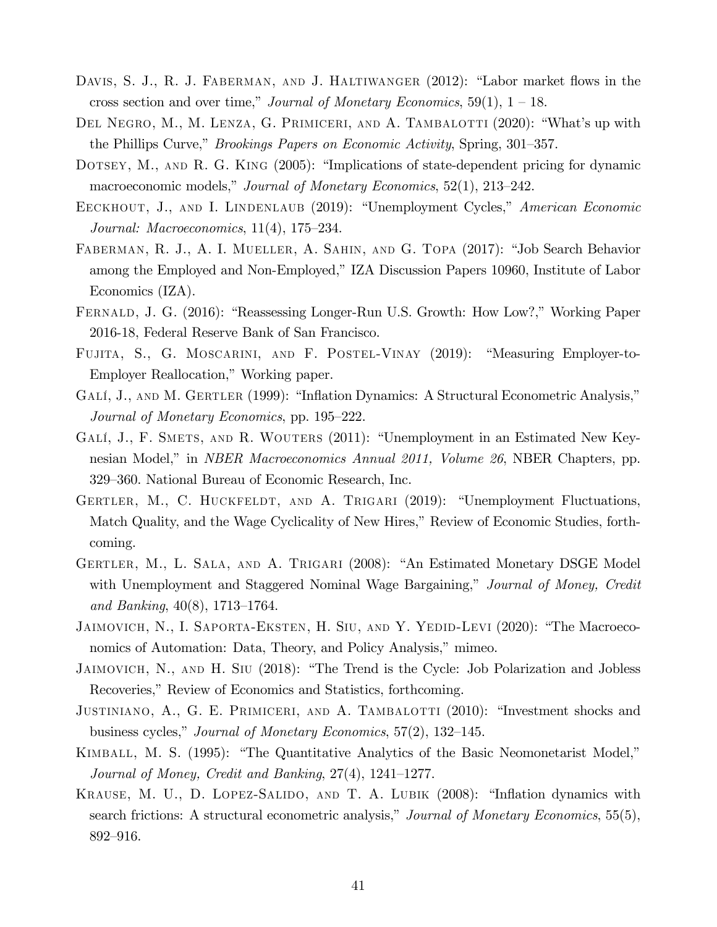- DAVIS, S. J., R. J. FABERMAN, AND J. HALTIWANGER (2012): "Labor market flows in the cross section and over time," Journal of Monetary Economics, 59(1),  $1 - 18$ .
- DEL NEGRO, M., M. LENZA, G. PRIMICERI, AND A. TAMBALOTTI (2020): "What's up with the Phillips Curve," *Brookings Papers on Economic Activity*, Spring, 301–357.
- DOTSEY, M., AND R. G. KING (2005): "Implications of state-dependent pricing for dynamic macroeconomic models," Journal of Monetary Economics,  $52(1)$ ,  $213-242$ .
- EECKHOUT, J., AND I. LINDENLAUB (2019): "Unemployment Cycles," American Economic Journal: Macroeconomics,  $11(4)$ , 175–234.
- FABERMAN, R. J., A. I. MUELLER, A. SAHIN, AND G. TOPA (2017): "Job Search Behavior among the Employed and Non-Employed," IZA Discussion Papers 10960, Institute of Labor Economics (IZA).
- FERNALD, J. G. (2016): "Reassessing Longer-Run U.S. Growth: How Low?," Working Paper 2016-18, Federal Reserve Bank of San Francisco.
- FUJITA, S., G. MOSCARINI, AND F. POSTEL-VINAY (2019): "Measuring Employer-to-Employer Reallocation," Working paper.
- GALÍ, J., AND M. GERTLER (1999): "Inflation Dynamics: A Structural Econometric Analysis," Journal of Monetary Economics, pp. 195–222.
- GALÍ, J., F. SMETS, AND R. WOUTERS (2011): "Unemployment in an Estimated New Keynesian Model," in *NBER Macroeconomics Annual 2011, Volume 26*, NBER Chapters, pp. 329–360. National Bureau of Economic Research, Inc.
- GERTLER, M., C. HUCKFELDT, AND A. TRIGARI (2019): "Unemployment Fluctuations, Match Quality, and the Wage Cyclicality of New Hires," Review of Economic Studies, forthcoming.
- GERTLER, M., L. SALA, AND A. TRIGARI (2008): "An Estimated Monetary DSGE Model with Unemployment and Staggered Nominal Wage Bargaining," Journal of Money, Credit and Banking,  $40(8)$ , 1713–1764.
- JAIMOVICH, N., I. SAPORTA-EKSTEN, H. SIU, AND Y. YEDID-LEVI (2020): "The Macroeconomics of Automation: Data, Theory, and Policy Analysis," mimeo.
- JAIMOVICH, N., AND H. SIU (2018): "The Trend is the Cycle: Job Polarization and Jobless Recoveries," Review of Economics and Statistics, forthcoming.
- JUSTINIANO, A., G. E. PRIMICERI, AND A. TAMBALOTTI (2010): "Investment shocks and business cycles," Journal of Monetary Economics,  $57(2)$ ,  $132-145$ .
- KIMBALL, M. S. (1995): "The Quantitative Analytics of the Basic Neomonetarist Model," Journal of Money, Credit and Banking,  $27(4)$ ,  $1241-1277$ .
- KRAUSE, M. U., D. LOPEZ-SALIDO, AND T. A. LUBIK  $(2008)$ : "Inflation dynamics with search frictions: A structural econometric analysis," Journal of Monetary Economics,  $55(5)$ , 892–916.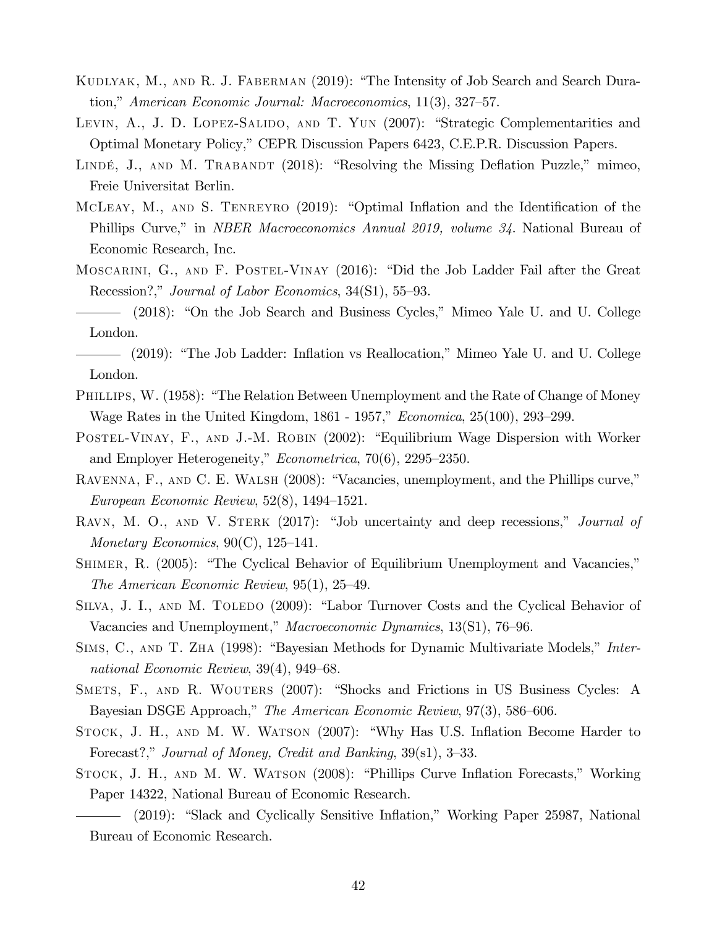- KUDLYAK, M., AND R. J. FABERMAN (2019): "The Intensity of Job Search and Search Duration," American Economic Journal: Macroeconomics,  $11(3)$ ,  $327-57$ .
- LEVIN, A., J. D. LOPEZ-SALIDO, AND T. YUN  $(2007)$ : "Strategic Complementarities and Optimal Monetary Policy," CEPR Discussion Papers 6423, C.E.P.R. Discussion Papers.
- LINDÉ, J., AND M. TRABANDT (2018): "Resolving the Missing Deflation Puzzle," mimeo, Freie Universitat Berlin.
- MCLEAY, M., AND S. TENREYRO (2019): "Optimal Inflation and the Identification of the Phillips Curve," in *NBER Macroeconomics Annual 2019, volume 34*. National Bureau of Economic Research, Inc.
- MOSCARINI, G., AND F. POSTEL-VINAY (2016): "Did the Job Ladder Fail after the Great Recession?," Journal of Labor Economics, 34(S1), 55–93.

(2018): "On the Job Search and Business Cycles," Mimeo Yale U. and U. College London.

- PHILLIPS, W. (1958): "The Relation Between Unemployment and the Rate of Change of Money Wage Rates in the United Kingdom,  $1861 - 1957$ ," *Economica*,  $25(100)$ ,  $293-299$ .
- POSTEL-VINAY, F., AND J.-M. ROBIN (2002): "Equilibrium Wage Dispersion with Worker and Employer Heterogeneity,"  $Econometrica$ , 70(6), 2295–2350.
- RAVENNA, F., AND C. E. WALSH (2008): "Vacancies, unemployment, and the Phillips curve," European Economic Review,  $52(8)$ ,  $1494-1521$ .
- RAVN, M. O., AND V. STERK (2017): "Job uncertainty and deep recessions," *Journal of* Monetary Economics,  $90(C)$ , 125–141.
- SHIMER, R. (2005): "The Cyclical Behavior of Equilibrium Unemployment and Vacancies," The American Economic Review,  $95(1)$ ,  $25-49$ .
- SILVA, J. I., AND M. TOLEDO (2009): "Labor Turnover Costs and the Cyclical Behavior of Vacancies and Unemployment," Macroeconomic Dynamics, 13(S1), 76–96.
- SIMS, C., AND T. ZHA (1998): "Bayesian Methods for Dynamic Multivariate Models," International Economic Review,  $39(4)$ ,  $949-68$ .
- SMETS, F., AND R. WOUTERS (2007): "Shocks and Frictions in US Business Cycles: A Bayesian DSGE Approach," The American Economic Review, 97(3), 586–606.
- STOCK, J. H., AND M. W. WATSON (2007): "Why Has U.S. Inflation Become Harder to Forecast?," Journal of Money, Credit and Banking,  $39(s1)$ ,  $3-33$ .
- STOCK, J. H., AND M. W. WATSON (2008): "Phillips Curve Inflation Forecasts," Working Paper 14322, National Bureau of Economic Research.

<sup>(2019): &</sup>quot;The Job Ladder: Inflation vs Reallocation," Mimeo Yale U. and U. College London.

<sup>- (2019): &</sup>quot;Slack and Cyclically Sensitive Inflation," Working Paper 25987, National Bureau of Economic Research.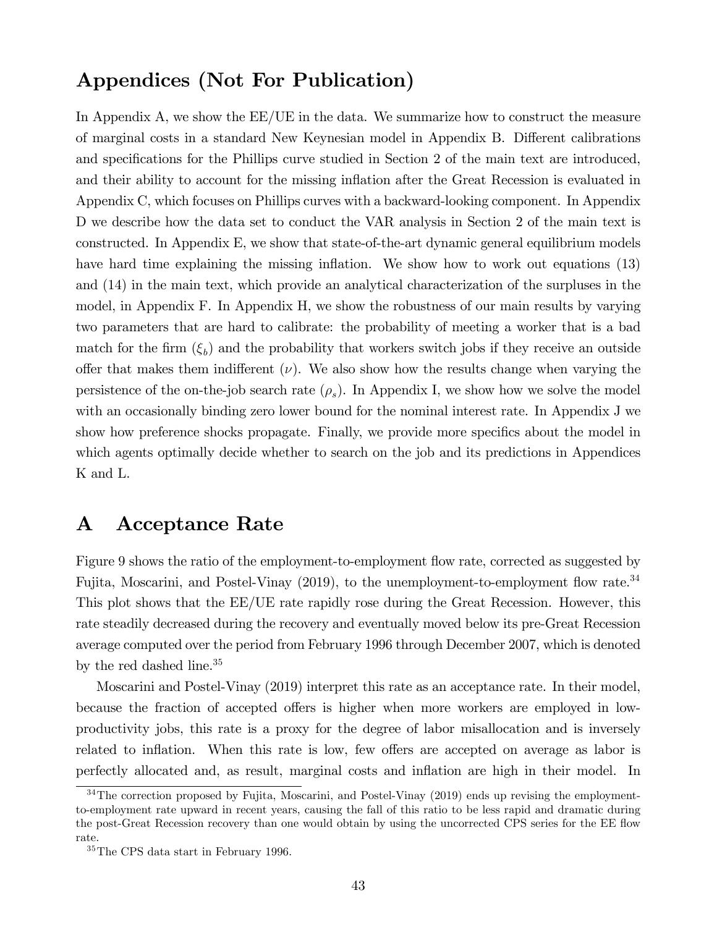## Appendices (Not For Publication)

In Appendix A, we show the  $EE/UE$  in the data. We summarize how to construct the measure of marginal costs in a standard New Keynesian model in Appendix B. Different calibrations and specifications for the Phillips curve studied in Section 2 of the main text are introduced, and their ability to account for the missing inflation after the Great Recession is evaluated in Appendix C, which focuses on Phillips curves with a backward-looking component. In Appendix D we describe how the data set to conduct the VAR analysis in Section 2 of the main text is constructed. In Appendix E, we show that state-of-the-art dynamic general equilibrium models have hard time explaining the missing inflation. We show how to work out equations  $(13)$ and (14) in the main text, which provide an analytical characterization of the surpluses in the model, in Appendix F. In Appendix H, we show the robustness of our main results by varying two parameters that are hard to calibrate: the probability of meeting a worker that is a bad match for the firm  $(\xi_b)$  and the probability that workers switch jobs if they receive an outside offer that makes them indifferent  $(\nu)$ . We also show how the results change when varying the persistence of the on-the-job search rate  $(\rho_s)$ . In Appendix I, we show how we solve the model with an occasionally binding zero lower bound for the nominal interest rate. In Appendix J we show how preference shocks propagate. Finally, we provide more specifics about the model in which agents optimally decide whether to search on the job and its predictions in Appendices K and L.

## A Acceptance Rate

Figure 9 shows the ratio of the employment-to-employment flow rate, corrected as suggested by Fujita, Moscarini, and Postel-Vinay (2019), to the unemployment-to-employment flow rate.<sup>34</sup> This plot shows that the EE/UE rate rapidly rose during the Great Recession. However, this rate steadily decreased during the recovery and eventually moved below its pre-Great Recession average computed over the period from February 1996 through December 2007, which is denoted by the red dashed line.<sup>35</sup>

Moscarini and Postel-Vinay (2019) interpret this rate as an acceptance rate. In their model, because the fraction of accepted offers is higher when more workers are employed in lowproductivity jobs, this rate is a proxy for the degree of labor misallocation and is inversely related to inflation. When this rate is low, few offers are accepted on average as labor is perfectly allocated and, as result, marginal costs and ináation are high in their model. In

<sup>&</sup>lt;sup>34</sup>The correction proposed by Fujita, Moscarini, and Postel-Vinay (2019) ends up revising the employmentto-employment rate upward in recent years, causing the fall of this ratio to be less rapid and dramatic during the post-Great Recession recovery than one would obtain by using the uncorrected CPS series for the EE flow rate.

<sup>&</sup>lt;sup>35</sup>The CPS data start in February 1996.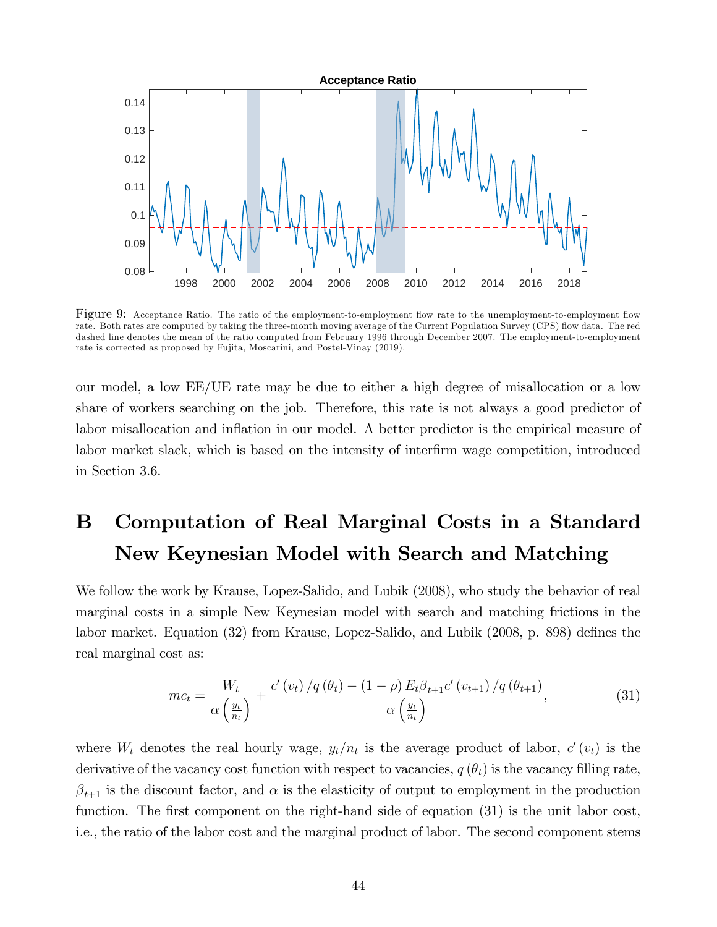

Figure 9: Acceptance Ratio. The ratio of the employment-to-employment áow rate to the unemployment-to-employment áow rate. Both rates are computed by taking the three-month moving average of the Current Population Survey (CPS) flow data. The red dashed line denotes the mean of the ratio computed from February 1996 through December 2007. The employment-to-employment rate is corrected as proposed by Fujita, Moscarini, and Postel-Vinay (2019).

our model, a low EE/UE rate may be due to either a high degree of misallocation or a low share of workers searching on the job. Therefore, this rate is not always a good predictor of labor misallocation and inflation in our model. A better predictor is the empirical measure of labor market slack, which is based on the intensity of interfirm wage competition, introduced in Section 3.6.

# B Computation of Real Marginal Costs in a Standard New Keynesian Model with Search and Matching

We follow the work by Krause, Lopez-Salido, and Lubik (2008), who study the behavior of real marginal costs in a simple New Keynesian model with search and matching frictions in the labor market. Equation (32) from Krause, Lopez-Salido, and Lubik (2008, p. 898) defines the real marginal cost as:

$$
mc_{t} = \frac{W_{t}}{\alpha \left(\frac{y_{t}}{n_{t}}\right)} + \frac{c'(v_{t})/q(\theta_{t}) - (1-\rho)E_{t}\beta_{t+1}c'(v_{t+1})/q(\theta_{t+1})}{\alpha \left(\frac{y_{t}}{n_{t}}\right)},
$$
(31)

where  $W_t$  denotes the real hourly wage,  $y_t/n_t$  is the average product of labor,  $c'(v_t)$  is the derivative of the vacancy cost function with respect to vacancies,  $q(\theta_t)$  is the vacancy filling rate,  $\beta_{t+1}$  is the discount factor, and  $\alpha$  is the elasticity of output to employment in the production function. The first component on the right-hand side of equation  $(31)$  is the unit labor cost, i.e., the ratio of the labor cost and the marginal product of labor. The second component stems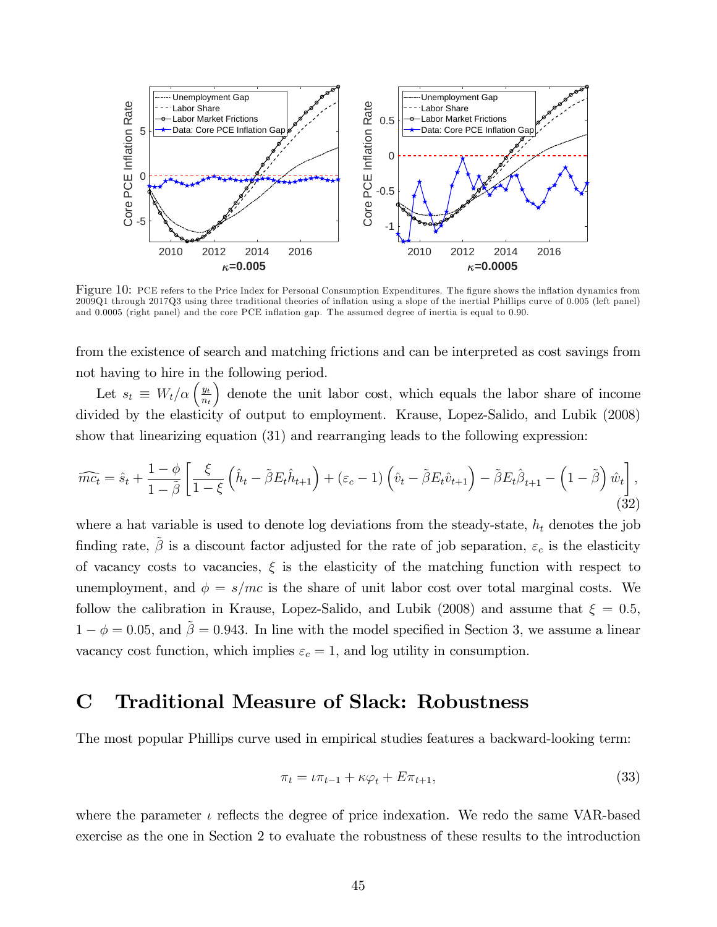

Figure 10: PCE refers to the Price Index for Personal Consumption Expenditures. The figure shows the inflation dynamics from 2009Q1 through 2017Q3 using three traditional theories of ináation using a slope of the inertial Phillips curve of 0.005 (left panel) and 0.0005 (right panel) and the core PCE inflation gap. The assumed degree of inertia is equal to 0.90.

from the existence of search and matching frictions and can be interpreted as cost savings from not having to hire in the following period.

Let  $s_t \equiv W_t/\alpha \left(\frac{y_t}{n_t}\right)$  $n_t$  denote the unit labor cost, which equals the labor share of income divided by the elasticity of output to employment. Krause, Lopez-Salido, and Lubik (2008) show that linearizing equation (31) and rearranging leads to the following expression:

$$
\widehat{mc_t} = \hat{s}_t + \frac{1-\phi}{1-\tilde{\beta}} \left[ \frac{\xi}{1-\xi} \left( \hat{h}_t - \tilde{\beta} E_t \hat{h}_{t+1} \right) + (\varepsilon_c - 1) \left( \hat{v}_t - \tilde{\beta} E_t \hat{v}_{t+1} \right) - \tilde{\beta} E_t \hat{\beta}_{t+1} - \left( 1 - \tilde{\beta} \right) \hat{w}_t \right],
$$
\n(32)

where a hat variable is used to denote log deviations from the steady-state,  $h_t$  denotes the job finding rate,  $\tilde{\beta}$  is a discount factor adjusted for the rate of job separation,  $\varepsilon_c$  is the elasticity of vacancy costs to vacancies,  $\xi$  is the elasticity of the matching function with respect to unemployment, and  $\phi = s/mc$  is the share of unit labor cost over total marginal costs. We follow the calibration in Krause, Lopez-Salido, and Lubik (2008) and assume that  $\xi = 0.5$ ,  $1 - \phi = 0.05$ , and  $\tilde{\beta} = 0.943$ . In line with the model specified in Section 3, we assume a linear vacancy cost function, which implies  $\varepsilon_c = 1$ , and log utility in consumption.

## C Traditional Measure of Slack: Robustness

The most popular Phillips curve used in empirical studies features a backward-looking term:

$$
\pi_t = \iota \pi_{t-1} + \kappa \varphi_t + E \pi_{t+1},\tag{33}
$$

where the parameter  $\iota$  reflects the degree of price indexation. We redo the same VAR-based exercise as the one in Section 2 to evaluate the robustness of these results to the introduction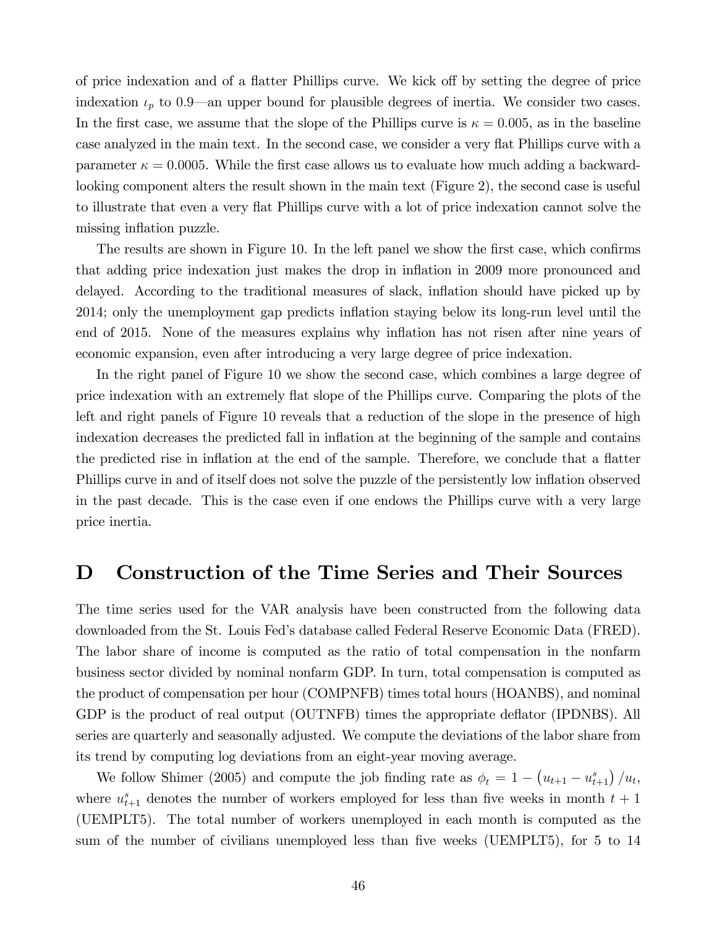of price indexation and of a flatter Phillips curve. We kick off by setting the degree of price indexation  $\iota_p$  to 0.9—an upper bound for plausible degrees of inertia. We consider two cases. In the first case, we assume that the slope of the Phillips curve is  $\kappa = 0.005$ , as in the baseline case analyzed in the main text. In the second case, we consider a very flat Phillips curve with a parameter  $\kappa = 0.0005$ . While the first case allows us to evaluate how much adding a backwardlooking component alters the result shown in the main text (Figure 2), the second case is useful to illustrate that even a very flat Phillips curve with a lot of price indexation cannot solve the missing inflation puzzle.

The results are shown in Figure 10. In the left panel we show the first case, which confirms that adding price indexation just makes the drop in inflation in 2009 more pronounced and delayed. According to the traditional measures of slack, ináation should have picked up by 2014; only the unemployment gap predicts ináation staying below its long-run level until the end of 2015. None of the measures explains why inflation has not risen after nine years of economic expansion, even after introducing a very large degree of price indexation.

In the right panel of Figure 10 we show the second case, which combines a large degree of price indexation with an extremely áat slope of the Phillips curve. Comparing the plots of the left and right panels of Figure 10 reveals that a reduction of the slope in the presence of high indexation decreases the predicted fall in inflation at the beginning of the sample and contains the predicted rise in inflation at the end of the sample. Therefore, we conclude that a flatter Phillips curve in and of itself does not solve the puzzle of the persistently low inflation observed in the past decade. This is the case even if one endows the Phillips curve with a very large price inertia.

### D Construction of the Time Series and Their Sources

The time series used for the VAR analysis have been constructed from the following data downloaded from the St. Louis Fed's database called Federal Reserve Economic Data (FRED). The labor share of income is computed as the ratio of total compensation in the nonfarm business sector divided by nominal nonfarm GDP. In turn, total compensation is computed as the product of compensation per hour (COMPNFB) times total hours (HOANBS), and nominal GDP is the product of real output (OUTNFB) times the appropriate deáator (IPDNBS). All series are quarterly and seasonally adjusted. We compute the deviations of the labor share from its trend by computing log deviations from an eight-year moving average.

We follow Shimer (2005) and compute the job finding rate as  $\phi_t = 1 - (u_{t+1} - u_{t+1}^s)/u_t$ , where  $u_{t+1}^s$  denotes the number of workers employed for less than five weeks in month  $t + 1$ (UEMPLT5). The total number of workers unemployed in each month is computed as the sum of the number of civilians unemployed less than five weeks (UEMPLT5), for  $5$  to  $14$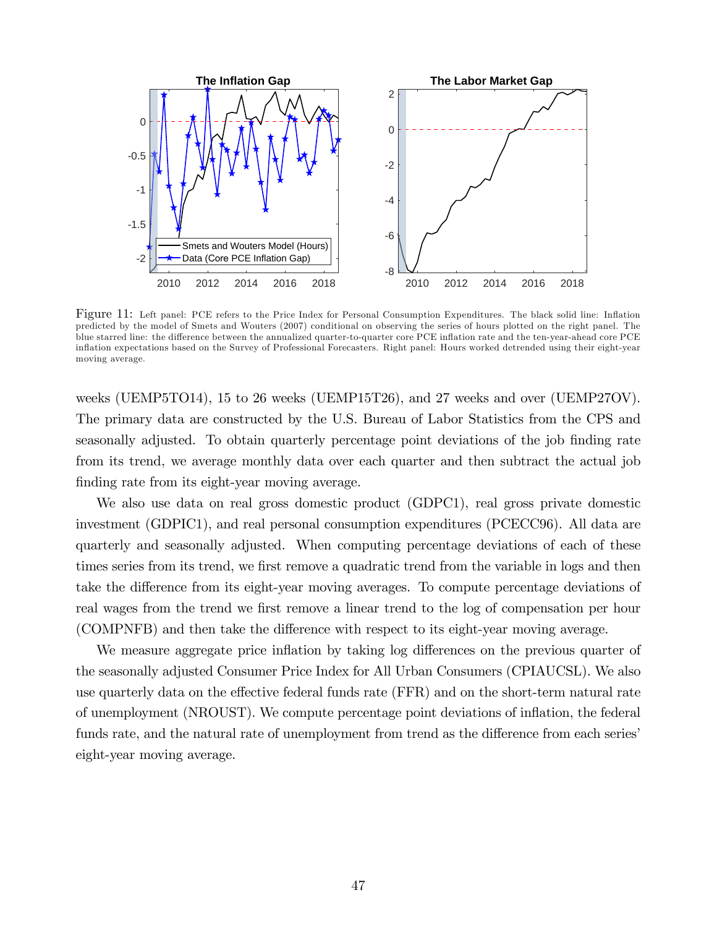

Figure 11: Left panel: PCE refers to the Price Index for Personal Consumption Expenditures. The black solid line: Ináation predicted by the model of Smets and Wouters (2007) conditional on observing the series of hours plotted on the right panel. The blue starred line: the difference between the annualized quarter-to-quarter core PCE inflation rate and the ten-year-ahead core PCE inflation expectations based on the Survey of Professional Forecasters. Right panel: Hours worked detrended using their eight-year moving average.

weeks (UEMP5TO14), 15 to 26 weeks (UEMP15T26), and 27 weeks and over (UEMP27OV). The primary data are constructed by the U.S. Bureau of Labor Statistics from the CPS and seasonally adjusted. To obtain quarterly percentage point deviations of the job finding rate from its trend, we average monthly data over each quarter and then subtract the actual job finding rate from its eight-year moving average.

We also use data on real gross domestic product (GDPC1), real gross private domestic investment (GDPIC1), and real personal consumption expenditures (PCECC96). All data are quarterly and seasonally adjusted. When computing percentage deviations of each of these times series from its trend, we first remove a quadratic trend from the variable in logs and then take the difference from its eight-year moving averages. To compute percentage deviations of real wages from the trend we first remove a linear trend to the log of compensation per hour (COMPNFB) and then take the difference with respect to its eight-year moving average.

We measure aggregate price inflation by taking log differences on the previous quarter of the seasonally adjusted Consumer Price Index for All Urban Consumers (CPIAUCSL). We also use quarterly data on the effective federal funds rate (FFR) and on the short-term natural rate of unemployment (NROUST). We compute percentage point deviations of ináation, the federal funds rate, and the natural rate of unemployment from trend as the difference from each series' eight-year moving average.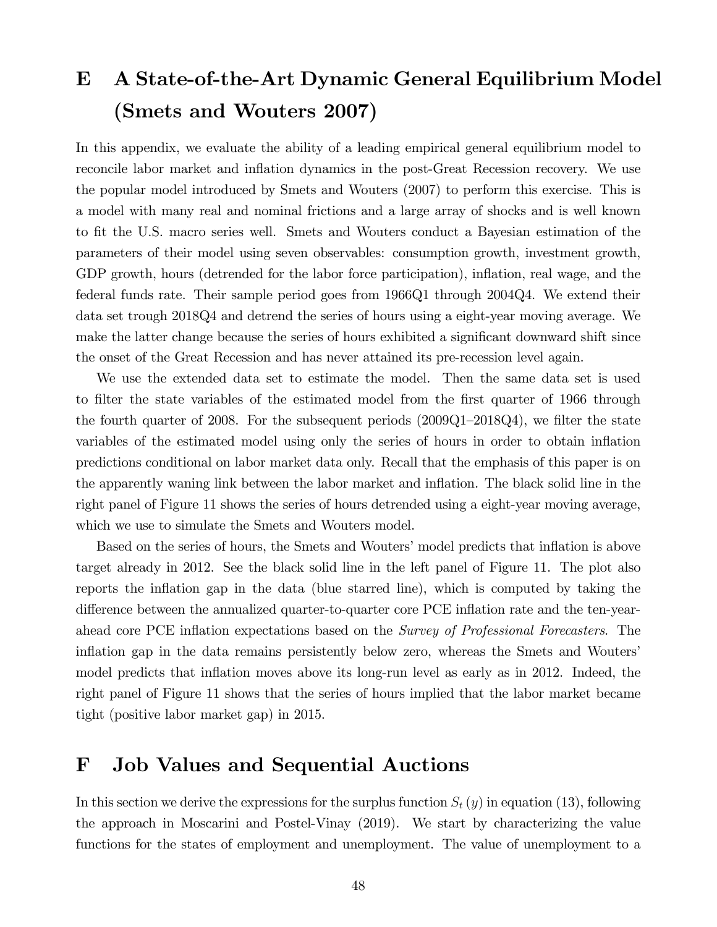## E A State-of-the-Art Dynamic General Equilibrium Model (Smets and Wouters 2007)

In this appendix, we evaluate the ability of a leading empirical general equilibrium model to reconcile labor market and inflation dynamics in the post-Great Recession recovery. We use the popular model introduced by Smets and Wouters (2007) to perform this exercise. This is a model with many real and nominal frictions and a large array of shocks and is well known to Öt the U.S. macro series well. Smets and Wouters conduct a Bayesian estimation of the parameters of their model using seven observables: consumption growth, investment growth, GDP growth, hours (detrended for the labor force participation), inflation, real wage, and the federal funds rate. Their sample period goes from 1966Q1 through 2004Q4. We extend their data set trough 2018Q4 and detrend the series of hours using a eight-year moving average. We make the latter change because the series of hours exhibited a significant downward shift since the onset of the Great Recession and has never attained its pre-recession level again.

We use the extended data set to estimate the model. Then the same data set is used to filter the state variables of the estimated model from the first quarter of 1966 through the fourth quarter of 2008. For the subsequent periods  $(2009Q1-2018Q4)$ , we filter the state variables of the estimated model using only the series of hours in order to obtain inflation predictions conditional on labor market data only. Recall that the emphasis of this paper is on the apparently waning link between the labor market and inflation. The black solid line in the right panel of Figure 11 shows the series of hours detrended using a eight-year moving average, which we use to simulate the Smets and Wouters model.

Based on the series of hours, the Smets and Wouters' model predicts that inflation is above target already in 2012. See the black solid line in the left panel of Figure 11. The plot also reports the inflation gap in the data (blue starred line), which is computed by taking the difference between the annualized quarter-to-quarter core PCE inflation rate and the ten-yearahead core PCE inflation expectations based on the *Survey of Professional Forecasters*. The inflation gap in the data remains persistently below zero, whereas the Smets and Wouters' model predicts that inflation moves above its long-run level as early as in 2012. Indeed, the right panel of Figure 11 shows that the series of hours implied that the labor market became tight (positive labor market gap) in 2015.

### F Job Values and Sequential Auctions

In this section we derive the expressions for the surplus function  $S_t(y)$  in equation (13), following the approach in Moscarini and Postel-Vinay (2019). We start by characterizing the value functions for the states of employment and unemployment. The value of unemployment to a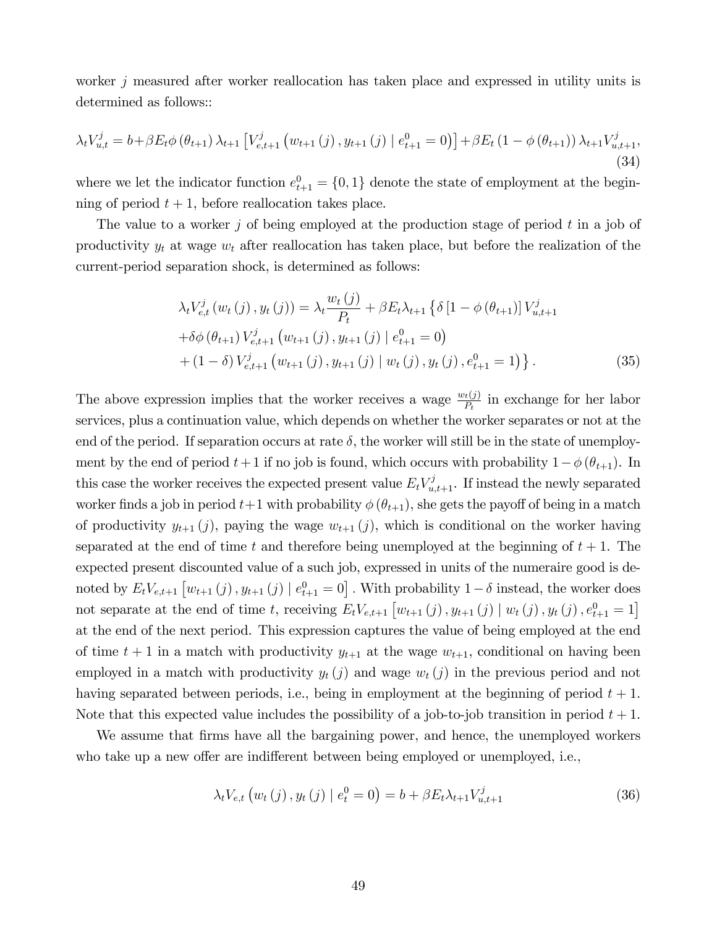worker  $j$  measured after worker reallocation has taken place and expressed in utility units is determined as follows::

$$
\lambda_t V_{u,t}^j = b + \beta E_t \phi \left( \theta_{t+1} \right) \lambda_{t+1} \left[ V_{e,t+1}^j \left( w_{t+1}(j), y_{t+1}(j) \mid e_{t+1}^0 = 0 \right) \right] + \beta E_t \left( 1 - \phi \left( \theta_{t+1} \right) \right) \lambda_{t+1} V_{u,t+1}^j, \tag{34}
$$

where we let the indicator function  $e_{t+1}^0 = \{0, 1\}$  denote the state of employment at the beginning of period  $t + 1$ , before reallocation takes place.

The value to a worker j of being employed at the production stage of period  $t$  in a job of productivity  $y_t$  at wage  $w_t$  after reallocation has taken place, but before the realization of the current-period separation shock, is determined as follows:

$$
\lambda_t V_{e,t}^j(w_t(j), y_t(j)) = \lambda_t \frac{w_t(j)}{P_t} + \beta E_t \lambda_{t+1} \left\{ \delta \left[ 1 - \phi \left( \theta_{t+1} \right) \right] V_{u,t+1}^j + \delta \phi \left( \theta_{t+1} \right) V_{e,t+1}^j \left( w_{t+1}(j), y_{t+1}(j) \right) \right\} e_{t+1}^0 = 0
$$
\n
$$
+ \left( 1 - \delta \right) V_{e,t+1}^j \left( w_{t+1}(j), y_{t+1}(j) \right) \left| w_t(j), y_t(j), e_{t+1}^0 = 1 \right) \right\}.
$$
\n(35)

The above expression implies that the worker receives a wage  $\frac{w_t(j)}{P_t}$  in exchange for her labor services, plus a continuation value, which depends on whether the worker separates or not at the end of the period. If separation occurs at rate  $\delta$ , the worker will still be in the state of unemployment by the end of period  $t+1$  if no job is found, which occurs with probability  $1 - \phi(\theta_{t+1})$ . In this case the worker receives the expected present value  $E_t V_{u,t+1}^j$ . If instead the newly separated worker finds a job in period  $t+1$  with probability  $\phi(\theta_{t+1})$ , she gets the payoff of being in a match of productivity  $y_{t+1}(j)$ , paying the wage  $w_{t+1}(j)$ , which is conditional on the worker having separated at the end of time t and therefore being unemployed at the beginning of  $t + 1$ . The expected present discounted value of a such job, expressed in units of the numeraire good is denoted by  $E_t V_{e,t+1}$   $\left[w_{t+1}(j), y_{t+1}(j) \mid e_{t+1}^0 = 0\right]$ . With probability  $1-\delta$  instead, the worker does not separate at the end of time t, receiving  $E_t V_{e,t+1} [w_{t+1}(j), y_{t+1}(j) | w_t(j), y_t(j), e_{t+1}^0 = 1]$ at the end of the next period. This expression captures the value of being employed at the end of time  $t + 1$  in a match with productivity  $y_{t+1}$  at the wage  $w_{t+1}$ , conditional on having been employed in a match with productivity  $y_t(j)$  and wage  $w_t(j)$  in the previous period and not having separated between periods, i.e., being in employment at the beginning of period  $t + 1$ . Note that this expected value includes the possibility of a job-to-job transition in period  $t + 1$ .

We assume that firms have all the bargaining power, and hence, the unemployed workers who take up a new offer are indifferent between being employed or unemployed, i.e.,

$$
\lambda_t V_{e,t} \left( w_t \left( j \right), y_t \left( j \right) \mid e_t^0 = 0 \right) = b + \beta E_t \lambda_{t+1} V_{u,t+1}^j \tag{36}
$$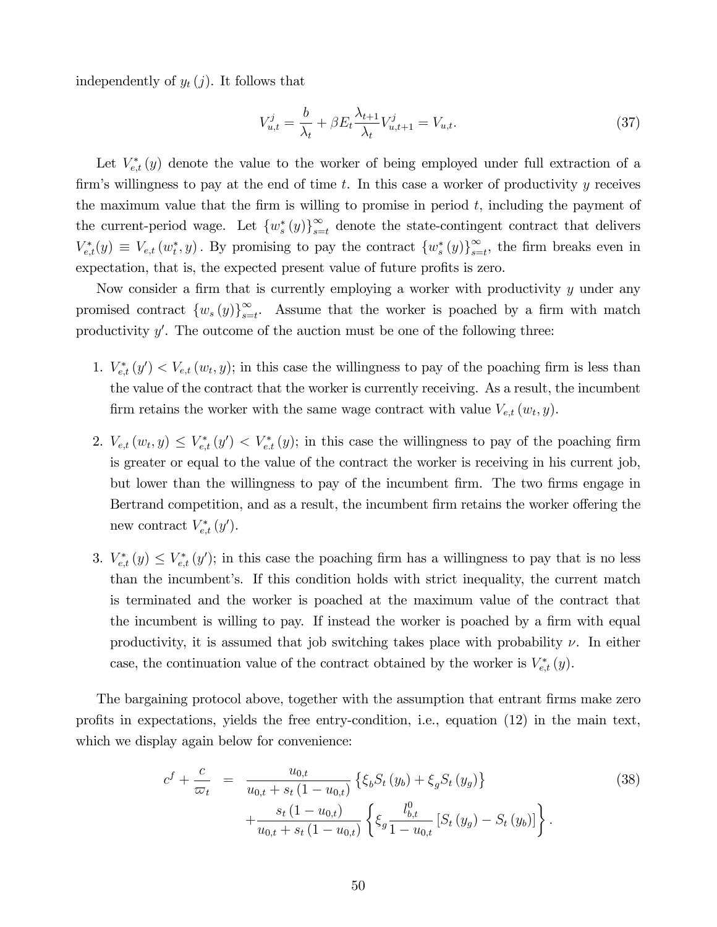independently of  $y_t(j)$ . It follows that

$$
V_{u,t}^j = \frac{b}{\lambda_t} + \beta E_t \frac{\lambda_{t+1}}{\lambda_t} V_{u,t+1}^j = V_{u,t}.
$$
\n(37)

Let  $V_{e,t}^*(y)$  denote the value to the worker of being employed under full extraction of a firm's willingness to pay at the end of time t. In this case a worker of productivity y receives the maximum value that the firm is willing to promise in period  $t$ , including the payment of the current-period wage. Let  ${w_s^*(y)}_{s=t}^{\infty}$  denote the state-contingent contract that delivers  $V_{e,t}^*(y) \equiv V_{e,t}(w_t^*, y)$ . By promising to pay the contract  $\{w_s^*(y)\}_{s=t}^\infty$ , the firm breaks even in expectation, that is, the expected present value of future profits is zero.

Now consider a firm that is currently employing a worker with productivity  $y$  under any promised contract  ${w_s(y)}_{s=t}^{\infty}$ . Assume that the worker is poached by a firm with match productivity  $y'$ . The outcome of the auction must be one of the following three:

- 1.  $V_{e,t}^*(y') < V_{e,t}(w_t, y)$ ; in this case the willingness to pay of the poaching firm is less than the value of the contract that the worker is currently receiving. As a result, the incumbent firm retains the worker with the same wage contract with value  $V_{e,t} (w_t, y)$ .
- 2.  $V_{e,t}(w_t, y) \leq V_{e,t}(y') \leq V_{e,t}(y)$ ; in this case the willingness to pay of the poaching firm is greater or equal to the value of the contract the worker is receiving in his current job, but lower than the willingness to pay of the incumbent Örm. The two Örms engage in Bertrand competition, and as a result, the incumbent firm retains the worker offering the new contract  $V_{e,t}^*(y')$ .
- 3.  $V_{e,t}^*(y) \leq V_{e,t}^*(y')$ ; in this case the poaching firm has a willingness to pay that is no less than the incumbent's. If this condition holds with strict inequality, the current match is terminated and the worker is poached at the maximum value of the contract that the incumbent is willing to pay. If instead the worker is poached by a firm with equal productivity, it is assumed that job switching takes place with probability  $\nu$ . In either case, the continuation value of the contract obtained by the worker is  $V_{e,t}^*(y)$ .

The bargaining protocol above, together with the assumption that entrant firms make zero profits in expectations, yields the free entry-condition, i.e., equation  $(12)$  in the main text, which we display again below for convenience:

$$
c^{f} + \frac{c}{\varpi_{t}} = \frac{u_{0,t}}{u_{0,t} + s_{t} (1 - u_{0,t})} \left\{ \xi_{b} S_{t} (y_{b}) + \xi_{g} S_{t} (y_{g}) \right\} + \frac{s_{t} (1 - u_{0,t})}{u_{0,t} + s_{t} (1 - u_{0,t})} \left\{ \xi_{g} \frac{l_{b,t}^{0}}{1 - u_{0,t}} [S_{t} (y_{g}) - S_{t} (y_{b})] \right\}.
$$
\n(38)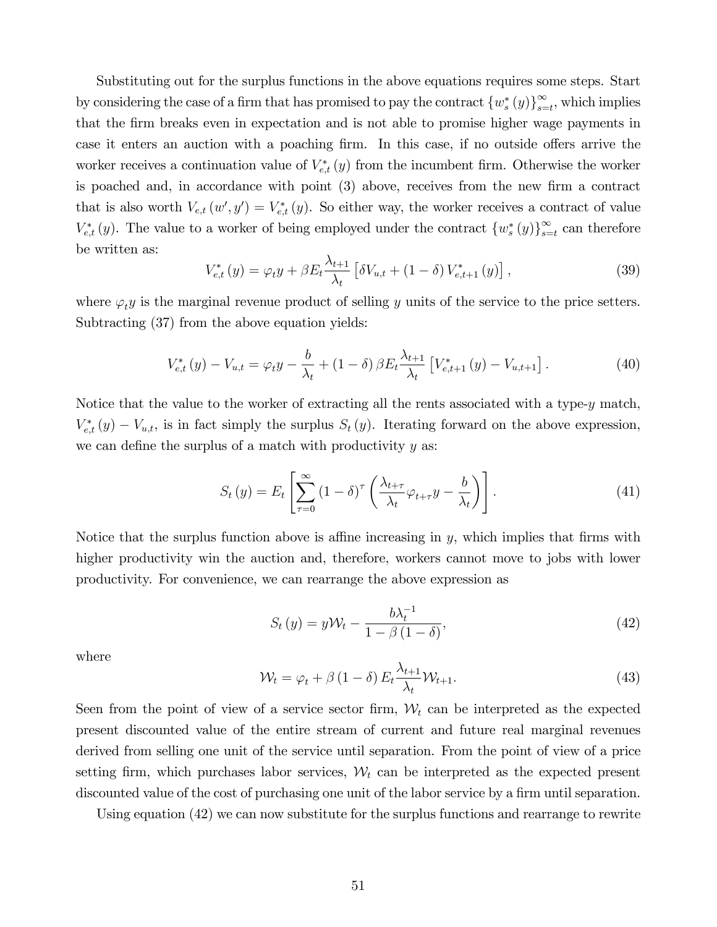Substituting out for the surplus functions in the above equations requires some steps. Start by considering the case of a firm that has promised to pay the contract  $\{w_s^*(y)\}_{s=t}^{\infty}$ , which implies that the Örm breaks even in expectation and is not able to promise higher wage payments in case it enters an auction with a poaching firm. In this case, if no outside offers arrive the worker receives a continuation value of  $V_{e,t}^*(y)$  from the incumbent firm. Otherwise the worker is poached and, in accordance with point  $(3)$  above, receives from the new firm a contract that is also worth  $V_{e,t}(w', y') = V_{e,t}^*(y)$ . So either way, the worker receives a contract of value  $V_{e,t}^*(y)$ . The value to a worker of being employed under the contract  $\{w_s^*(y)\}_{s=t}^\infty$  can therefore be written as:

$$
V_{e,t}^{*}(y) = \varphi_{t}y + \beta E_{t} \frac{\lambda_{t+1}}{\lambda_{t}} \left[ \delta V_{u,t} + (1 - \delta) V_{e,t+1}^{*}(y) \right],
$$
\n(39)

where  $\varphi_t y$  is the marginal revenue product of selling y units of the service to the price setters. Subtracting (37) from the above equation yields:

$$
V_{e,t}^{*}(y) - V_{u,t} = \varphi_t y - \frac{b}{\lambda_t} + (1 - \delta) \beta E_t \frac{\lambda_{t+1}}{\lambda_t} \left[ V_{e,t+1}^{*}(y) - V_{u,t+1} \right]. \tag{40}
$$

Notice that the value to the worker of extracting all the rents associated with a type- $y$  match,  $V_{e,t}^*(y) - V_{u,t}$ , is in fact simply the surplus  $S_t(y)$ . Iterating forward on the above expression, we can define the surplus of a match with productivity  $y$  as:

$$
S_t(y) = E_t \left[ \sum_{\tau=0}^{\infty} \left( 1 - \delta \right)^{\tau} \left( \frac{\lambda_{t+\tau}}{\lambda_t} \varphi_{t+\tau} y - \frac{b}{\lambda_t} \right) \right]. \tag{41}
$$

Notice that the surplus function above is affine increasing in  $y$ , which implies that firms with higher productivity win the auction and, therefore, workers cannot move to jobs with lower productivity. For convenience, we can rearrange the above expression as

$$
S_t(y) = y\mathcal{W}_t - \frac{b\lambda_t^{-1}}{1 - \beta(1 - \delta)},\tag{42}
$$

where

$$
\mathcal{W}_{t} = \varphi_{t} + \beta \left( 1 - \delta \right) E_{t} \frac{\lambda_{t+1}}{\lambda_{t}} \mathcal{W}_{t+1}.
$$
\n
$$
\tag{43}
$$

Seen from the point of view of a service sector firm,  $W_t$  can be interpreted as the expected present discounted value of the entire stream of current and future real marginal revenues derived from selling one unit of the service until separation. From the point of view of a price setting firm, which purchases labor services,  $W_t$  can be interpreted as the expected present discounted value of the cost of purchasing one unit of the labor service by a firm until separation.

Using equation (42) we can now substitute for the surplus functions and rearrange to rewrite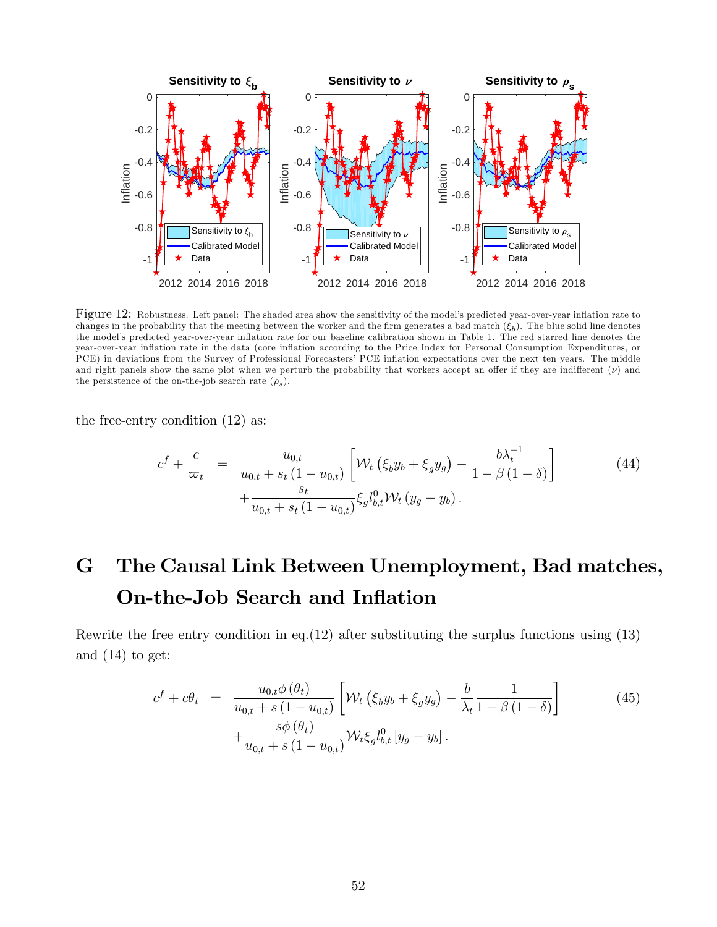

Figure 12: Robustness. Left panel: The shaded area show the sensitivity of the model's predicted year-over-year inflation rate to changes in the probability that the meeting between the worker and the firm generates a bad match  $(\xi_b)$ . The blue solid line denotes the model's predicted year-over-year inflation rate for our baseline calibration shown in Table 1. The red starred line denotes the year-over-year inflation rate in the data (core inflation according to the Price Index for Personal Consumption Expenditures, or PCE) in deviations from the Survey of Professional Forecasters<sup>;</sup> PCE inflation expectations over the next ten years. The middle and right panels show the same plot when we perturb the probability that workers accept an offer if they are indifferent  $(\nu)$  and the persistence of the on-the-job search rate  $(\rho_s)$ .

the free-entry condition (12) as:

$$
c^{f} + \frac{c}{\varpi_{t}} = \frac{u_{0,t}}{u_{0,t} + s_{t} (1 - u_{0,t})} \left[ \mathcal{W}_{t} \left( \xi_{b} y_{b} + \xi_{g} y_{g} \right) - \frac{b \lambda_{t}^{-1}}{1 - \beta (1 - \delta)} \right] + \frac{s_{t}}{u_{0,t} + s_{t} (1 - u_{0,t})} \xi_{g} l_{b,t}^{0} \mathcal{W}_{t} \left( y_{g} - y_{b} \right).
$$
\n(44)

# G The Causal Link Between Unemployment, Bad matches, On-the-Job Search and Inflation

Rewrite the free entry condition in eq.(12) after substituting the surplus functions using (13) and (14) to get:

$$
c^{f} + c\theta_{t} = \frac{u_{0,t}\phi(\theta_{t})}{u_{0,t} + s(1 - u_{0,t})} \left[ \mathcal{W}_{t} \left( \xi_{b}y_{b} + \xi_{g}y_{g} \right) - \frac{b}{\lambda_{t}} \frac{1}{1 - \beta(1 - \delta)} \right] + \frac{s\phi(\theta_{t})}{u_{0,t} + s(1 - u_{0,t})} \mathcal{W}_{t} \xi_{g} l_{b,t}^{0} \left[ y_{g} - y_{b} \right].
$$
\n(45)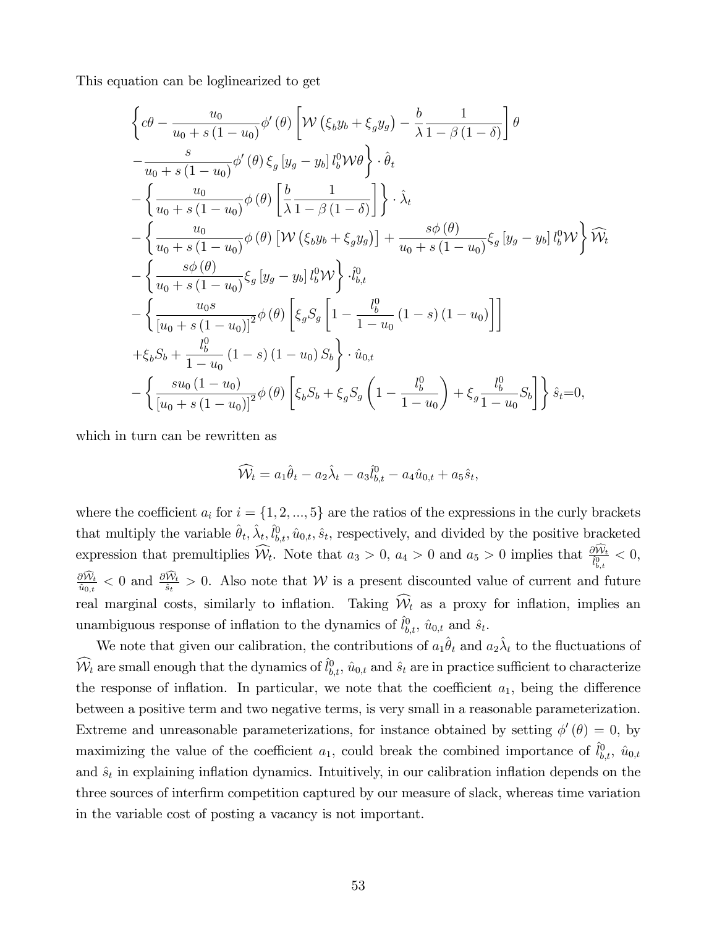This equation can be loglinearized to get

$$
\begin{split}\n&\left\{c\theta - \frac{u_0}{u_0 + s(1 - u_0)}\phi'(\theta)\left[\mathcal{W}\left(\xi_b y_b + \xi_g y_g\right) - \frac{b}{\lambda} \frac{1}{1 - \beta(1 - \delta)}\right]\theta\right. \\
&\left. - \frac{s}{u_0 + s(1 - u_0)}\phi'(\theta)\xi_g\left[y_g - y_b\right]l_b^0\mathcal{W}\theta\right\} \cdot \hat{\theta}_t \\
&- \left\{\frac{u_0}{u_0 + s(1 - u_0)}\phi(\theta)\left[\frac{b}{\lambda} \frac{1}{1 - \beta(1 - \delta)}\right]\right\} \cdot \hat{\lambda}_t \\
&- \left\{\frac{u_0}{u_0 + s(1 - u_0)}\phi(\theta)\left[\mathcal{W}\left(\xi_b y_b + \xi_g y_g\right)\right] + \frac{s\phi(\theta)}{u_0 + s(1 - u_0)}\xi_g\left[y_g - y_b\right]l_b^0\mathcal{W}\right\}\widehat{\mathcal{W}}_t \\
&- \left\{\frac{s\phi(\theta)}{u_0 + s(1 - u_0)}\xi_g\left[y_g - y_b\right]l_b^0\mathcal{W}\right\} \cdot \hat{l}_{b,t}^0 \\
&- \left\{\frac{u_0 s}{\left[u_0 + s(1 - u_0)\right]^2}\phi(\theta)\left[\xi_g S_g\left[1 - \frac{l_b^0}{1 - u_0}\left(1 - s\right)\left(1 - u_0\right)\right]\right] \\
&+ \xi_b S_b + \frac{l_b^0}{1 - u_0}\left(1 - s\right)\left(1 - u_0\right)S_b\right\} \cdot \hat{u}_{0,t} \\
&- \left\{\frac{s u_0(1 - u_0)}{\left[u_0 + s(1 - u_0)\right]^2}\phi(\theta)\left[\xi_b S_b + \xi_g S_g\left(1 - \frac{l_b^0}{1 - u_0}\right) + \xi_g \frac{l_b^0}{1 - u_0}S_b\right]\right\}\hat{s}_t = 0,\n\end{split}
$$

which in turn can be rewritten as

$$
\widehat{\mathcal{W}}_t = a_1 \widehat{\theta}_t - a_2 \widehat{\lambda}_t - a_3 \widehat{l}_{b,t}^0 - a_4 \widehat{u}_{0,t} + a_5 \widehat{s}_t,
$$

where the coefficient  $a_i$  for  $i = \{1, 2, ..., 5\}$  are the ratios of the expressions in the curly brackets that multiply the variable  $\hat{\theta}_t$ ,  $\hat{\lambda}_t$ ,  $\hat{l}_{b,t}^0$ ,  $\hat{u}_{0,t}$ ,  $\hat{s}_t$ , respectively, and divided by the positive bracketed expression that premultiplies  $\hat{\mathcal{W}}_t$ . Note that  $a_3 > 0$ ,  $a_4 > 0$  and  $a_5 > 0$  implies that  $\frac{\partial \mathcal{W}_t}{\hat{l}_{b,t}^0} < 0$ ,  $\frac{\partial W_t}{\partial u_{0,t}}$  < 0 and  $\frac{\partial W_t}{\partial t}$  > 0. Also note that W is a present discounted value of current and future real marginal costs, similarly to inflation. Taking  $\widehat{\mathcal{W}}_t$  as a proxy for inflation, implies an unambiguous response of inflation to the dynamics of  $\hat{l}_{b,t}^0$ ,  $\hat{u}_{0,t}$  and  $\hat{s}_t$ .

We note that given our calibration, the contributions of  $a_1\hat{\theta}_t$  and  $a_2\hat{\lambda}_t$  to the fluctuations of  $\widehat{\mathcal{W}}_t$  are small enough that the dynamics of  $\hat{l}^0_{b,t}$ ,  $\hat{u}_{0,t}$  and  $\hat{s}_t$  are in practice sufficient to characterize the response of inflation. In particular, we note that the coefficient  $a_1$ , being the difference between a positive term and two negative terms, is very small in a reasonable parameterization. Extreme and unreasonable parameterizations, for instance obtained by setting  $\phi'(\theta) = 0$ , by maximizing the value of the coefficient  $a_1$ , could break the combined importance of  $\hat{l}_{b,t}^0$ ,  $\hat{u}_{0,t}$ and  $\hat{s}_t$  in explaining inflation dynamics. Intuitively, in our calibration inflation depends on the three sources of interfirm competition captured by our measure of slack, whereas time variation in the variable cost of posting a vacancy is not important.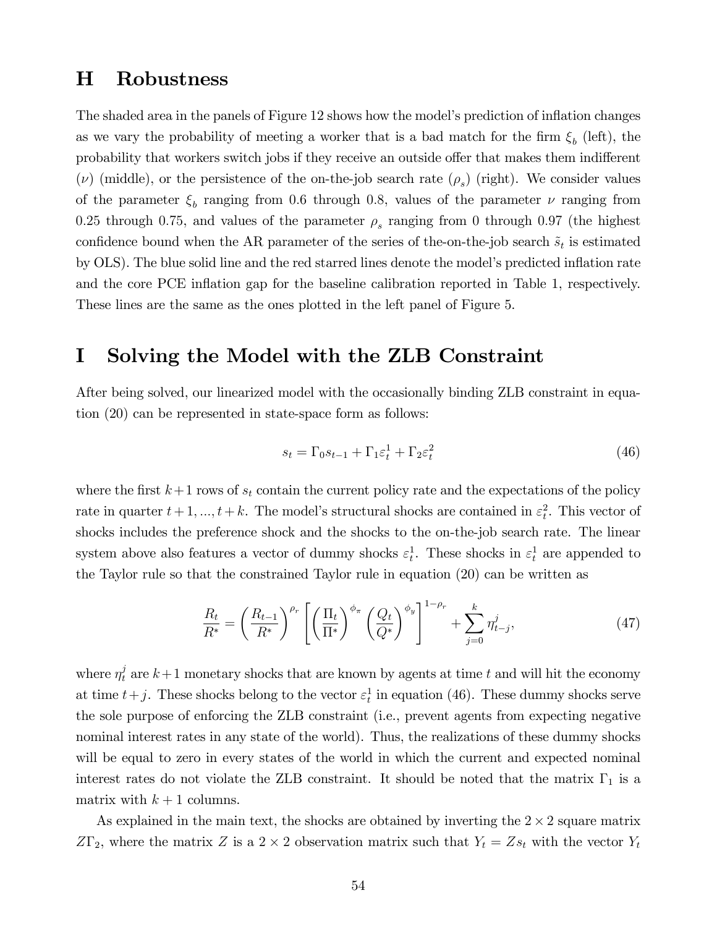## H Robustness

The shaded area in the panels of Figure 12 shows how the model's prediction of inflation changes as we vary the probability of meeting a worker that is a bad match for the firm  $\xi_b$  (left), the probability that workers switch jobs if they receive an outside offer that makes them indifferent ( $\nu$ ) (middle), or the persistence of the on-the-job search rate ( $\rho_s$ ) (right). We consider values of the parameter  $\xi_b$  ranging from 0.6 through 0.8, values of the parameter  $\nu$  ranging from 0.25 through 0.75, and values of the parameter  $\rho_s$  ranging from 0 through 0.97 (the highest confidence bound when the AR parameter of the series of the-on-the-job search  $\tilde{s}_t$  is estimated by OLS). The blue solid line and the red starred lines denote the model's predicted inflation rate and the core PCE inflation gap for the baseline calibration reported in Table 1, respectively. These lines are the same as the ones plotted in the left panel of Figure 5.

## I Solving the Model with the ZLB Constraint

After being solved, our linearized model with the occasionally binding ZLB constraint in equation (20) can be represented in state-space form as follows:

$$
s_t = \Gamma_0 s_{t-1} + \Gamma_1 \varepsilon_t^1 + \Gamma_2 \varepsilon_t^2 \tag{46}
$$

where the first  $k+1$  rows of  $s_t$  contain the current policy rate and the expectations of the policy rate in quarter  $t + 1, ..., t + k$ . The model's structural shocks are contained in  $\varepsilon_t^2$ . This vector of shocks includes the preference shock and the shocks to the on-the-job search rate. The linear system above also features a vector of dummy shocks  $\varepsilon_t^1$ . These shocks in  $\varepsilon_t^1$  are appended to the Taylor rule so that the constrained Taylor rule in equation (20) can be written as

$$
\frac{R_t}{R^*} = \left(\frac{R_{t-1}}{R^*}\right)^{\rho_r} \left[ \left(\frac{\Pi_t}{\Pi^*}\right)^{\phi_{\pi}} \left(\frac{Q_t}{Q^*}\right)^{\phi_y} \right]^{1-\rho_r} + \sum_{j=0}^k \eta_{t-j}^j, \tag{47}
$$

where  $\eta_t^j$  are  $k+1$  monetary shocks that are known by agents at time t and will hit the economy at time  $t+j$ . These shocks belong to the vector  $\varepsilon_t^1$  in equation (46). These dummy shocks serve the sole purpose of enforcing the ZLB constraint (i.e., prevent agents from expecting negative nominal interest rates in any state of the world). Thus, the realizations of these dummy shocks will be equal to zero in every states of the world in which the current and expected nominal interest rates do not violate the ZLB constraint. It should be noted that the matrix  $\Gamma_1$  is a matrix with  $k + 1$  columns.

As explained in the main text, the shocks are obtained by inverting the  $2 \times 2$  square matrix  $Z\Gamma_2$ , where the matrix Z is a 2  $\times$  2 observation matrix such that  $Y_t = Zs_t$  with the vector  $Y_t$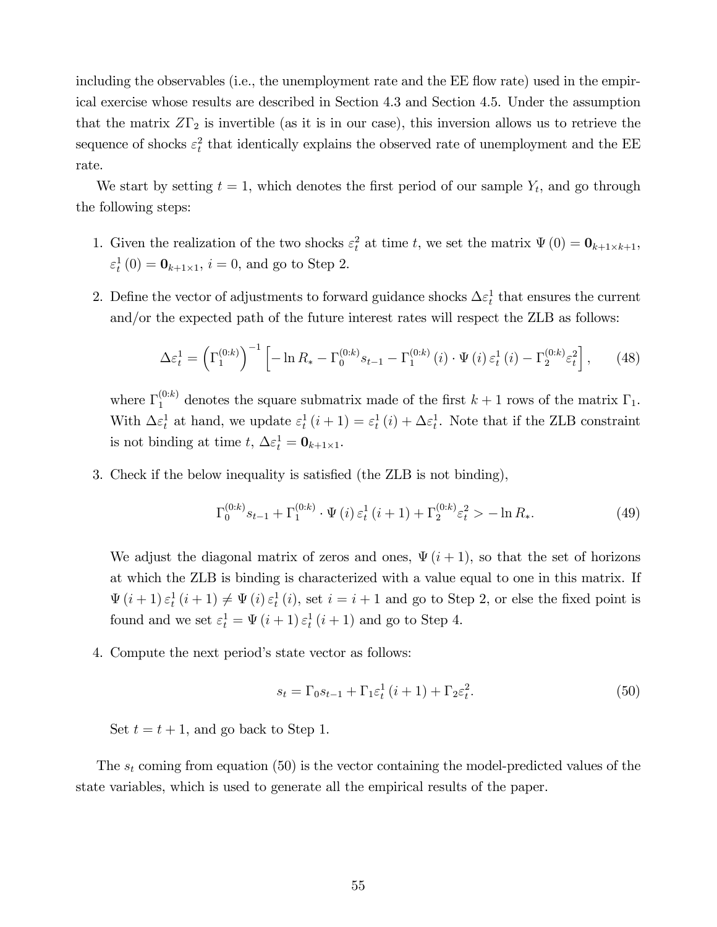including the observables (i.e., the unemployment rate and the EE flow rate) used in the empirical exercise whose results are described in Section 4.3 and Section 4.5. Under the assumption that the matrix  $Z\Gamma_2$  is invertible (as it is in our case), this inversion allows us to retrieve the sequence of shocks  $\varepsilon_t^2$  that identically explains the observed rate of unemployment and the EE rate.

We start by setting  $t = 1$ , which denotes the first period of our sample  $Y_t$ , and go through the following steps:

- 1. Given the realization of the two shocks  $\varepsilon_t^2$  at time t, we set the matrix  $\Psi(0) = \mathbf{0}_{k+1 \times k+1}$ ,  $\varepsilon_t^1(0) = \mathbf{0}_{k+1 \times 1}, i = 0$ , and go to Step 2.
- 2. Define the vector of adjustments to forward guidance shocks  $\Delta \varepsilon_t^1$  that ensures the current and/or the expected path of the future interest rates will respect the ZLB as follows:

$$
\Delta \varepsilon_t^1 = \left(\Gamma_1^{(0:k)}\right)^{-1} \left[ -\ln R_* - \Gamma_0^{(0:k)} s_{t-1} - \Gamma_1^{(0:k)}(i) \cdot \Psi(i) \varepsilon_t^1(i) - \Gamma_2^{(0:k)} \varepsilon_t^2 \right],\tag{48}
$$

where  $\Gamma_1^{(0:k)}$  denotes the square submatrix made of the first  $k+1$  rows of the matrix  $\Gamma_1$ . With  $\Delta \varepsilon_t^1$  at hand, we update  $\varepsilon_t^1$   $(i+1) = \varepsilon_t^1$   $(i) + \Delta \varepsilon_t^1$ . Note that if the ZLB constraint is not binding at time  $t, \Delta \varepsilon_t^1 = \mathbf{0}_{k+1 \times 1}$ .

3. Check if the below inequality is satisfied (the ZLB is not binding),

$$
\Gamma_0^{(0:k)} s_{t-1} + \Gamma_1^{(0:k)} \cdot \Psi(i) \varepsilon_t^1 (i+1) + \Gamma_2^{(0:k)} \varepsilon_t^2 > -\ln R_*.
$$
 (49)

We adjust the diagonal matrix of zeros and ones,  $\Psi(i+1)$ , so that the set of horizons at which the ZLB is binding is characterized with a value equal to one in this matrix. If  $\Psi(i+1) \varepsilon_t^1(i+1) \neq \Psi(i) \varepsilon_t^1(i)$ , set  $i = i+1$  and go to Step 2, or else the fixed point is found and we set  $\varepsilon_t^1 = \Psi(i+1) \varepsilon_t^1(i+1)$  and go to Step 4.

4. Compute the next period's state vector as follows:

$$
s_t = \Gamma_0 s_{t-1} + \Gamma_1 \varepsilon_t^1 \left( i + 1 \right) + \Gamma_2 \varepsilon_t^2. \tag{50}
$$

Set  $t = t + 1$ , and go back to Step 1.

The  $s_t$  coming from equation (50) is the vector containing the model-predicted values of the state variables, which is used to generate all the empirical results of the paper.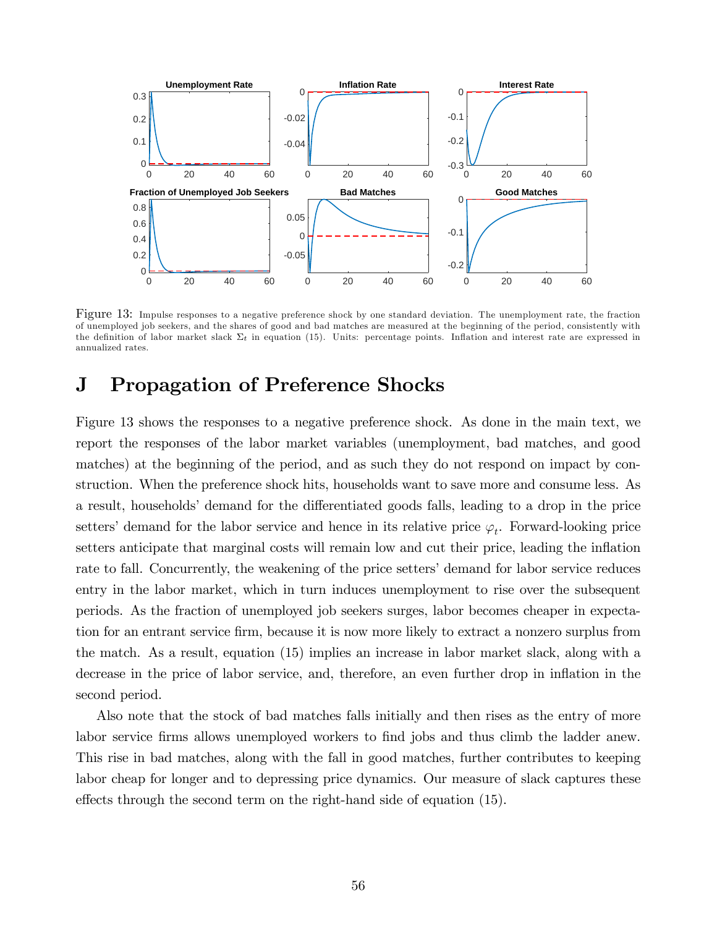

Figure 13: Impulse responses to a negative preference shock by one standard deviation. The unemployment rate, the fraction of unemployed job seekers, and the shares of good and bad matches are measured at the beginning of the period, consistently with the definition of labor market slack  $\Sigma_t$  in equation (15). Units: percentage points. Inflation and interest rate are expressed in annualized rates.

## J Propagation of Preference Shocks

Figure 13 shows the responses to a negative preference shock. As done in the main text, we report the responses of the labor market variables (unemployment, bad matches, and good matches) at the beginning of the period, and as such they do not respond on impact by construction. When the preference shock hits, households want to save more and consume less. As a result, households' demand for the differentiated goods falls, leading to a drop in the price setters' demand for the labor service and hence in its relative price  $\varphi_t$ . Forward-looking price setters anticipate that marginal costs will remain low and cut their price, leading the inflation rate to fall. Concurrently, the weakening of the price setters' demand for labor service reduces entry in the labor market, which in turn induces unemployment to rise over the subsequent periods. As the fraction of unemployed job seekers surges, labor becomes cheaper in expectation for an entrant service firm, because it is now more likely to extract a nonzero surplus from the match. As a result, equation (15) implies an increase in labor market slack, along with a decrease in the price of labor service, and, therefore, an even further drop in inflation in the second period.

Also note that the stock of bad matches falls initially and then rises as the entry of more labor service firms allows unemployed workers to find jobs and thus climb the ladder anew. This rise in bad matches, along with the fall in good matches, further contributes to keeping labor cheap for longer and to depressing price dynamics. Our measure of slack captures these effects through the second term on the right-hand side of equation  $(15)$ .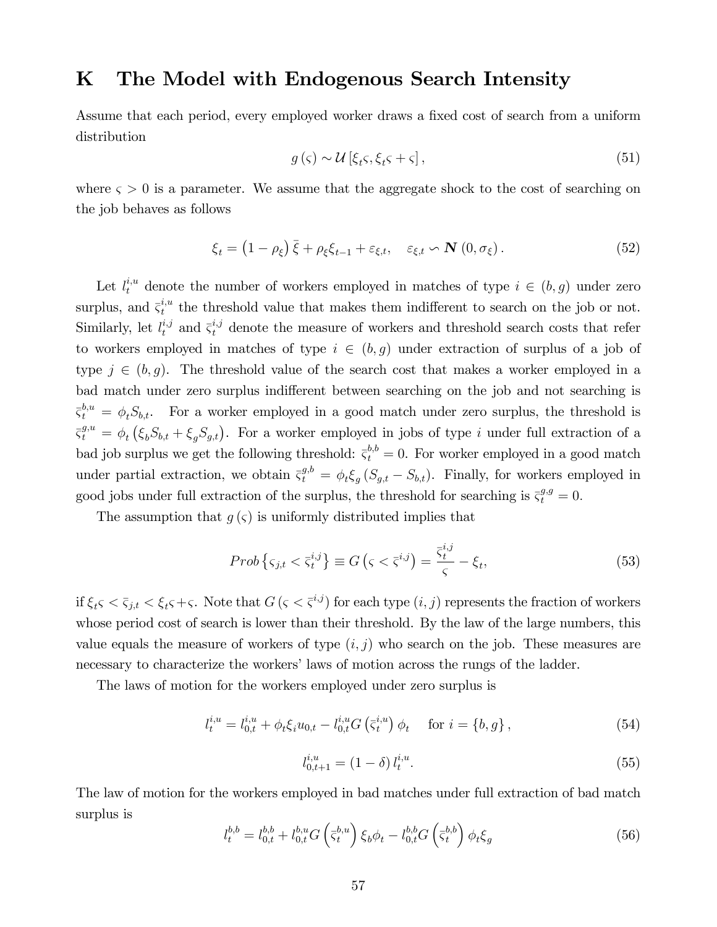### K The Model with Endogenous Search Intensity

Assume that each period, every employed worker draws a fixed cost of search from a uniform distribution

$$
g\left(\varsigma\right) \sim \mathcal{U}\left[\xi_t \varsigma, \xi_t \varsigma + \varsigma\right],\tag{51}
$$

where  $\varsigma > 0$  is a parameter. We assume that the aggregate shock to the cost of searching on the job behaves as follows

$$
\xi_t = \left(1 - \rho_{\xi}\right)\bar{\xi} + \rho_{\xi}\xi_{t-1} + \varepsilon_{\xi,t}, \quad \varepsilon_{\xi,t} \backsim \mathbf{N}\left(0, \sigma_{\xi}\right). \tag{52}
$$

Let  $l_i^{i,u}$  denote the number of workers employed in matches of type  $i \in (b,g)$  under zero surplus, and  $\bar{\varsigma}^{i,u}_{t}$  $t_t^{i,u}$  the threshold value that makes them indifferent to search on the job or not. Similarly, let  $l_t^{i,j}$  and  $\bar{\zeta}_t^{i,j}$  denote the measure of workers and threshold search costs that refer to workers employed in matches of type  $i \in (b, g)$  under extraction of surplus of a job of type  $j \in (b, g)$ . The threshold value of the search cost that makes a worker employed in a bad match under zero surplus indifferent between searching on the job and not searching is  $\bar{\zeta}_t^{b,u} = \phi_t S_{b,t}$ . For a worker employed in a good match under zero surplus, the threshold is  $\bar{\varsigma}_{t}^{g,u} = \phi_t \left( \xi_b S_{b,t} + \xi_g S_{g,t} \right)$ . For a worker employed in jobs of type i under full extraction of a bad job surplus we get the following threshold:  $\bar{\zeta}_t^{b,b} = 0$ . For worker employed in a good match under partial extraction, we obtain  $\bar{s}_{t}^{g,b} = \phi_t \xi_g (S_{g,t} - S_{b,t})$ . Finally, for workers employed in good jobs under full extraction of the surplus, the threshold for searching is  $\bar{\varsigma}_t^{g,g} = 0$ .

The assumption that  $g(\zeta)$  is uniformly distributed implies that

$$
Prob\left\{ \varsigma_{j,t} < \overline{\varsigma}_t^{i,j} \right\} \equiv G\left(\varsigma < \overline{\varsigma}^{i,j}\right) = \frac{\overline{\varsigma}_t^{i,j}}{\varsigma} - \xi_t,\tag{53}
$$

if  $\xi_t \varsigma < \overline{\varsigma}_{j,t} < \xi_t \varsigma + \varsigma$ . Note that  $G(\varsigma < \overline{\varsigma}^{i,j})$  for each type  $(i, j)$  represents the fraction of workers whose period cost of search is lower than their threshold. By the law of the large numbers, this value equals the measure of workers of type  $(i, j)$  who search on the job. These measures are necessary to characterize the workers' laws of motion across the rungs of the ladder.

The laws of motion for the workers employed under zero surplus is

$$
l_t^{i,u} = l_{0,t}^{i,u} + \phi_t \xi_i u_{0,t} - l_{0,t}^{i,u} G\left(\overline{\xi}_t^{i,u}\right) \phi_t \quad \text{ for } i = \{b,g\},\tag{54}
$$

$$
l_{0,t+1}^{i,u} = (1 - \delta) l_t^{i,u}.
$$
\n(55)

The law of motion for the workers employed in bad matches under full extraction of bad match surplus is

$$
l_t^{b,b} = l_{0,t}^{b,b} + l_{0,t}^{b,u} G\left(\bar{\varsigma}_t^{b,u}\right) \xi_b \phi_t - l_{0,t}^{b,b} G\left(\bar{\varsigma}_t^{b,b}\right) \phi_t \xi_g \tag{56}
$$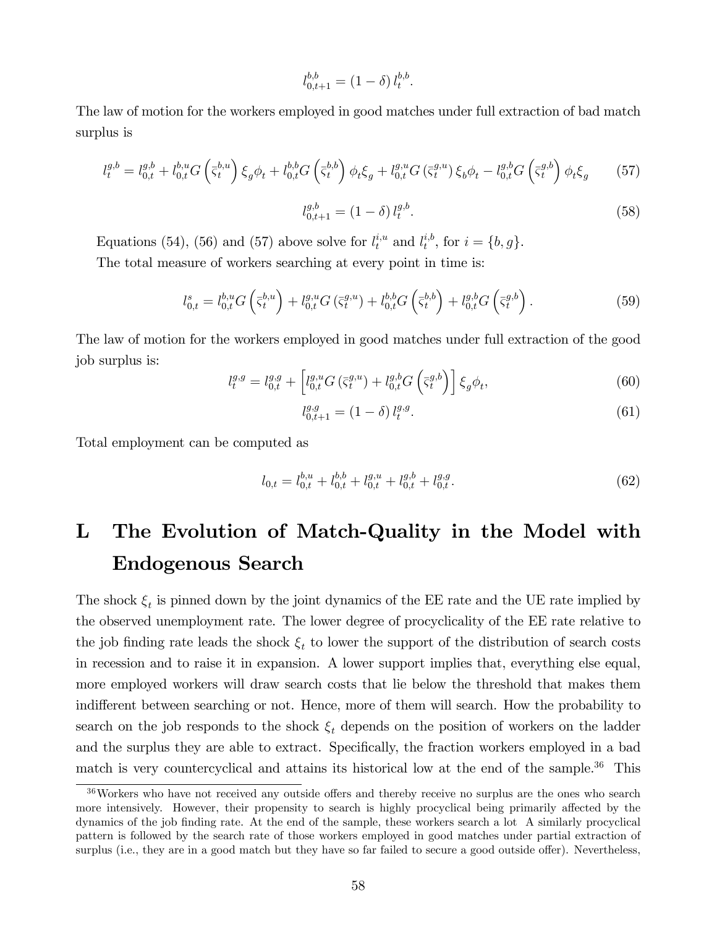$$
l_{0,t+1}^{b,b} = (1 - \delta) l_t^{b,b}.
$$

The law of motion for the workers employed in good matches under full extraction of bad match surplus is

$$
l_t^{g,b} = l_{0,t}^{g,b} + l_{0,t}^{b,u} G\left(\bar{\varsigma}_t^{b,u}\right) \xi_g \phi_t + l_{0,t}^{b,b} G\left(\bar{\varsigma}_t^{b,b}\right) \phi_t \xi_g + l_{0,t}^{g,u} G\left(\bar{\varsigma}_t^{g,u}\right) \xi_b \phi_t - l_{0,t}^{g,b} G\left(\bar{\varsigma}_t^{g,b}\right) \phi_t \xi_g \tag{57}
$$

$$
l_{0,t+1}^{g,b} = (1 - \delta) l_t^{g,b}.
$$
\n(58)

Equations (54), (56) and (57) above solve for  $l_t^{i,u}$  and  $l_t^{i,b}$  $t^{i,0}$ , for  $i = \{b, g\}.$ 

The total measure of workers searching at every point in time is:

$$
l_{0,t}^s = l_{0,t}^{b,u} G\left(\overline{\varsigma}_t^{b,u}\right) + l_{0,t}^{g,u} G\left(\overline{\varsigma}_t^{g,u}\right) + l_{0,t}^{b,b} G\left(\overline{\varsigma}_t^{b,b}\right) + l_{0,t}^{g,b} G\left(\overline{\varsigma}_t^{g,b}\right). \tag{59}
$$

The law of motion for the workers employed in good matches under full extraction of the good job surplus is:

$$
l_t^{g,g} = l_{0,t}^{g,g} + \left[ l_{0,t}^{g,u} G\left(\bar{\zeta}_t^{g,u}\right) + l_{0,t}^{g,b} G\left(\bar{\zeta}_t^{g,b}\right) \right] \xi_g \phi_t,\tag{60}
$$

$$
l_{0,t+1}^{g,g} = (1 - \delta) l_t^{g,g}.
$$
\n(61)

Total employment can be computed as

$$
l_{0,t} = l_{0,t}^{b,u} + l_{0,t}^{b,b} + l_{0,t}^{g,u} + l_{0,t}^{g,b} + l_{0,t}^{g,g}.
$$
\n
$$
(62)
$$

# L The Evolution of Match-Quality in the Model with Endogenous Search

The shock  $\xi_t$  is pinned down by the joint dynamics of the EE rate and the UE rate implied by the observed unemployment rate. The lower degree of procyclicality of the EE rate relative to the job finding rate leads the shock  $\xi_t$  to lower the support of the distribution of search costs in recession and to raise it in expansion. A lower support implies that, everything else equal, more employed workers will draw search costs that lie below the threshold that makes them indifferent between searching or not. Hence, more of them will search. How the probability to search on the job responds to the shock  $\xi_t$  depends on the position of workers on the ladder and the surplus they are able to extract. Specifically, the fraction workers employed in a bad match is very countercyclical and attains its historical low at the end of the sample.<sup>36</sup> This

 $36$ Workers who have not received any outside offers and thereby receive no surplus are the ones who search more intensively. However, their propensity to search is highly procyclical being primarily affected by the dynamics of the job Önding rate. At the end of the sample, these workers search a lot A similarly procyclical pattern is followed by the search rate of those workers employed in good matches under partial extraction of surplus (i.e., they are in a good match but they have so far failed to secure a good outside offer). Nevertheless,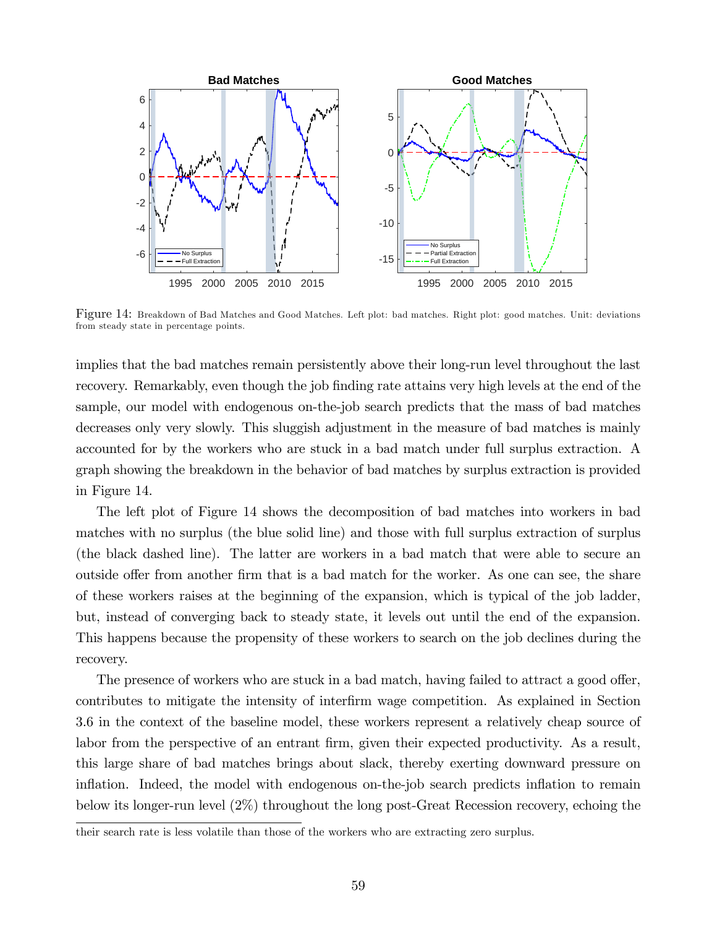

Figure 14: Breakdown of Bad Matches and Good Matches. Left plot: bad matches. Right plot: good matches. Unit: deviations from steady state in percentage points.

implies that the bad matches remain persistently above their long-run level throughout the last recovery. Remarkably, even though the job finding rate attains very high levels at the end of the sample, our model with endogenous on-the-job search predicts that the mass of bad matches decreases only very slowly. This sluggish adjustment in the measure of bad matches is mainly accounted for by the workers who are stuck in a bad match under full surplus extraction. A graph showing the breakdown in the behavior of bad matches by surplus extraction is provided in Figure 14.

The left plot of Figure 14 shows the decomposition of bad matches into workers in bad matches with no surplus (the blue solid line) and those with full surplus extraction of surplus (the black dashed line). The latter are workers in a bad match that were able to secure an outside offer from another firm that is a bad match for the worker. As one can see, the share of these workers raises at the beginning of the expansion, which is typical of the job ladder, but, instead of converging back to steady state, it levels out until the end of the expansion. This happens because the propensity of these workers to search on the job declines during the recovery.

The presence of workers who are stuck in a bad match, having failed to attract a good offer, contributes to mitigate the intensity of interfirm wage competition. As explained in Section 3.6 in the context of the baseline model, these workers represent a relatively cheap source of labor from the perspective of an entrant firm, given their expected productivity. As a result, this large share of bad matches brings about slack, thereby exerting downward pressure on inflation. Indeed, the model with endogenous on-the-job search predicts inflation to remain below its longer-run level (2%) throughout the long post-Great Recession recovery, echoing the

their search rate is less volatile than those of the workers who are extracting zero surplus.